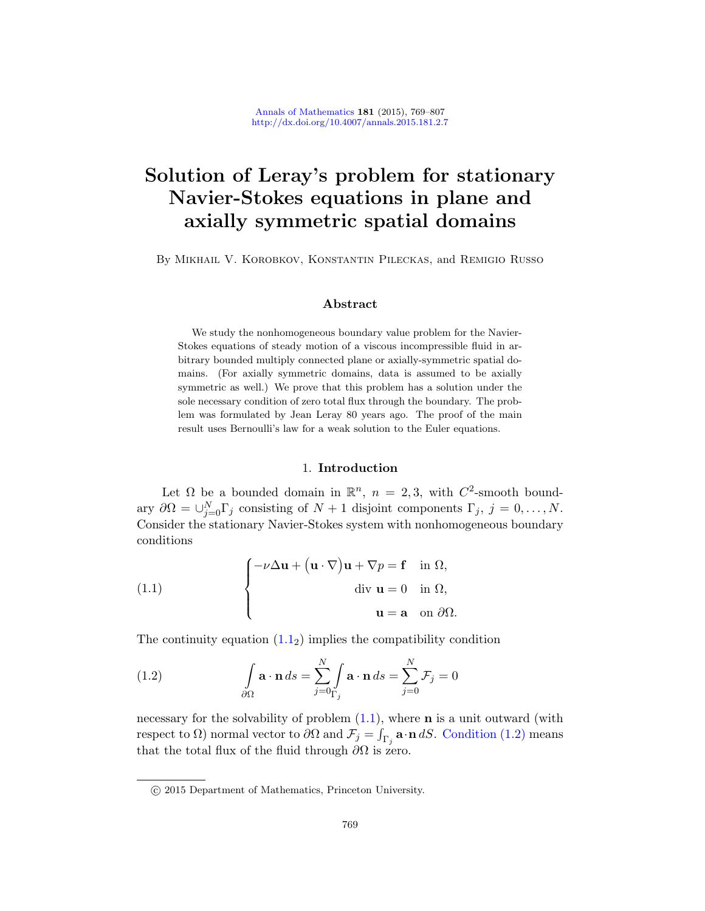# Solution of Leray's problem for stationary Navier-Stokes equations in plane and axially symmetric spatial domains

By Mikhail V. Korobkov, Konstantin Pileckas, and Remigio Russo

## Abstract

We study the nonhomogeneous boundary value problem for the Navier-Stokes equations of steady motion of a viscous incompressible fluid in arbitrary bounded multiply connected plane or axially-symmetric spatial domains. (For axially symmetric domains, data is assumed to be axially symmetric as well.) We prove that this problem has a solution under the sole necessary condition of zero total flux through the boundary. The problem was formulated by Jean Leray 80 years ago. The proof of the main result uses Bernoulli's law for a weak solution to the Euler equations.

## 1. Introduction

<span id="page-0-0"></span>Let  $\Omega$  be a bounded domain in  $\mathbb{R}^n$ ,  $n = 2, 3$ , with  $C^2$ -smooth boundary  $\partial\Omega = \bigcup_{j=0}^N \Gamma_j$  consisting of  $N+1$  disjoint components  $\Gamma_j$ ,  $j=0,\ldots,N$ . Consider the stationary Navier-Stokes system with nonhomogeneous boundary co[ndit](#page-0-0)ions

<span id="page-0-1"></span>(1.1) 
$$
\begin{cases} -\nu \Delta \mathbf{u} + (\mathbf{u} \cdot \nabla) \mathbf{u} + \nabla p = \mathbf{f} & \text{in } \Omega, \\ \text{div } \mathbf{u} = 0 & \text{in } \Omega, \\ \mathbf{u} = \mathbf{a} & \text{on } \partial \Omega. \end{cases}
$$

Thecontinuity equation  $(1.1<sub>2</sub>)$  i[mplies the comp](#page-0-1)atibility condition

(1.2) 
$$
\int_{\partial\Omega} \mathbf{a} \cdot \mathbf{n} ds = \sum_{j=0}^{N} \int_{\Gamma_j} \mathbf{a} \cdot \mathbf{n} ds = \sum_{j=0}^{N} \mathcal{F}_j = 0
$$

necessary for the solvability of problem  $(1.1)$ , where **n** is a unit outward (with respect to  $\Omega$ ) normal vector to  $\partial\Omega$  and  $\mathcal{F}_j = \int_{\Gamma_j} \mathbf{a} \cdot \mathbf{n} dS$ . Condition (1.2) means that the total flux of the fluid through  $\partial\Omega$  is zero.

c 2015 Department of Mathematics, Princeton University.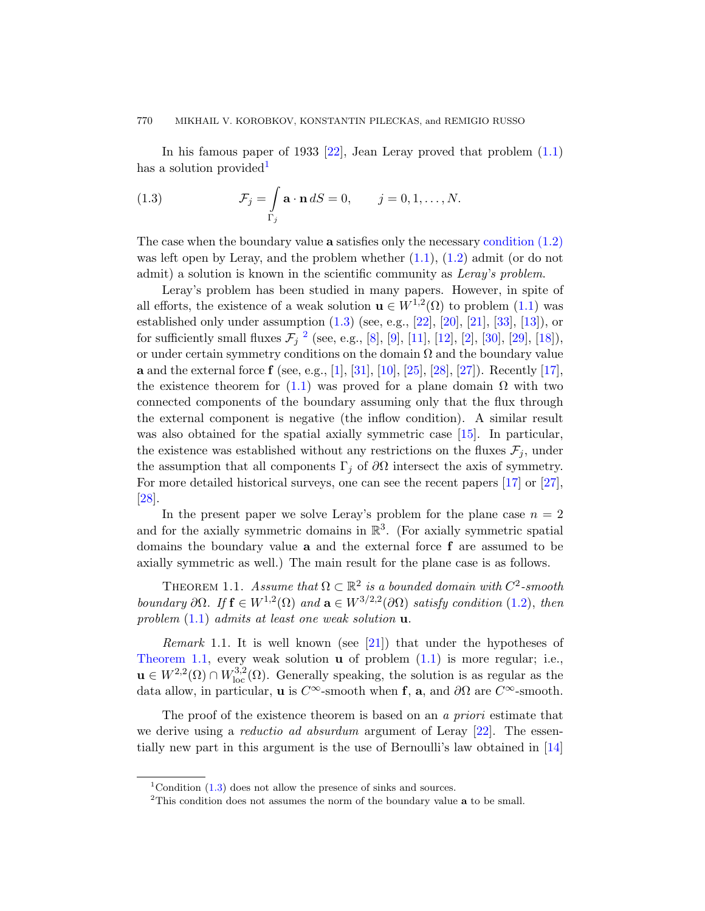In his famous paper o[f 19](#page-0-0)33  $[22]$ , [Jean Leray prov](#page-0-1)ed that problem  $(1.1)$ has a solution provided

(1.3) 
$$
\mathcal{F}_j = \int_{\Gamma_j} \mathbf{a} \cdot \mathbf{n} dS = 0, \qquad j = 0, 1, \dots, N.
$$

The ca[se](#page-1-0) when the [bo](#page-36-0)u[nd](#page-36-1)a[ry v](#page-36-2)a[lue](#page-36-3) a [sa](#page-35-0)ti[sfie](#page-38-0)s [only](#page-38-1) [the](#page-37-0) necessary condition (1.2) was left open by Leray, and the problem whether  $(1.1)$ ,  $(1.2)$  admit (or do not admit) a sol[uti](#page-35-1)o[n is](#page-38-2) [know](#page-36-4)[n in](#page-37-1) [the](#page-37-2)s[cien](#page-37-3)tific commu[nity](#page-37-4) as Leray's problem.

[Lera](#page-0-0)y's problem has been studied in many papers. However, in spite of all efforts, the existence of a weak solution  $\mathbf{u} \in W^{1,2}(\Omega)$  to problem  $(1.1)$  was established only under assumption  $(1.3)$  (see, e.g.,  $[22]$ ,  $[20]$ ,  $[21]$ ,  $[33]$ ,  $[13]$ ), or for sufficiently small fluxes  $\mathcal{F}_j$  <sup>2</sup> (se[e, e.](#page-36-5)g., [8], [9], [11], [12], [2], [30], [29], [18]), or under certain symmetry conditions on the domain  $\Omega$  and the boundary value **a** and the external force **f** (see, e.g., [1], [31], [10], [25], [28], [27]). Recently [17], the existence theorem for (1.1) was prove[d fo](#page-37-4)r a [pla](#page-37-3)ne domain  $\Omega$  with two connected components of the boundary assuming only that the flux through the external component is negative (the inflow condition). A similar result was also obtained for the spatial axially symmetric case [15]. In particular, the existence was established without any restrictions on the fluxes  $\mathcal{F}_i$ , under the assumption that all components  $\Gamma_j$  of  $\partial\Omega$  intersect the axis of symmetry. For more detailed historical surveys, one can see the recent papers [17] or [27], [28].

<span id="page-1-1"></span>Inthe present paper we solve Leray's p[robl](#page-0-1)em for the plane case  $n = 2$ and for the axially symmetric domains in  $\mathbb{R}^3$ . (For axially symmetric spatial domains the boun[dar](#page-37-5)y value  $a$  and the external force  $f$  are assumed to be axially symmetric as well.) [The](#page-0-0) main result for the plane case is as follows.

THEOREM 1.1. Assume that  $\Omega \subset \mathbb{R}^2$  is a bounded domain with  $C^2$ -smooth boundary  $\partial\Omega$ . If  $\mathbf{f} \in W^{1,2}(\Omega)$  and  $\mathbf{a} \in W^{3/2,2}(\partial\Omega)$  satisfy condition (1.2), then problem  $(1.1)$  admits at least one weak solution **u**.

*Remark* 1.1. It is well known (see [21]) that [un](#page-36-6)der the hypotheses of Theorem 1.1, every weak solution  $\bf{u}$  of problem  $(1.1)$  is more regular; i.e.,  $\mathbf{u} \in W^{2,2}(\Omega) \cap W^{3,2}_{loc}(\Omega)$ . Generally speaking, the solution is as regular as the data allow, in particular, **u** is  $C^{\infty}$ -smooth when **f**, **a**, and  $\partial\Omega$  are  $C^{\infty}$ -smooth.

<span id="page-1-0"></span>The proof of the existence theorem is based on an a priori estimate that we derive using a *reductio ad absurdum* argument of Leray  $[22]$ . The essentially new part in this argument is the use of Bernoulli's law obtained in [14]

<sup>&</sup>lt;sup>1</sup>Condition  $(1.3)$  does not allow the presence of sinks and sources.

<sup>&</sup>lt;sup>2</sup>This condition does not assumes the norm of the boundary value **a** to be small.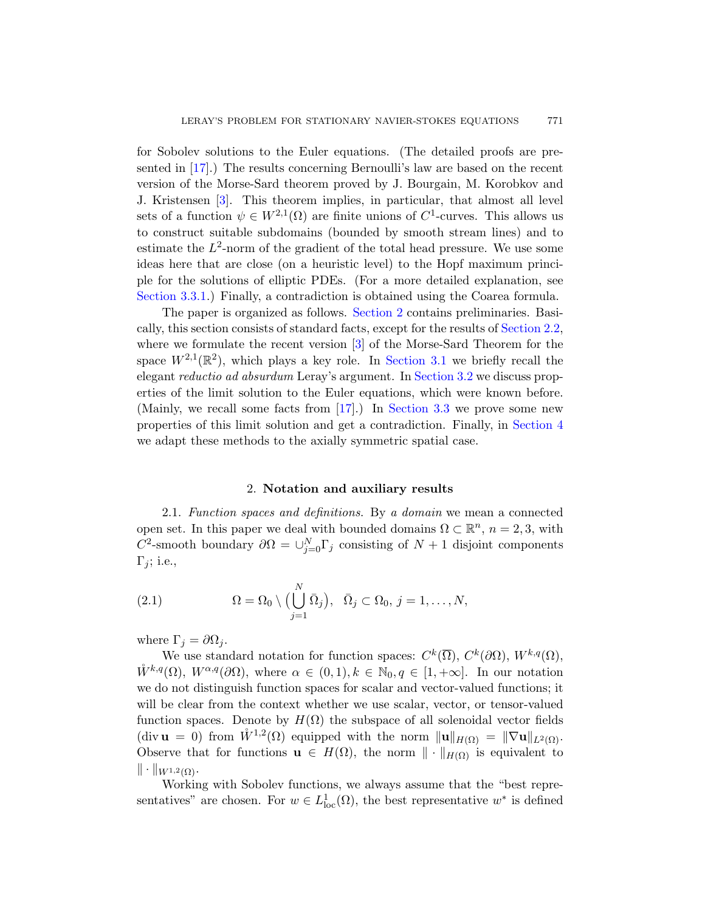for Sobolev solutions to the Euler equations. (The detailed proofs are presented in [17].) The results concerning Bernoulli's law are based on the recent version of the Morse-Sard theorem proved by J. Bourgain, M. Korobkov and J. Kristensen [3]. This theorem implies, in particular, that almost all level sets of a function  $\psi \in W^{2,1}(\Omega)$  $\psi \in W^{2,1}(\Omega)$  $\psi \in W^{2,1}(\Omega)$  are finite unions of  $C^1$ -curves. This allows us to construct suitable subdomains (bounde[d by smoot](#page-3-0)h stream lines) and to estimate the  $L^2$ -[no](#page-36-7)rm of the gradient of the total head pressure. We use some ideas here that are cl[ose \(on a he](#page-5-0)uristic level) to the Hopf maximum principle for the solutions of elli[ptic PDEs.](#page-8-0) (For a more detailed explanation, see Section 3.3.1.) Finally, a contradiction is obtained using the Coarea formula.

<span id="page-2-0"></span>The pap[er is](#page-37-4) orga[nized as follo](#page-10-0)ws. Section 2 contains preliminaries. Basically, this section consists of standard facts, ex[cept for th](#page-24-0)e results of Section 2.2, where we formulate the recent version [3] of the Morse-Sard Theorem for the space  $W^{2,1}(\mathbb{R}^2)$ , which plays a key role. In Section 3.1 we briefly recall the elegant reductio ad absurdum Leray's argument. In Section 3.2 we discuss properties of the limit solution to the Euler equations, which were known before. (Mainly, we recall some facts from [17].) In Section 3.3 we prove some new properties of this limit solution and get a contradiction. Finally, in Section 4 we adapt these methods to the axially symmetric spatial case.

#### 2. Notation and auxiliary results

<span id="page-2-1"></span>2.1. Function spaces and definitions. By a domain we mean a connected open set. In this paper we deal with bounded domains  $\Omega \subset \mathbb{R}^n$ ,  $n = 2, 3$ , with C<sup>2</sup>-smooth boundary  $\partial\Omega = \bigcup_{j=0}^{N} \Gamma_j$  consisting of  $N+1$  disjoint components  $\Gamma_i$ ; i.e.,

(2.1) 
$$
\Omega = \Omega_0 \setminus \Big( \bigcup_{j=1}^N \bar{\Omega}_j \Big), \quad \bar{\Omega}_j \subset \Omega_0, \ j = 1, \ldots, N,
$$

where  $\Gamma_i = \partial \Omega_i$ .

We use standard notation for function spaces:  $C^k(\overline{\Omega}), C^k(\partial\Omega), W^{k,q}(\Omega),$  $W^{k,q}(\Omega)$ ,  $W^{\alpha,q}(\partial\Omega)$ , where  $\alpha \in (0,1), k \in \mathbb{N}_0, q \in [1,+\infty]$ . In our notation we do not distinguish function spaces for scalar and vector-valued functions; it will be clear from the context whether we use scalar, vector, or tensor-valued function spaces. Denote by  $H(\Omega)$  the subspace of all solenoidal vector fields (div  $\mathbf{u} = 0$ ) from  $\mathring{W}^{1,2}(\Omega)$  equipped with the norm  $\|\mathbf{u}\|_{H(\Omega)} = \|\nabla \mathbf{u}\|_{L^2(\Omega)}$ . Observe that for functions  $\mathbf{u} \in H(\Omega)$ , the norm  $\|\cdot\|_{H(\Omega)}$  is equivalent to  $\|\cdot\|_{W^{1,2}(\Omega)}.$ 

Working with Sobolev functions, we always assume that the "best representatives" are chosen. For  $w \in L^1_{loc}(\Omega)$ , the best representative  $w^*$  is defined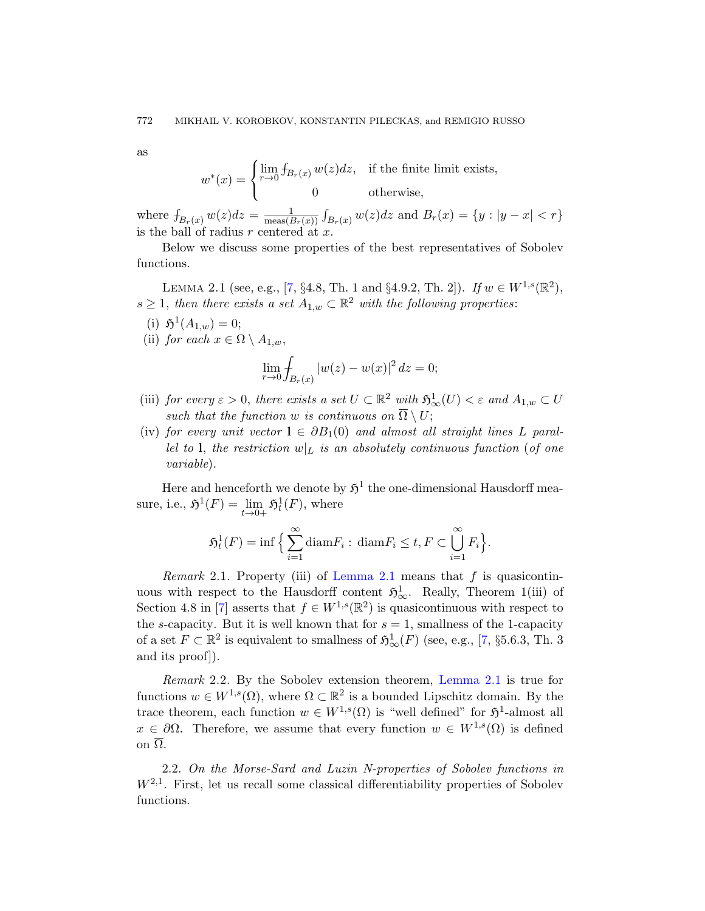<span id="page-3-1"></span>as

$$
w^*(x) = \begin{cases} \lim_{r \to 0} f_{B_r(x)} w(z) dz, & \text{if the finite limit exists,} \\ 0 & \text{otherwise,} \end{cases}
$$

where  $f_{B_r(x)} w(z) dz = \frac{1}{\text{meas}(B_r)}$  $\frac{1}{\text{meas}(B_r(x))} \int_{B_r(x)} w(z) dz$  and  $B_r(x) = \{y : |y - x| < r\}$ is the ball of radius  $r$  centered at  $x$ .

Below we discuss some properties of the best representatives of Sobolev functions.

LEMMA 2.1 (see, e.g., [7, §4.8, Th. 1 and §4.9.2, Th. 2]). If  $w \in W^{1,s}(\mathbb{R}^2)$ ,  $s \geq 1$ , then there exists a set  $A_{1,w} \subset \mathbb{R}^2$  with the following properties:

(i) 
$$
\mathfrak{H}^1(A_{1,w}) = 0;
$$

(ii) for each  $x \in \Omega \setminus A_{1,w}$ ,

$$
\lim_{r \to 0} \int_{B_r(x)} |w(z) - w(x)|^2 \, dz = 0;
$$

- (iii) for every  $\varepsilon > 0$ , there exists a set  $U \subset \mathbb{R}^2$  with  $\mathfrak{H}^1_{\infty}(U) < \varepsilon$  and  $A_{1,w} \subset U$ such that the function w is continuous on  $\overline{\Omega} \setminus U$ ;
- (iv) for every unit vector  $l \in \partial B_1(0)$  and almost all straight lines L parallel to 1, the restriction  $w|_L$  is an absolutely continuous function (of one variable).

Here an[d henceforth](#page-3-1) we denote by  $\mathfrak{H}^1$  the one-dimensional Hausdorff measure, i.e.,  $\mathfrak{H}^1(F) = \lim_{t \to 0+} \mathfrak{H}^1_t(F)$ , where

$$
\mathfrak{H}^1_t(F) = \inf \Big\{ \sum_{i=1}^{\infty} \text{diam} F_i : \, \text{diam} F_i \le t, F \subset \bigcup_{i=1}^{\infty} F_i \Big\}.
$$

<span id="page-3-2"></span>Remark 2.1. Property (iii) of [Lemma](#page-3-1) 2.1 means that  $f$  is quasicontinuous with respect to the Hausdorff content  $\mathfrak{H}^1_{\infty}$ . Really, Theorem 1(iii) of Section 4.8 in [7] asserts that  $f \in W^{1,s}(\mathbb{R}^2)$  is quasicontinuous with respect to the s-capacity. But it is well known that for  $s = 1$ , smallness of the 1-capacity of a set  $F \subset \mathbb{R}^2$  is equivalent to smallness of  $\mathfrak{H}^1_{\infty}(F)$  (see, e.g., [7, §5.6.3, Th. 3 and its proof]).

<span id="page-3-0"></span>Remark 2.2. By the Sobolev extension theorem, Lemma 2.1 is true for functions  $w \in W^{1,s}(\Omega)$ , where  $\Omega \subset \mathbb{R}^2$  is a bounded Lipschitz domain. By the trace theorem, each function  $w \in W^{1,s}(\Omega)$  is "well defined" for  $\mathfrak{H}^1$ -almost all  $x \in \partial\Omega$ . Therefore, we assume that every function  $w \in W^{1,s}(\Omega)$  is defined on  $\overline{\Omega}$ .

2.2. On the Morse-Sard and Luzin N-properties of Sobolev functions in  $W^{2,1}$ . First, let us recall some classical differentiability properties of Sobolev functions.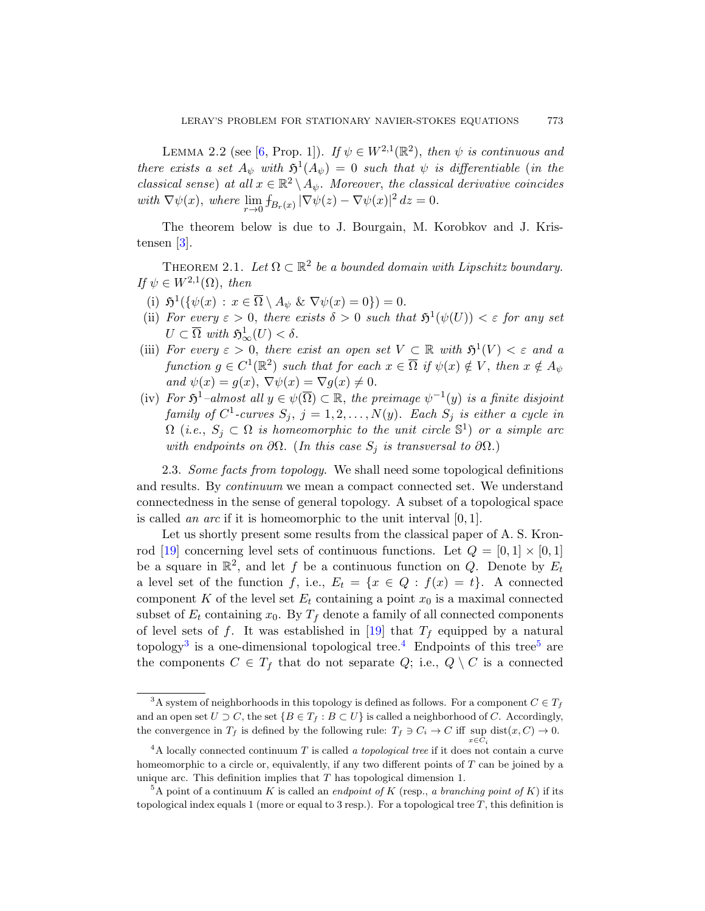<span id="page-4-3"></span><span id="page-4-2"></span>LEMMA 2.2 (see [6, Prop. 1]). If  $\psi \in W^{2,1}(\mathbb{R}^2)$ , then  $\psi$  is continuous and there exists a set  $A_{\psi}$  with  $\mathfrak{H}^1(A_{\psi}) = 0$  such that  $\psi$  is differentiable (in the classical sense) at all  $x \in \mathbb{R}^2 \setminus A_{\psi}$ . Moreover, the classical derivative coincides with  $\nabla \psi(x)$ , where  $\lim_{r \to 0} f_{B_r(x)} |\nabla \psi(z) - \nabla \psi(x)|^2 dz = 0$ .

The theorem below is due to J. Bourgain, M. Korobkov and J. Kristensen [3].

THEOREM 2.1. Let  $\Omega \subset \mathbb{R}^2$  be a bounded domain with Lipschitz boundary. If  $\psi \in W^{2,1}(\Omega)$ , then

- (i)  $\mathfrak{H}^1(\{\psi(x) : x \in \overline{\Omega} \setminus A_{\psi} \& \nabla \psi(x) = 0\}) = 0.$
- (ii) For every  $\varepsilon > 0$ , there exists  $\delta > 0$  such that  $\mathfrak{H}^1(\psi(U)) < \varepsilon$  for any set  $U \subset \overline{\Omega}$  with  $\mathfrak{H}^1_{\infty}(U) < \delta$ .
- (iii) For every  $\varepsilon > 0$ , there exist an open set  $V \subset \mathbb{R}$  with  $\mathfrak{H}^1(V) < \varepsilon$  and a function  $g \in C^1(\mathbb{R}^2)$  such that for each  $x \in \overline{\Omega}$  if  $\psi(x) \notin V$ , then  $x \notin A_{\psi}$ and  $\psi(x) = g(x), \nabla \psi(x) = \nabla g(x) \neq 0.$
- (iv) For  $\mathfrak{H}^1$ -almost all  $y \in \psi(\overline{\Omega}) \subset \mathbb{R}$ , the preimage  $\psi^{-1}(y)$  is a finite disjoint family of  $C^1$ -curves  $S_j$ ,  $j = 1, 2, ..., N(y)$ . Each  $S_j$  is either a cycle in  $\Omega$  (i.e.,  $S_j \subset \Omega$  is homeomorphic to the unit circle  $\mathbb{S}^1$ ) or a simple arc with endpoints on  $\partial\Omega$ . (In this case  $S_j$  is transversal to  $\partial\Omega$ .)

2.3. Some facts from topology. We shall need some topological definitions and results. By continuum we mean a compact connected set. We understand connectedness in the sense of general topology. A subset of a topological space is called an arc if it is homeomorphic to the unit interval  $[0, 1]$ .

Let us shortly [pre](#page-37-6)sent some results from the classical paper of A. S. Kronrod [19] concerning leve[l s](#page-4-0)ets of continuous func[tio](#page-4-1)ns. Let  $Q = [0, 1] \times [0, 1]$ be a square in  $\mathbb{R}^2$ , and let f be a continuous function on Q. Denote by  $E_t$ a level set of the function f, i.e.,  $E_t = \{x \in Q : f(x) = t\}$ . A connected component K of the level set  $E_t$  containing a point  $x_0$  is a maximal connected subset of  $E_t$  containing  $x_0$ . By  $T_f$  denote a family of all connected components of level sets of f. It was established in [19] that  $T_f$  equipped by a natural topology<sup>3</sup> is a one-dimensional topological tree.<sup>4</sup> Endpoints of this tree<sup>5</sup> are the components  $C \in T_f$  that do not separate  $Q$ ; i.e.,  $Q \setminus C$  is a connected

<span id="page-4-1"></span><span id="page-4-0"></span> $^3\text{A}$  system of neighborhoods in this topology is defined as follows. For a component  $C\in T_f$ and an open set  $U \supset C$ , the set  $\{B \in T_f : B \subset U\}$  is called a neighborhood of C. Accordingly, the convergence in  $T_f$  is defined by the following rule:  $T_f \ni C_i \rightarrow C$  iff sup dist $(x, C) \rightarrow 0$ .

 $x \in C_i$  $4A$  locally connected continuum T is called a topological tree if it does not contain a curve homeomorphic to a circle or, equivalently, if any two different points of T can be joined by a unique arc. This definition implies that  $T$  has topological dimension 1.

<sup>&</sup>lt;sup>5</sup>A point of a continuum K is called an *endpoint of* K (resp., a branching point of K) if its topological index equals 1 (more or equal to 3 resp.). For a topological tree  $T$ , this definition is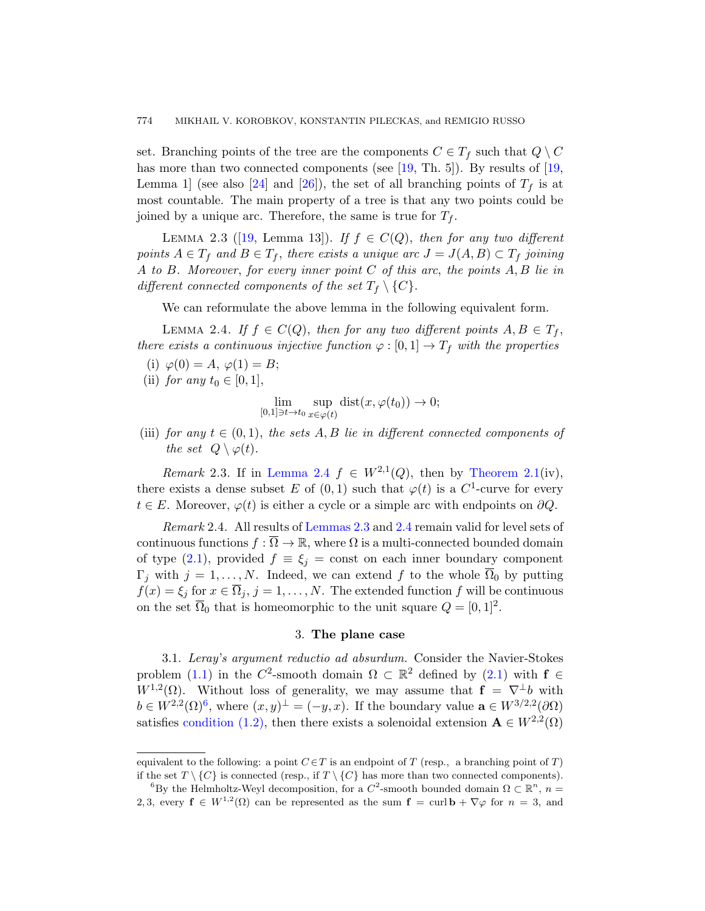<span id="page-5-2"></span>set. Branching points of the tree are the components  $C \in T_f$  such that  $Q \setminus C$ has more than two connected components (see [19, Th. 5]). By results of [19, Lemma 1] (see also [24] and [26]), the set of all branching points of  $T_f$  is at most countable. The main property of a tree is that any two points could be joined by a unique arc. Therefore, the same is true for  $T_f$ .

<span id="page-5-1"></span>LEMMA 2.3 ([19, Lemma 13]). If  $f \in C(Q)$ , then for any two different points  $A \in T_f$  and  $B \in T_f$ , there exists a unique arc  $J = J(A, B) \subset T_f$  joining A to B. Moreover, for every inner point C of this arc, the points A, B lie in different connected components of the set  $T_f \setminus \{C\}$ .

We can reformulate the above lemma in the following equivalent form.

LEMMA 2.4. If  $f \in C(Q)$ , then for any two different points  $A, B \in T_f$ , there exists a continuous injective function  $\varphi : [0,1] \to T_f$  with the properties

- (i)  $\varphi(0) = A, \varphi(1) = B;$
- (ii) [for any](#page-5-1)  $t_0 \in [0,1],$

$$
\lim_{[0,1]\ni t\to t_0}\sup_{x\in\varphi(t)}\text{dist}(x,\varphi(t_0))\to 0;
$$

(iii) fo[r any](#page-5-2)  $t \in (0,1)$ , [the](#page-5-1) sets A, B lie in different connected components of the set  $Q \setminus \varphi(t)$ .

Remark 2.3. If in Lemma 2.4  $f \in W^{2,1}(Q)$ , then by Theorem 2.1(iv), there exists a dense subset E of  $(0,1)$  such that  $\varphi(t)$  is a C<sup>1</sup>-curve for every  $t \in E$ . Moreover,  $\varphi(t)$  is either a cycle or a simple arc with endpoints on  $\partial Q$ .

<span id="page-5-0"></span>Remark 2.4. All results of Lemmas 2.3 and 2.4 remain valid for level sets of continuous functions  $f : \overline{\Omega} \to \mathbb{R}$ , where  $\Omega$  is a multi-connected bounded domain of type  $(2.1)$ , provided  $f \equiv \xi_j = \text{const}$  on each inner boundary component  $\Gamma_j$  with  $j = 1, ..., N$ . Indeed, we can [exte](#page-2-1)nd f to the whole  $\overline{\Omega}_0$  by putting  $f(x) = \xi_j$  for  $x \in \overline{\Omega}_j$ ,  $j = 1, ..., N$ . The extended function f will be continuous on the set  $\overline{\Omega}_0$  that is homeomorphic to the unit square  $Q = [0, 1]^2$ .

## 3. The plane case

3.1. Leray's argument reductio ad absurdum. Consider the Navier-Stokes problem (1.1) in the C<sup>2</sup>-smooth domain  $\Omega \subset \mathbb{R}^2$  defined by (2.1) with  $f \in$  $W^{1,2}(\Omega)$ . Without loss of generality, we may assume that  $f = \nabla^{\perp} b$  with  $b \in W^{2,2}(\Omega)^6$ , where  $(x, y)^\perp = (-y, x)$ . If the boundary value  $\mathbf{a} \in W^{3/2,2}(\partial \Omega)$ satisfies condition (1.2), then there exists a solenoidal extension  $\mathbf{A} \in W^{2,2}(\Omega)$ 

equivalent to the following: a point  $C \in T$  is an endpoint of T (resp., a branching point of T) if the set  $T \setminus \{C\}$  is connected (resp., if  $T \setminus \{C\}$  has more than two connected components).

<sup>&</sup>lt;sup>6</sup>By the Helmholtz-Weyl decomposition, for a  $C^2$ -smooth bounded domain  $\Omega \subset \mathbb{R}^n$ ,  $n =$ 2, 3, every  $f \in W^{1,2}(\Omega)$  can be represented as the sum  $f = \text{curl } \mathbf{b} + \nabla \varphi$  for  $n = 3$ , and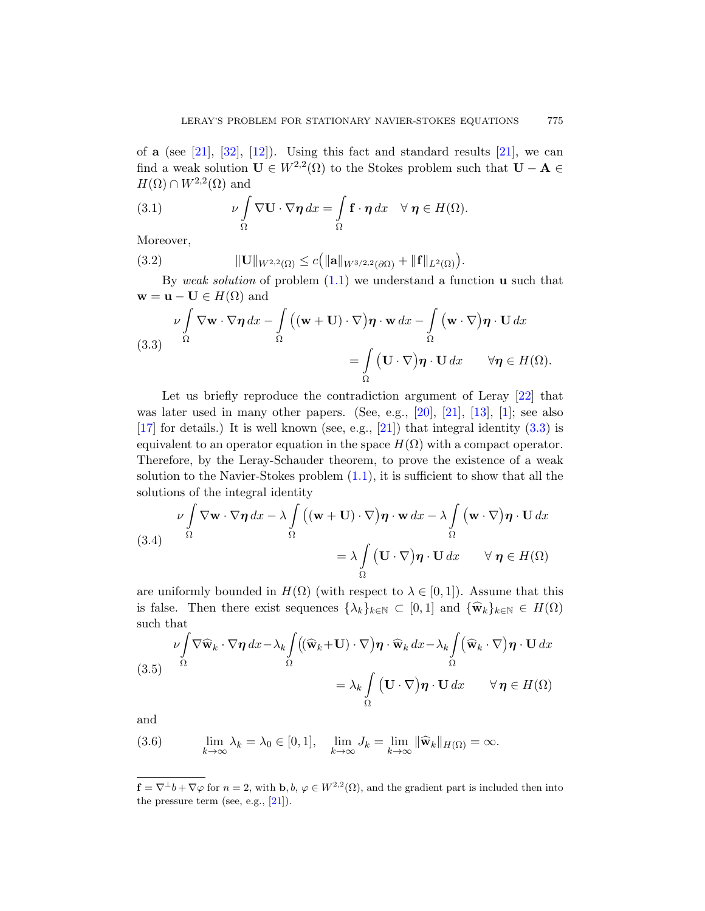of a (see  $[21]$ ,  $[32]$ ,  $[12]$ ). Using this fact and standard results  $[21]$ , we can find a weak solution  $\mathbf{U} \in W^{2,2}(\Omega)$  to the Stokes problem such that  $\mathbf{U} - \mathbf{A} \in$  $H(\Omega) \cap W^{2,2}(\Omega)$  and

(3.1) 
$$
\nu \int_{\Omega} \nabla \mathbf{U} \cdot \nabla \boldsymbol{\eta} dx = \int_{\Omega} \mathbf{f} \cdot \boldsymbol{\eta} dx \quad \forall \ \boldsymbol{\eta} \in H(\Omega).
$$

<span id="page-6-0"></span>Moreover,

(3.2) 
$$
\|\mathbf{U}\|_{W^{2,2}(\Omega)} \leq c \big( \|\mathbf{a}\|_{W^{3/2,2}(\partial \Omega)} + \|\mathbf{f}\|_{L^2(\Omega)} \big).
$$

By weak solution of problem  $(1.1)$  we understand a function **u** such that  $\mathbf{w} = \mathbf{u} - \mathbf{U} \in H(\Omega)$  and

(3.3) 
$$
\nu \int_{\Omega} \nabla \mathbf{w} \cdot \nabla \eta \, dx - \int_{\Omega} ((\mathbf{w} + \mathbf{U}) \cdot \nabla) \eta \cdot \mathbf{w} \, dx - \int_{\Omega} (\mathbf{w} \cdot \nabla) \eta \cdot \mathbf{U} \, dx
$$

$$
= \int_{\Omega} (\mathbf{U} \cdot \nabla) \eta \cdot \mathbf{U} \, dx \qquad \forall \eta \in H(\Omega).
$$

Let us briefly reproduce the contradiction argument of Leray  $[22]$  that was later used in many other papers. (See, e.g., [20], [21], [13], [1]; see also [17] for details.) It is well known (see, e.g., [21]) that integral identity  $(3.3)$  is equivalent to an operator equation in the space  $H(\Omega)$  with a compact operator. Therefore, by the Leray-Schauder theorem, to prove the existence of a weak solution to the Navier-Stokes problem  $(1.1)$ , it is sufficient to show that all the solutions of the integral identity

(3.4) 
$$
\nu \int_{\Omega} \nabla \mathbf{w} \cdot \nabla \eta \, dx - \lambda \int_{\Omega} ((\mathbf{w} + \mathbf{U}) \cdot \nabla) \eta \cdot \mathbf{w} \, dx - \lambda \int_{\Omega} (\mathbf{w} \cdot \nabla) \eta \cdot \mathbf{U} \, dx
$$

$$
= \lambda \int_{\Omega} (\mathbf{U} \cdot \nabla) \eta \cdot \mathbf{U} \, dx \qquad \forall \eta \in H(\Omega)
$$

<span id="page-6-1"></span>are uniformly bounded in  $H(\Omega)$  (with respect to  $\lambda \in [0,1]$ ). Assume that this is false. Then there exist sequences  $\{\lambda_k\}_{k\in\mathbb{N}} \subset [0,1]$  and  $\{\widehat{\mathbf{w}}_k\}_{k\in\mathbb{N}} \in H(\Omega)$ such that

$$
\nu \int_{\Omega} \nabla \widehat{\mathbf{w}}_k \cdot \nabla \eta \, dx - \lambda_k \int_{\Omega} \left( (\widehat{\mathbf{w}}_k + \mathbf{U}) \cdot \nabla \right) \eta \cdot \widehat{\mathbf{w}}_k \, dx - \lambda_k \int_{\Omega} (\widehat{\mathbf{w}}_k \cdot \nabla) \eta \cdot \mathbf{U} \, dx
$$
\n
$$
= \lambda_k \int_{\Omega} (\mathbf{U} \cdot \nabla) \eta \cdot \mathbf{U} \, dx \qquad \forall \eta \in H(\Omega)
$$

and

(3.6) 
$$
\lim_{k \to \infty} \lambda_k = \lambda_0 \in [0, 1], \quad \lim_{k \to \infty} J_k = \lim_{k \to \infty} \|\widehat{\mathbf{w}}_k\|_{H(\Omega)} = \infty.
$$

 $\mathbf{f} = \nabla^{\perp}b + \nabla\varphi$  for  $n = 2$ , with **b**,  $b, \varphi \in W^{2,2}(\Omega)$ , and the gradient part is included then into the pressure term (see, e.g.,  $[21]$ ).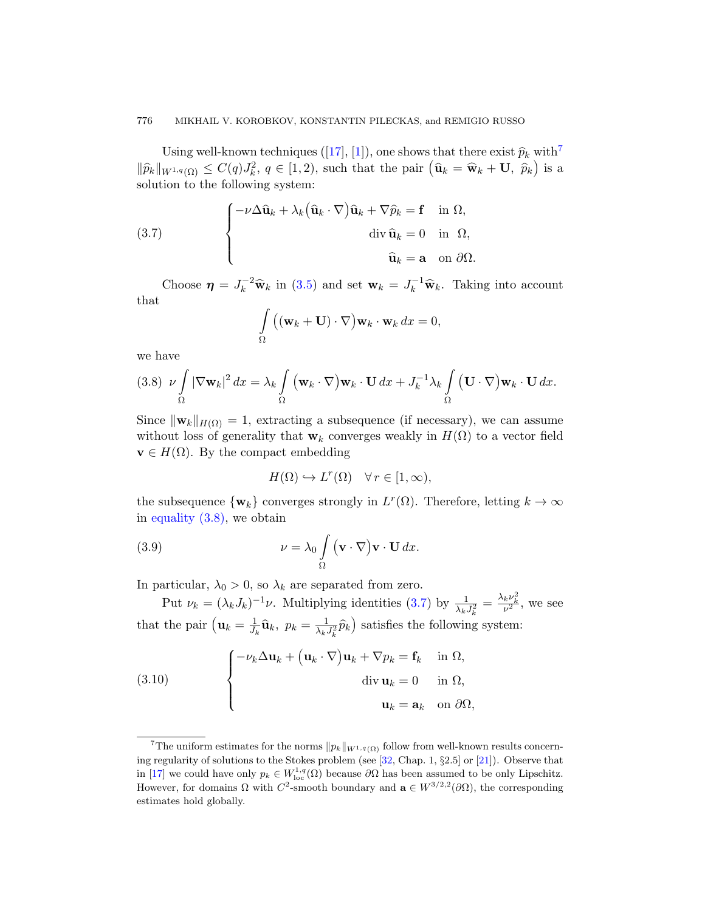#### <span id="page-7-0"></span>776 MIKHAIL V. KOROBKOV, KONSTANTIN PILECKAS, and REMIGIO RUSSO

Using well-known techniques ([17], [1]), one shows that there exist  $\hat{p}_k$  with<sup>7</sup>  $\|\widehat{p}_k\|_{W^{1,q}(\Omega)} \leq C(q)J_k^2, q \in [1,2)$ , such that the pair  $(\widehat{\mathbf{u}}_k = \widehat{\mathbf{w}}_k + \mathbf{U}, \widehat{p}_k)$  is a soluti[on t](#page-6-1)o the following system:

(3.7) 
$$
\begin{cases} -\nu \Delta \widehat{\mathbf{u}}_k + \lambda_k (\widehat{\mathbf{u}}_k \cdot \nabla) \widehat{\mathbf{u}}_k + \nabla \widehat{p}_k = \mathbf{f} & \text{in } \Omega, \\ \text{div } \widehat{\mathbf{u}}_k = 0 & \text{in } \Omega, \\ \widehat{\mathbf{u}}_k = \mathbf{a} & \text{on } \partial \Omega. \end{cases}
$$

Choose  $\eta = J_k^{-2} \widehat{\mathbf{w}}_k$  in (3.5) and set  $\mathbf{w}_k = J_k^{-1} \widehat{\mathbf{w}}_k$ . Taking into account that

$$
\int_{\Omega} ((\mathbf{w}_k + \mathbf{U}) \cdot \nabla) \mathbf{w}_k \cdot \mathbf{w}_k dx = 0,
$$

we have

$$
(3.8) \quad \nu \int_{\Omega} |\nabla \mathbf{w}_k|^2 dx = \lambda_k \int_{\Omega} (\mathbf{w}_k \cdot \nabla) \mathbf{w}_k \cdot \mathbf{U} dx + J_k^{-1} \lambda_k \int_{\Omega} (\mathbf{U} \cdot \nabla) \mathbf{w}_k \cdot \mathbf{U} dx.
$$

<span id="page-7-2"></span>Since  $\|\mathbf{w}_k\|_{H(\Omega)} = 1$ , extracting a subsequence (if necessary), we can assume without loss of generality that  $w_k$  converges weakly in  $H(\Omega)$  to a vector field  $\mathbf{v} \in H(\Omega)$ . By the compact embedding

$$
H(\Omega) \hookrightarrow L^r(\Omega) \quad \forall r \in [1, \infty),
$$

the subsequence  $\{w_k\}$  con[verg](#page-7-0)es strongly in  $L^r(\Omega)$ . Therefore, letting  $k \to \infty$ in equality  $(3.8)$ , we obtain

(3.9) 
$$
\nu = \lambda_0 \int_{\Omega} (\mathbf{v} \cdot \nabla) \mathbf{v} \cdot \mathbf{U} dx.
$$

<span id="page-7-1"></span>In particular,  $\lambda_0 > 0$ , so  $\lambda_k$  are separated from zero.

Put  $\nu_k = (\lambda_k J_k)^{-1} \nu$ . Multiplying identities (3.7) by  $\frac{1}{\lambda_k J_k^2} = \frac{\lambda_k \nu_k^2}{\nu^2}$ , we see that the pair  $(\mathbf{u}_k = \frac{1}{h})$  $\frac{1}{J_k}\widehat{\mathbf{u}}_k, p_k = \frac{1}{\lambda_k}$  $\frac{1}{\lambda_k J_k^2} \hat{p}_k$ ) satisfies the following system:

(3.10) 
$$
\begin{cases}\n-\nu_k \Delta \mathbf{u}_k + (\mathbf{u}_k \cdot \nabla) \mathbf{u}_k + \nabla p_k = \mathbf{f}_k & \text{in } \Omega, \\
\text{div } \mathbf{u}_k = 0 & \text{in } \Omega, \\
\mathbf{u}_k = \mathbf{a}_k & \text{on } \partial \Omega,\n\end{cases}
$$

<sup>&</sup>lt;sup>7</sup>The uniform estimates for the norms  $\|p_k\|_{W^{1,q}(\Omega)}$  follow from well-known results concerning regularity of solutions to the Stokes problem (see [32, Chap. 1, §2.5] or [21]). Observe that in [17] we could have only  $p_k \in W^{1,q}_{loc}(\Omega)$  because  $\partial\Omega$  has been assumed to be only Lipschitz. However, for domains  $\Omega$  with  $C^2$ -smooth boundary and  $\mathbf{a} \in W^{3/2,2}(\partial \Omega)$ , the corresponding estimates hold globally.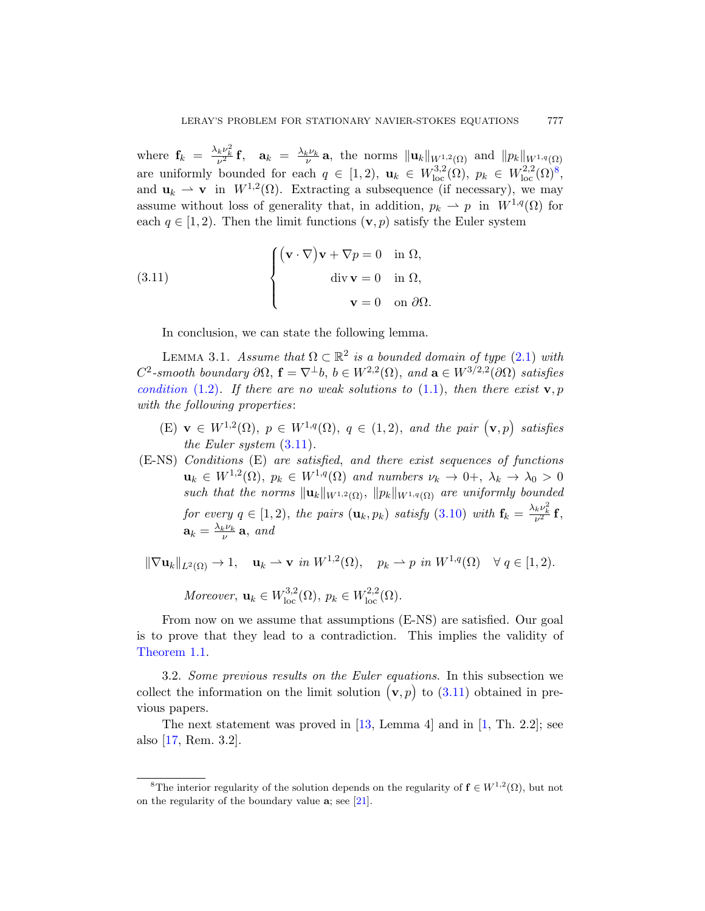<span id="page-8-1"></span>where  $\mathbf{f}_k = \frac{\lambda_k \nu_k^2}{\nu^2} \mathbf{f}$ ,  $\mathbf{a}_k = \frac{\lambda_k \nu_k}{\nu} \mathbf{a}$ , the norms  $\|\mathbf{u}_k\|_{W^{1,2}(\Omega)}$  and  $\|p_k\|_{W^{1,q}(\Omega)}$ are uniformly bounded for each  $q \in [1,2)$ ,  $\mathbf{u}_k \in W^{3,2}_{loc}(\Omega)$ ,  $p_k \in W^{2,2}_{loc}(\Omega)^8$ , and  $\mathbf{u}_k \rightharpoonup \mathbf{v}$  in  $W^{1,2}(\Omega)$ . Extracting a subsequence (if necessary), we may assume without loss of generality that, in addition,  $p_k \rightharpoonup p$  in  $W^{1,q}(\Omega)$  for each  $q \in [1, 2)$ . Then the limit functions  $(\mathbf{v}, p)$  satisfy the Euler system

<span id="page-8-2"></span>(3.11) 
$$
\begin{cases} (\mathbf{v} \cdot \nabla) \mathbf{v} + \nabla p = 0 & \text{in } \Omega, \\ \text{div } \mathbf{v} = 0 & \text{in } \Omega, \\ \mathbf{v} = 0 & \text{on } \partial \Omega. \end{cases}
$$

In conclusion, we can state the following lemma.

LEMMA 3.1. Assume that  $\Omega \subset \mathbb{R}^2$  is a bounded domain of type (2.1) with  $C^2$ -smooth boundary  $\partial\Omega$ ,  $\mathbf{f} = \nabla^{\perp}b$ ,  $b \in W^{2,2}(\Omega)$ , and  $\mathbf{a} \in W^{3/2,2}(\partial\Omega)$  satisfies condition (1.2). If there are no weak solutions to (1.1), then there exist  $\mathbf{v}, p$ with the following properties:

- (E)  $\mathbf{v} \in W^{1,2}(\Omega)$ ,  $p \in W^{1,q}(\Omega)$ ,  $q \in (1,2)$ , and the pair  $(\mathbf{v},p)$  satisfies the Euler system (3.11).
- (E-NS) Conditions (E) are satisfied, and there exist sequences of functions  $\mathbf{u}_k \in W^{1,2}(\Omega)$ ,  $p_k \in W^{1,q}(\Omega)$  and numbers  $\nu_k \to 0^+, \lambda_k \to \lambda_0 > 0$ such that the norms  $\|\mathbf{u}_k\|_{W^{1,2}(\Omega)}$ ,  $\|p_k\|_{W^{1,q}(\Omega)}$  are uniformly bounded for every  $q \in [1, 2)$ , the pairs  $(\mathbf{u}_k, p_k)$  satisfy  $(3.10)$  with  $\mathbf{f}_k = \frac{\lambda_k \nu_k^2}{\nu^2} \mathbf{f}$ ,  $\mathbf{a}_k = \frac{\lambda_k \nu_k}{\nu} \mathbf{a}$ , and

<span id="page-8-0"></span> $\|\nabla \mathbf{u}_k\|_{L^2(\Omega)} \to 1$ ,  $\mathbf{u}_k \to \mathbf{v}$  in  $W^{1,2}(\Omega)$ ,  $p_k \to p$  in  $W^{1,q}(\Omega) \quad \forall q \in [1,2)$ .

Moreover,  $\mathbf{u}_k \in W^{3,2}_{loc}(\Omega)$ ,  $p_k \in W^{2,2}_{loc}(\Omega)$  $p_k \in W^{2,2}_{loc}(\Omega)$ .

From now o[n w](#page-36-9)e assume that assu[mp](#page-35-1)tions (E-NS) are satisfied. Our goal is to prove that they lead to a contradiction. This implies the validity of Theorem 1.1.

3.2. Some previous results on the Euler equations. In this subsection we collect the infor[mat](#page-37-5)ion on the limit solution  $(v, p)$  to  $(3.11)$  obtained in previous papers.

The next statement was proved in [13, Lemma 4] and in [1, Th. 2.2]; see also [17, Rem. 3.2].

<sup>&</sup>lt;sup>8</sup>The interior regularity of the solution depends on the regularity of  $f \in W^{1,2}(\Omega)$ , but not on the regularity of the boundary value a; see [21].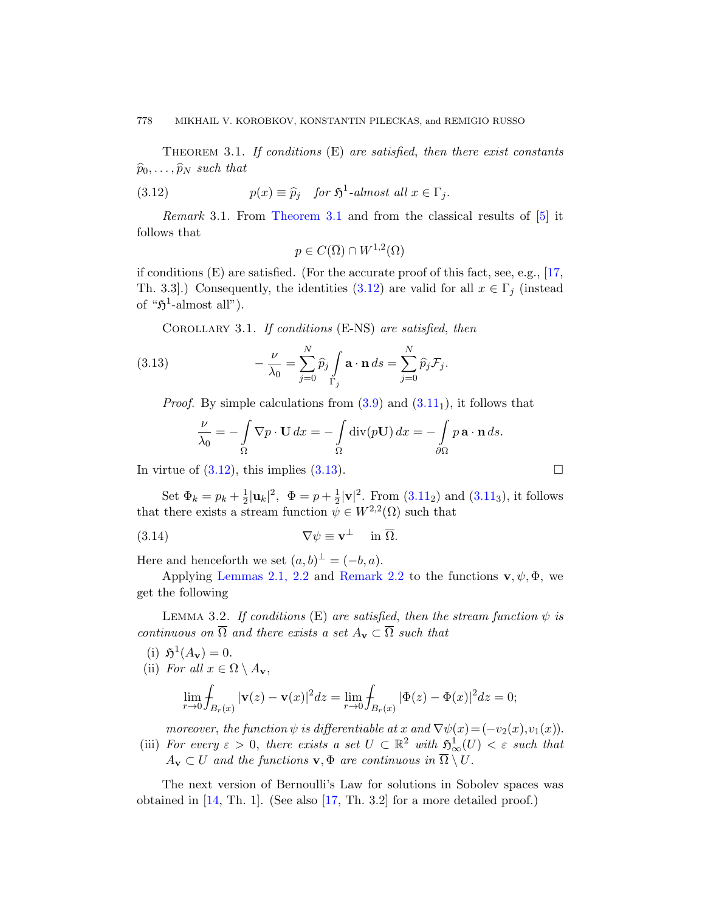<span id="page-9-1"></span><span id="page-9-0"></span>THEOREM 3.1. If conditions  $(E)$  are satisfied, then there exist constants  $\widehat{p}_0, \ldots, \widehat{p}_N$  such that

(3.12) 
$$
p(x) \equiv \widehat{p}_j \quad \text{for } \mathfrak{H}^1\text{-almost all } x \in \Gamma_j.
$$

<span id="page-9-2"></span>Remark 3.1. From Theorem 3.1 and from the classical results of [5] it follows that

$$
p \in C(\overline{\Omega}) \cap W^{1,2}(\Omega)
$$

if conditions (E) are satisfied. (For the accurate proof of this fact, see, e.g., [17, Th. 3.3].) Consequently, the identities (3.12) are valid for all  $x \in \Gamma_j$  (instead of " $\mathfrak{H}^1$ -almost all["\).](#page-7-2)

COROLLARY 3.1. If conditions (E-NS) are satisfied, then

(3.13) 
$$
-\frac{\nu}{\lambda_0} = \sum_{j=0}^N \widehat{p}_j \int_{\Gamma_j} \mathbf{a} \cdot \mathbf{n} \, ds = \sum_{j=0}^N \widehat{p}_j \mathcal{F}_j.
$$

*Proof.* By simple calc[ulati](#page-8-1)ons from  $(3.9)$  and  $(3.11<sub>1</sub>)$ , it follows that

$$
\frac{\nu}{\lambda_0} = -\int_{\Omega} \nabla p \cdot \mathbf{U} \, dx = -\int_{\Omega} \mathrm{div}(p\mathbf{U}) \, dx = -\int_{\partial \Omega} p \, \mathbf{a} \cdot \mathbf{n} \, ds.
$$

[In virtue](#page-4-2) of  $(3.12)$ , this implies  $(3.13)$ .

Set  $\Phi_k = p_k + \frac{1}{2}$  $\frac{1}{2}|\mathbf{u}_k|^2, \ \ \Phi = p + \frac{1}{2}$  $\frac{1}{2}|\mathbf{v}|^2$ . From  $(3.11_2)$  and  $(3.11_3)$ , it follows that there exists a stream function  $\psi \in W^{2,2}(\Omega)$  such that

(3.14) 
$$
\nabla \psi \equiv \mathbf{v}^{\perp} \quad \text{in } \overline{\Omega}.
$$

Here and henceforth we set  $(a, b)^{\perp} = (-b, a)$ .

Applying Lemmas 2.1, 2.2 and Remark 2.2 to the functions  $\mathbf{v}, \psi, \Phi$ , we get the following

LEMMA 3.2. If conditions (E) are satisfied, then the stream function  $\psi$  is continuous on  $\overline{\Omega}$  and there exists a set  $A_{\mathbf{v}} \subset \overline{\Omega}$  such that

- (i)  $\mathfrak{H}^1(A_{\mathbf{v}}) = 0.$
- (ii) For all  $x \in \Omega \setminus A_{\mathbf{v}}$ ,

$$
\lim_{r \to 0} \int_{B_r(x)} |\mathbf{v}(z) - \mathbf{v}(x)|^2 dz = \lim_{r \to 0} \int_{B_r(x)} |\Phi(z) - \Phi(x)|^2 dz = 0;
$$

moreover, the function  $\psi$  is differentiable at x and  $\nabla \psi(x) = (-v_2(x), v_1(x))$ .

(iii) For every  $\varepsilon > 0$ , there exists a set  $U \subset \mathbb{R}^2$  with  $\mathfrak{H}^1_{\infty}(U) < \varepsilon$  such that  $A_{\bf v}\subset U$  and the functions  ${\bf v},\Phi$  are continuous in  $\overline{\Omega}\setminus U$ .

The next version of Bernoulli's Law for solutions in Sobolev spaces was obtained in [14, Th. 1]. (See also [17, Th. 3.2] for a more detailed proof.)

$$
\Box
$$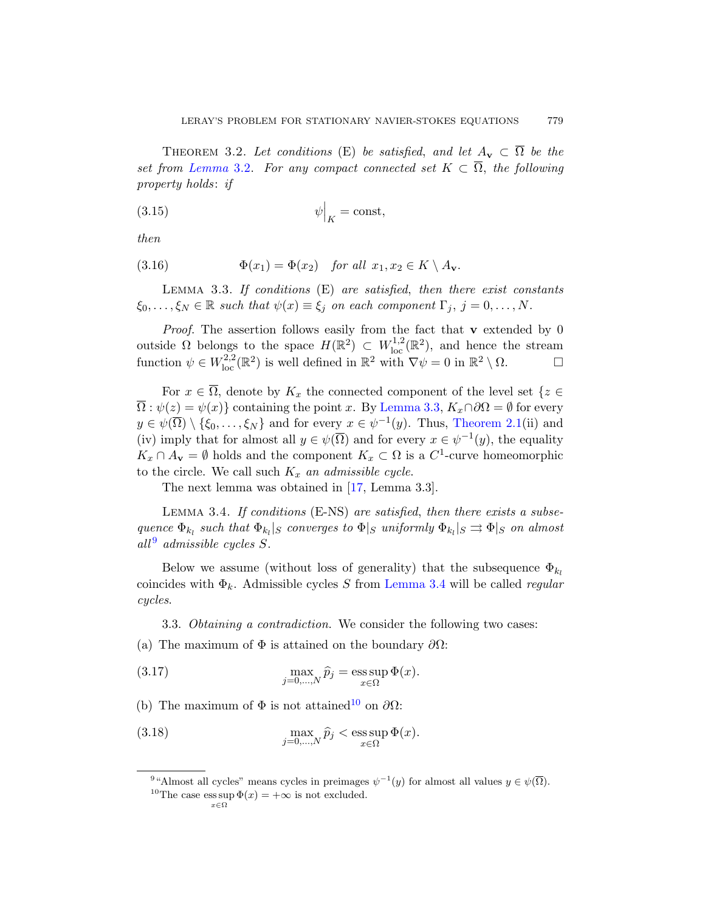<span id="page-10-4"></span>THEOREM 3.2. Let conditions (E) be satisfied, and let  $A_v \subset \overline{\Omega}$  be the set from Lemma 3.2. For any compact connected set  $K \subset \overline{\Omega}$ , the following property holds: if

<span id="page-10-1"></span>
$$
\psi\Big|_K = \text{const},
$$

then

(3.16) 
$$
\Phi(x_1) = \Phi(x_2) \quad \text{for all } x_1, x_2 \in K \setminus A_{\mathbf{v}}.
$$

LEMMA 3.3. If conditions  $(E)$  are satisfied, then there exist constants  $\xi_0, \ldots, \xi_N \in \mathbb{R}$  such t[hat](#page-10-1)  $\psi(x) \equiv \xi_j$  on each component  $\Gamma_j$ ,  $j = 0, \ldots, N$ .

*Proof.* The assertion follows [easily from th](#page-4-3)e fact that  $\bf{v}$  extended by 0 outside  $\Omega$  belongs to the space  $H(\mathbb{R}^2) \subset W^{1,2}_{loc}(\mathbb{R}^2)$ , and hence the stream function  $\psi \in W^{2,2}_{loc}(\mathbb{R}^2)$  is well defined in  $\mathbb{R}^2$  with  $\nabla \psi = 0$  in  $\mathbb{R}^2 \setminus \Omega$ .

<span id="page-10-2"></span>For  $x \in \overline{\Omega}$ , [de](#page-37-4)note by  $K_x$  the connected component of the level set  $\{z \in$  $\overline{\Omega}$ :  $\psi(z) = \psi(x)$ } containing the point x. By Lemma 3.3,  $K_x \cap \partial\Omega = \emptyset$  for every  $y \in \psi(\overline{\Omega}) \setminus {\xi_0, \ldots, \xi_N}$  and for every  $x \in \psi^{-1}(y)$ . Thus, Theorem 2.1(ii) and (iv) imply that for almost all  $y \in \psi(\overline{\Omega})$  and for every  $x \in \psi^{-1}(y)$ , the equality  $K_x \cap A_v = \emptyset$  holds and the component  $K_x \subset \Omega$  is a  $C^1$ -curve homeomorphic to the circle. We call such  $K_x$  an admissible cycle.

The next lemma [was obtaine](#page-10-2)d in [17, Lemma 3.3].

<span id="page-10-0"></span>Lemma 3.4. If conditions (E-NS) are satisfied, then there exists a subsequence  $\Phi_{k_l}$  such that  $\Phi_{k_l}|_S$  converges to  $\Phi|_S$  uniformly  $\Phi_{k_l}|_S \rightrightarrows \Phi|_S$  on almost  $all<sup>9</sup>$  admissible cycles S.

<span id="page-10-3"></span>Below we assume (without loss of generality) that the subsequence  $\Phi_{k_l}$ coincides with  $\Phi_k$ . Admissible cycles S from Lemma 3.4 will be called *regular* cycles.

<span id="page-10-5"></span>3.3. Obtaining a contradiction. We consider the following two cases:

(a) The maximum of  $\Phi$  is attained on the boundary  $\partial\Omega$ :

(3.17) 
$$
\max_{j=0,\dots,N} \hat{p}_j = \operatorname{ess} \sup_{x \in \Omega} \Phi(x).
$$

(b) The maximum of  $\Phi$  is not attained<sup>10</sup> on  $\partial\Omega$ :

(3.18) 
$$
\max_{j=0,\ldots,N} \hat{p}_j < \operatorname{ess} \sup_{x \in \Omega} \Phi(x).
$$

<sup>&</sup>lt;sup>9</sup> "Almost all cycles" means cycles in preimages  $\psi^{-1}(y)$  for almost all values  $y \in \psi(\overline{\Omega})$ .

<sup>&</sup>lt;sup>10</sup>The case ess sup  $\Phi(x) = +\infty$  is not excluded.  $x \in \Omega$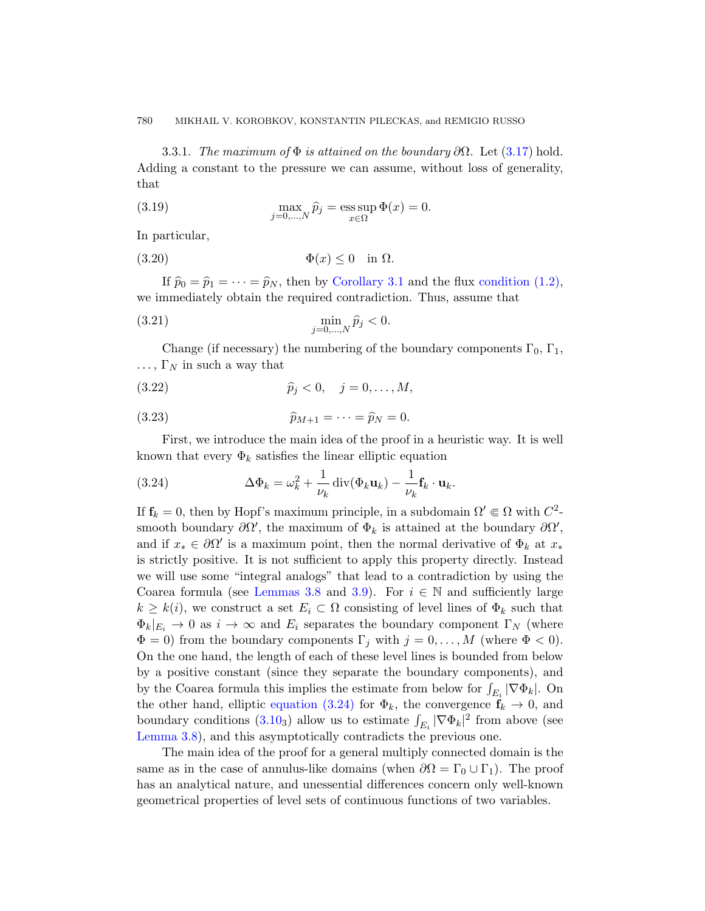<span id="page-11-1"></span>3.3.1. The maximum of  $\Phi$  is attained on the boundary  $\partial\Omega$ . Let (3.17) hold. Adding a co[nstant to the](#page-9-2) pressure we [can assume, wit](#page-0-1)hout loss of generality, that

(3.19) 
$$
\max_{j=0,\dots,N} \widehat{p}_j = \operatorname{ess} \sup_{x \in \Omega} \Phi(x) = 0.
$$

In particular,

$$
(3.20) \t\t\t \Phi(x) \le 0 \t\t \text{in } \Omega.
$$

If  $\hat{p}_0 = \hat{p}_1 = \cdots = \hat{p}_N$ , then by Corollary 3.1 and the flux condition (1.2), we immediately obtain the required contradiction. Thus, assume that

(3.21) 
$$
\min_{j=0,...,N} \hat{p}_j < 0.
$$

Change (if necessary) the numbering of the boundary components  $\Gamma_0$ ,  $\Gamma_1$ ,  $\ldots$ ,  $\Gamma_N$  in such a way that

<span id="page-11-0"></span>(3.22) 
$$
\hat{p}_j < 0, \quad j = 0, ..., M,
$$

(3.23) 
$$
\widehat{p}_{M+1} = \cdots = \widehat{p}_N = 0.
$$

First, we introduce the main idea of the proof in a heuristic way. It is well known that every  $\Phi_k$  satisfies the linear elliptic equation

(3.24) 
$$
\Delta \Phi_k = \omega_k^2 + \frac{1}{\nu_k} \operatorname{div}(\Phi_k \mathbf{u}_k) - \frac{1}{\nu_k} \mathbf{f}_k \cdot \mathbf{u}_k.
$$

If  $f_k = 0$ , then by Hopf's maximum principle, in a subdomain  $\Omega' \in \Omega$  with  $C^2$ smooth boundary  $\partial\Omega'$ , the maximum of  $\Phi_k$  is attained at the boundary  $\partial\Omega'$ , and if  $x_* \in \partial \Omega'$  is a maximum point, then the normal derivative of  $\Phi_k$  at  $x_*$ is strictly positive. It is not sufficient to apply this property directly. Instead we will use some "integral analogs" that lead to a contradiction by using the Coarea formula (see Lemmas 3.8 and 3.9). For  $i \in \mathbb{N}$  and sufficiently large  $k \geq k(i)$ , we construct a set  $E_i \subset \Omega$  consisting of level lines of  $\Phi_k$  such that  $\Phi_k|_{E_i} \to 0$  as  $i \to \infty$  and  $E_i$  separates the boundary component  $\Gamma_N$  (where  $\Phi = 0$ ) from the boundary components  $\Gamma_j$  with  $j = 0, \ldots, M$  (where  $\Phi < 0$ ). On the one hand, the length of each of these level lines is bounded from below by a positive constant (since they separate the boundary components), and by the Coarea formula this implies the estimate from below for  $\int_{E_i} |\nabla \Phi_k|$ . On the other hand, elliptic equation (3.24) for  $\Phi_k$ , the convergence  $\mathbf{f}_k \to 0$ , and boundary conditions (3.10<sub>3</sub>) allow us to estimate  $\int_{E_i} |\nabla \Phi_k|^2$  from above (see Lemma 3.8), and this asymptotically contradicts the previous one.

The main idea of the proof for a general multiply connected domain is the same as in the case of annulus-like domains (when  $\partial\Omega = \Gamma_0 \cup \Gamma_1$ ). The proof has an analytical nature, and unessential differences concern only well-known geometrical properties of level sets of continuous functions of two variables.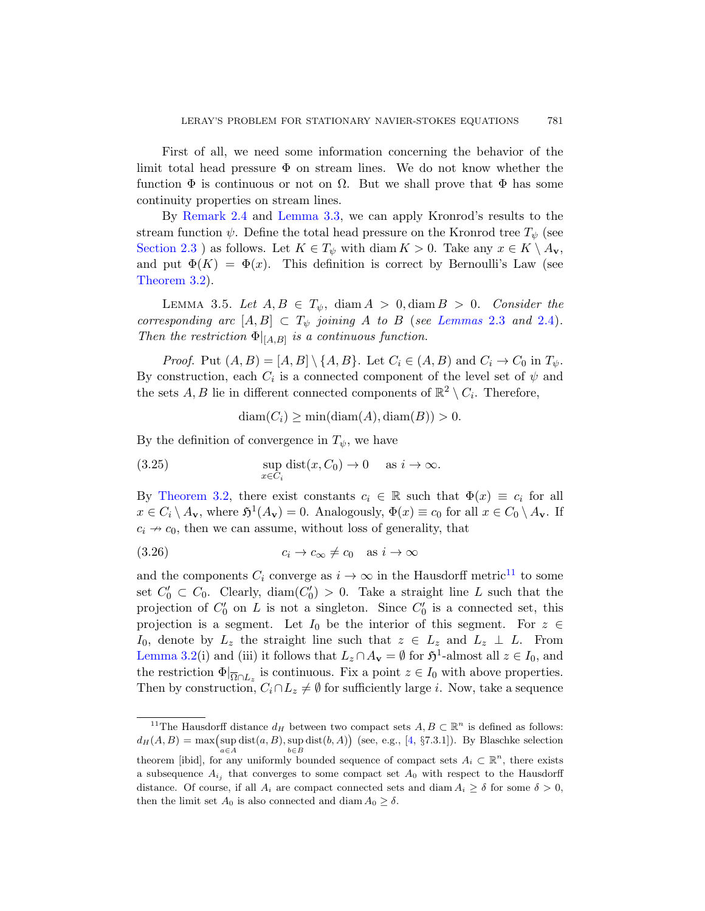First of all, we need some information concerning the behavior of the limit total head pressure  $\Phi$  on stream lines. We do not know whether the function  $\Phi$  is continuous or not on  $\Omega$ . But we shall prove that  $\Phi$  has some continuity properties on stream lines.

<span id="page-12-1"></span>By Remark 2.4 and Lem[ma 3.3, we ca](#page-5-2)n ap[ply K](#page-5-1)ronrod's results to the stream function  $\psi$ . Define the total head pressure on the Kronrod tree  $T_{\psi}$  (see Section 2.3 ) as follows. Let  $K \in T_{\psi}$  with diam  $K > 0$ . Take any  $x \in K \setminus A_{\mathbf{v}}$ , and put  $\Phi(K) = \Phi(x)$ . This definition is correct by Bernoulli's Law (see Theorem 3.2).

LEMMA 3.5. Let  $A, B \in T_{\psi}$ , diam  $A > 0$ , diam  $B > 0$ . Consider the corresponding arc  $[A, B] \subset T_{\psi}$  joining A to B (see Lemmas 2.3 and 2.4). Then the restriction  $\Phi|_{[A,B]}$  is a continuous function.

*Proof.* Put  $(A, B) = [A, B] \setminus \{A, B\}$ . Let  $C_i \in (A, B)$  and  $C_i \to C_0$  in  $T_{\psi}$ . By construction, each  $C_i$  is a connected component of the level set of  $\psi$  and the sets A, B lie in different connected components of  $\mathbb{R}^2 \setminus C_i$ . Therefore,

 $diam(C_i) \ge min(diam(A), diam(B)) > 0.$ 

By the definition of convergence in  $T_{\psi}$ , we have

(3.25) 
$$
\sup_{x \in C_i} \text{dist}(x, C_0) \to 0 \quad \text{as } i \to \infty.
$$

By Theorem 3.2, there exist constants  $c_i \in \mathbb{R}$  such that  $\Phi(x) \equiv c_i$  for all  $x \in C_i \setminus A_{\mathbf{v}}$ , where  $\mathfrak{H}^1(A_{\mathbf{v}}) = 0$ . Analogously,  $\Phi(x) \equiv c_0$  for all  $x \in C_0 \setminus A_{\mathbf{v}}$ . If  $c_i \nightharpoonup c_0$ , then we can assume, without loss of generality, that

$$
(3.26) \t\t\t c_i \to c_\infty \neq c_0 \t as i \to \infty
$$

<span id="page-12-0"></span>and the components  $C_i$  converge as  $i \to \infty$  in the Hausdorff metric<sup>11</sup> to some set  $C'_0 \subset C_0$ . Clearly, diam $(C'_0) > 0$ . Take a straight line L such that the projection of  $C'_0$  on L is not a singleton. Since  $C'_0$  is a connected set, this projection is a segment. Let  $I_0$  be the interior of this segment. For  $z \in$ I<sub>0</sub>, denote by  $L_z$  the str[ai](#page-36-11)ght line such that  $z \in L_z$  and  $L_z \perp L$ . From Lemma 3.2(i) and (iii) it follows that  $L_z \cap A_v = \emptyset$  for  $\mathfrak{H}^1$ -almost all  $z \in I_0$ , and the restriction  $\Phi|_{\overline{\Omega} \cap L_z}$  is continuous. Fix a point  $z \in I_0$  with above properties. Then by construction,  $C_i \cap L_z \neq \emptyset$  for sufficiently large *i*. Now, take a sequence

<sup>&</sup>lt;sup>11</sup>The Hausdorff distance  $d_H$  between two compact sets  $A, B \subset \mathbb{R}^n$  is defined as follows:  $d_H(A, B) = \max(\sup \text{dist}(a, B), \sup \text{dist}(b, A))$  (see, e.g., [4, §7.3.1]). By Blaschke selection a∈A  $b \in B$ theorem [ibid], for any uniformly bounded sequence of compact sets  $A_i \subset \mathbb{R}^n$ , there exists a subsequence  $A_{i_j}$  that converges to some compact set  $A_0$  with respect to the Hausdorff

distance. Of course, if all  $A_i$  are compact connected sets and diam  $A_i \geq \delta$  for some  $\delta > 0$ , then the limit set  $A_0$  is also connected and diam  $A_0 \ge \delta$ .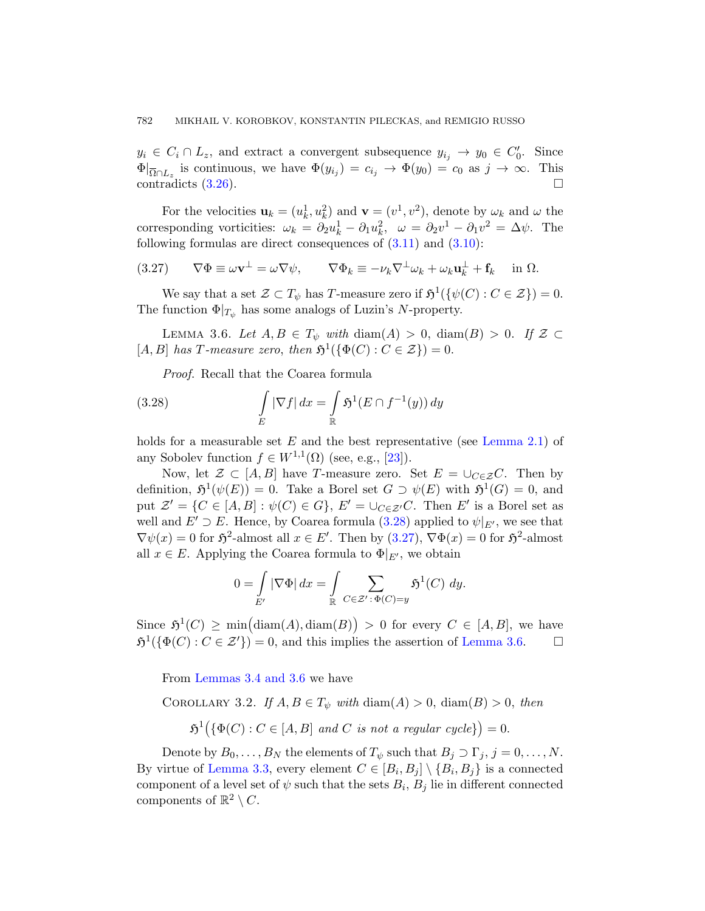<span id="page-13-1"></span> $y_i \in C_i \cap L_z$ , and ext[ract a](#page-8-1) conv[ergen](#page-7-1)t subsequence  $y_{i_j} \to y_0 \in C'_0$ . Since  $\Phi|_{\overline{\Omega} \cap L_z}$  is continuous, we have  $\Phi(y_{i_j}) = c_{i_j} \to \Phi(y_0) = c_0$  as  $j \to \infty$ . This contradicts  $(3.26)$ .

<span id="page-13-2"></span>For the velocities  $\mathbf{u}_k = (u_k^1, u_k^2)$  and  $\mathbf{v} = (v^1, v^2)$ , denote by  $\omega_k$  and  $\omega$  the corresponding vorticities:  $\omega_k = \partial_2 u_k^1 - \partial_1 u_k^2$ ,  $\omega = \partial_2 v^1 - \partial_1 v^2 = \Delta \psi$ . The following formulas are direct consequences of  $(3.11)$  and  $(3.10)$ :

(3.27) 
$$
\nabla \Phi \equiv \omega \mathbf{v}^{\perp} = \omega \nabla \psi, \qquad \nabla \Phi_k \equiv -\nu_k \nabla^{\perp} \omega_k + \omega_k \mathbf{u}_k^{\perp} + \mathbf{f}_k \quad \text{in } \Omega.
$$

<span id="page-13-0"></span>We say that a set  $\mathcal{Z} \subset T_{\psi}$  has T-measure zero if  $\mathfrak{H}^1(\{\psi(C) : C \in \mathcal{Z}\}) = 0$ . The function  $\Phi|_{T_{\psi}}$  has some analogs of Luzin's N-property.

LEMMA 3.6. Let  $A, B \in T_{\psi}$  with  $\text{diam}(A) > 0$ ,  $\text{diam}(B) > 0$ . If  $\mathcal{Z} \subset$ [A, B] has T-measure [zero](#page-37-8), then  $\mathfrak{H}^1(\{\Phi(C): C \in \mathcal{Z}\}) = 0$ .

Proof. Recall that the Coarea formula

(3.28) 
$$
\int\limits_E |\nabla f| dx = \int\limits_{\mathbb{R}} \mathfrak{H}^1(E \cap f^{-1}(y)) dy
$$

holds for a measurable [set](#page-13-1)  $E$  and the best representative (see Lemma 2.1) of any Sobolev function  $f \in W^{1,1}(\Omega)$  (see, e.g., [23]).

Now, let  $\mathcal{Z} \subset [A, B]$  have T-measure zero. Set  $E = \bigcup_{C \in \mathcal{Z}} C$ . Then by definition,  $\mathfrak{H}^1(\psi(E)) = 0$ . Take a Borel set  $G \supset \psi(E)$  with  $\mathfrak{H}^1(G) = 0$ , and put  $\mathcal{Z}' = \{C \in [A, B] : \psi(C) \in G\}$ ,  $E' = \bigcup_{C \in \mathcal{Z}'} C$ . Then  $E'$  is a Borel set as well and  $E' \supset E$ . Hence, by Coarea formula (3.28) applied to  $\psi|_{E'}$ , we see that  $\nabla \psi(x) = 0$  for  $\mathfrak{H}^2$ -almost all  $x \in E'$ . Then by  $(3.27)$ ,  $\nabla \Phi(x) = 0$  for  $\mathfrak{H}^2$ -almost all  $x \in E$ . Applying the Coarea formula to  $\Phi|_{E'}$ , we obtain

$$
0 = \int\limits_{E'} |\nabla \Phi| \, dx = \int\limits_{\mathbb{R}} \sum\limits_{C \in \mathcal{Z}' \, : \, \Phi(C) = y} \mathfrak{H}^1(C) \, dy.
$$

<span id="page-13-3"></span>Since  $\mathfrak{H}^1(C) \ge \min(\text{diam}(A), \text{diam}(B)) > 0$  for every  $C \in [A, B]$ , we have  $\mathfrak{H}^1(\{\Phi(C): C \in \mathcal{Z}'\}) = 0$ , and this implies the assertion of Lemma 3.6.  $\Box$ 

From Lemmas 3.4 and 3.6 we have

COROLLARY 3.2. If  $A, B \in T_{\psi}$  with  $\text{diam}(A) > 0$ ,  $\text{diam}(B) > 0$ , then

 $\mathfrak{H}^1(\{\Phi(C): C \in [A, B] \text{ and } C \text{ is not a regular cycle}\}) = 0.$ 

Denote by  $B_0, \ldots, B_N$  the elements of  $T_{\psi}$  such that  $B_j \supset \Gamma_j$ ,  $j = 0, \ldots, N$ . By virtue of Lemma 3.3, every element  $C \in [B_i, B_j] \setminus \{B_i, B_j\}$  is a connected component of a level set of  $\psi$  such that the sets  $B_i$ ,  $B_j$  lie in different connected components of  $\mathbb{R}^2 \setminus C$ .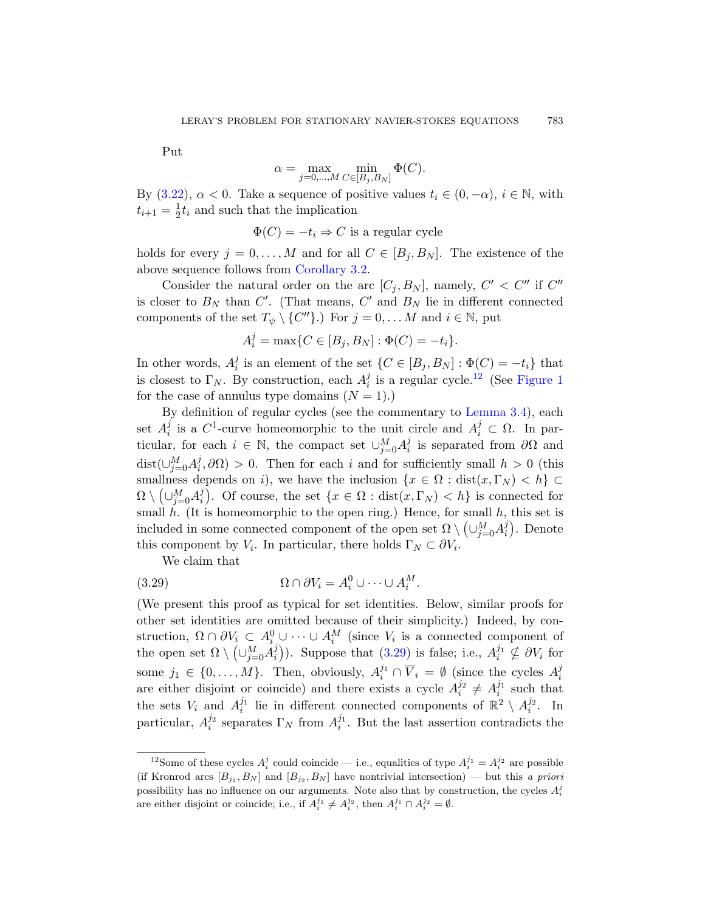Put

$$
\alpha = \max_{j=0,\dots,M} \min_{C \in [B_j, B_N]} \Phi(C).
$$

By  $(3.22)$ ,  $\alpha < 0$ . Take a sequence of positive values  $t_i \in (0, -\alpha)$ ,  $i \in \mathbb{N}$ , with  $t_{i+1} = \frac{1}{2}$  $\frac{1}{2}t_i$  and such that the implication

 $\Phi(C) = -t_i \Rightarrow C$  is a regular cycle

holds for every  $j = 0, ..., M$  and for all  $C \in [B_i, B_N]$ . The existence of the above sequence follows from Corollary 3.2.

Consider the natural order on t[he a](#page-14-0)rc  $[C_j, B_N]$ , namely,  $C' < C''$  if  $C''$ is closer to  $B_N$  than  $C'$ . (That means,  $C'$  and  $B_N$  lie in different connected components of the set  $T_{\psi} \setminus \{C''\}$ .) For  $j = 0, \dots M$  $j = 0, \dots M$  $j = 0, \dots M$  and  $i \in \mathbb{N}$ , put

$$
A_i^j = \max\{C \in [B_j, B_N] : \Phi(C) = -t_i\}.
$$

In other words,  $A_i^j$ <sup>j</sup> is an element of the set  $\{C \in [B_j, B_N] : \Phi(C) = -t_i\}$  that is closest to  $\Gamma_N$ . By construction, each  $A_i^j$  $i$  is a regular cycle.<sup>12</sup> (See Figure 1 for the case of annulus type domains  $(N = 1)$ .)

<span id="page-14-1"></span>By definition of regular cycles (see the commentary to Lemma 3.4), each set  $A_i^j$  $i$  is a C<sup>1</sup>-curve homeomorphic to the unit circle and  $A_i^j \subset \Omega$ . In particular, for each  $i \in \mathbb{N}$ , the compact set  $\cup_{j=0}^M A_i^j$  $\frac{J}{i}$  is separated from  $\partial\Omega$  and dist $\left(\cup_{j=0}^M A_i^j\right)$  $i<sub>i</sub>, \partial\Omega$ ) > 0. Then for each i and for sufficiently small  $h > 0$  (this smallness depends on i), we have the inclusion  $\{x \in \Omega : dist(x, \Gamma_N) < h\}$  $\Omega \setminus \bigl( \cup_{j=0}^M A_i^j$ *i*). Of course, the set  $\{x \in \Omega : \text{dist}(x, \Gamma_N) < h\}$  is connected for small  $h$ . (It is homeomorphic to the open ring.) Hence, for small  $h$ , this set is included in some connected component of the open set  $\Omega \setminus \left(\cup_{j=0}^M A_i^j\right)$  $i$ ). Denote this component by  $V_i$ [. In p](#page-14-1)articular, there holds  $\Gamma_N \subset \partial V_i$ .

We claim that

(3.29) 
$$
\Omega \cap \partial V_i = A_i^0 \cup \cdots \cup A_i^M.
$$

<span id="page-14-0"></span>(We present this proof as typical for set identities. Below, similar proofs for other set identities are omitted because of their simplicity.) Indeed, by construction,  $\Omega \cap \partial V_i \subset A_i^0 \cup \cdots \cup A_i^M$  (since  $V_i$  is a connected component of the open set  $\Omega \setminus \left(\cup_{j=0}^M A_i^j\right)$  $\binom{j}{i}$ ). Suppose that (3.29) is false; i.e.,  $A_i^{j_1} \nsubseteq \partial V_i$  for some  $j_1 \in \{0, ..., M\}$ . Then, obviously,  $A_i^{j_1} \cap \overline{V}_i = \emptyset$  (since the cycles  $A_i^j$ i are either disjoint or coincide) and there exists a cycle  $A_i^{j_2} \neq A_i^{j_1}$  such that the sets  $V_i$  and  $A_i^{j_1}$  lie in different connected components of  $\mathbb{R}^2 \setminus A_i^{j_2}$ . In particular,  $A_i^{j_2}$  separates  $\Gamma_N$  from  $A_i^{j_1}$ . But the last assertion contradicts the

<sup>&</sup>lt;sup>12</sup>Some of these cycles  $A_i^j$  could coincide — i.e., equalities of type  $A_i^{j_1} = A_i^{j_2}$  are possible (if Kronrod arcs  $[B_{j_1}, B_N]$  and  $[B_{j_2}, B_N]$  have nontrivial intersection) — but this a priori possibility has no influence on our arguments. Note also that by construction, the cycles  $A_i^j$ are either disjoint or coincide; i.e., if  $A_i^{j_1} \neq A_i^{j_2}$ , then  $A_i^{j_1} \cap A_i^{j_2} = \emptyset$ .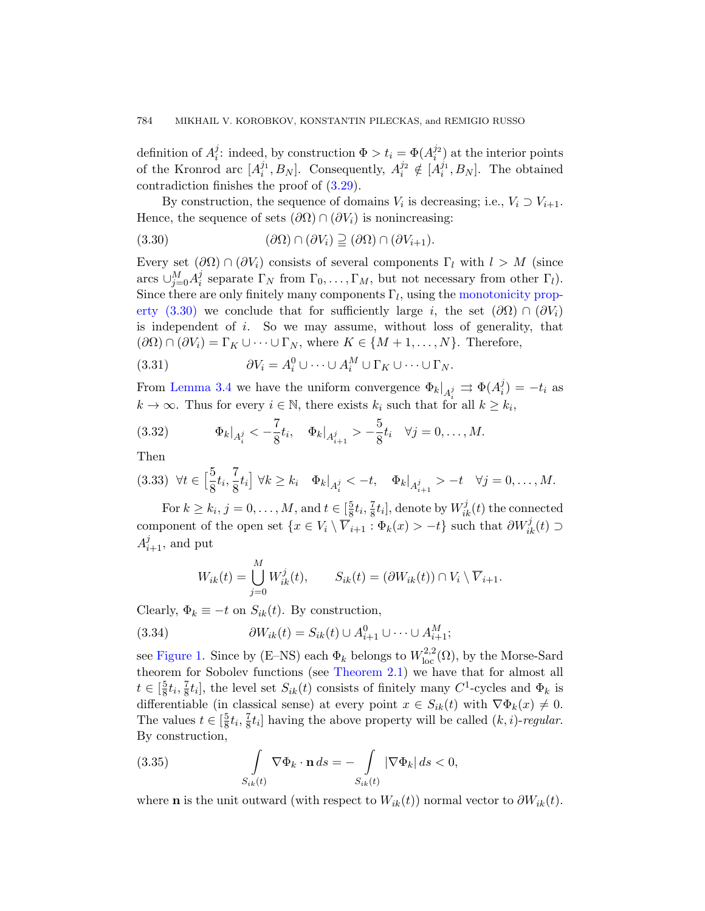<span id="page-15-0"></span>definition of  $A_i^j$ <sup>j</sup>: indeed, by construction  $\Phi > t_i = \Phi(A_i^{j_2})$  at the interior points of the Kronrod arc  $[A_i^{j_1}, B_N]$ . Consequently,  $A_i^{j_2} \notin [A_i^{j_1}, B_N]$ . The obtained contradiction finishes the proof of (3.29).

By construction, the sequence [of domains](#page-15-0)  $V_i$  is decreasing; i.e.,  $V_i \supset V_{i+1}$ . Hence, the sequence of sets  $(\partial\Omega) \cap (\partial V_i)$  is nonincreasing:

(3.30) 
$$
(\partial \Omega) \cap (\partial V_i) \supseteq (\partial \Omega) \cap (\partial V_{i+1}).
$$

Every set  $(\partial\Omega) \cap (\partial V_i)$  consists of several components  $\Gamma_l$  with  $l > M$  (since arcs  $\cup_{j=0}^M A_i^j$ <sup>*i*</sup> separate  $\Gamma_N$  from  $\Gamma_0, \ldots, \Gamma_M$ , but not necessary from other  $\Gamma_l$ ). Since there are only finitely many components  $\Gamma_l$ , using the monotonicity property (3.30) we conclude that for sufficiently large i, the set  $(\partial\Omega) \cap (\partial V_i)$ is independent of  $i$ . So we may assume, without loss of generality, that  $(∂Ω) ∩ (∂V<sub>i</sub>) = Γ<sub>K</sub> ∪ ··· ∪ Γ<sub>N</sub>, where  $K ∈ \{M + 1, ..., N\}$ . Therefore,$ 

<span id="page-15-3"></span><span id="page-15-2"></span>(3.31)  $\partial V_i = A_i^0 \cup \cdots \cup A_i^M \cup \Gamma_K \cup \cdots \cup \Gamma_N.$ 

From Lemma 3.4 we have the uniform convergence  $\Phi_k|_{A_i^j} \rightrightarrows \Phi(A_i^j)$  $i_j^{(j)} = -t_i$  as  $k \to \infty$ . Thus for every  $i \in \mathbb{N}$ , there exists  $k_i$  such that for all  $k \geq k_i$ ,

(3.32) 
$$
\Phi_k|_{A_i^j} < -\frac{7}{8}t_i, \quad \Phi_k|_{A_{i+1}^j} > -\frac{5}{8}t_i \quad \forall j = 0, ..., M.
$$

Then

$$
(3.33) \ \forall t \in \left[\frac{5}{8}t_i, \frac{7}{8}t_i\right] \forall k \geq k_i \quad \Phi_k|_{A_i^j} < -t, \quad \Phi_k|_{A_{i+1}^j} > -t \quad \forall j = 0, \dots, M.
$$

For  $k \geq k_i$ ,  $j = 0, \ldots, M$ , and  $t \in \left[\frac{5}{8}\right]$  $\frac{5}{8}t_{i}, \frac{7}{8}$  $\frac{7}{8}t_i$ ], denote by  $W_{ik}^j(t)$  the connected component of the open set  $\{x \in V_i \setminus \overline{V}_{i+1} : \Phi_k(x) > -t\}$  such that  $\partial W_{ik}^j(t) \supset$  $A_{i+1}^j$ , and put

$$
W_{ik}(t) = \bigcup_{j=0}^{M} W_{ik}^j(t), \qquad S_{ik}(t) = (\partial W_{ik}(t)) \cap V_i \setminus \overline{V}_{i+1}.
$$

Clearly,  $\Phi_k \equiv -t$  on  $S_{ik}(t)$ . By construction,

(3.34) 
$$
\partial W_{ik}(t) = S_{ik}(t) \cup A_{i+1}^0 \cup \dots \cup A_{i+1}^M;
$$

<span id="page-15-1"></span>see Figure 1. Since by (E–NS) each  $\Phi_k$  belongs to  $W^{2,2}_{loc}(\Omega)$ , by the Morse-Sard theorem for Sobolev functions (see Theorem 2.1) we have that for almost all  $t \in \left[\frac{5}{8}\right]$  $\frac{5}{8}t_i, \frac{7}{8}$  $\frac{7}{8}t_i$ , the level set  $S_{ik}(t)$  consists of finitely many  $C^1$ -cycles and  $\Phi_k$  is differentiable (in classical sense) at every point  $x \in S_{ik}(t)$  with  $\nabla \Phi_k(x) \neq 0$ . The values  $t \in \left[\frac{5}{8}\right]$  $\frac{5}{8}t_i, \frac{7}{8}$  $\frac{1}{8}t_i$  having the above property will be called  $(k, i)$ -regular. By construction,

(3.35) 
$$
\int_{S_{ik}(t)} \nabla \Phi_k \cdot \mathbf{n} \, ds = - \int_{S_{ik}(t)} |\nabla \Phi_k| \, ds < 0,
$$

where **n** is the unit outward (with respect to  $W_{ik}(t)$ ) normal vector to  $\partial W_{ik}(t)$ .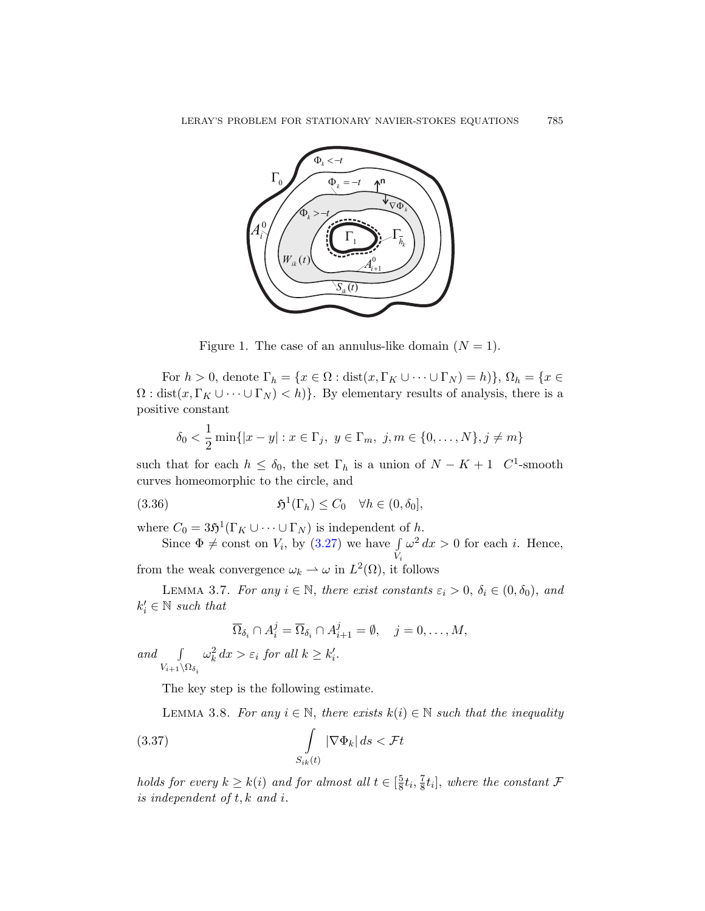

<span id="page-16-1"></span>Figure 1. The case of an annulus-like domain  $(N = 1)$ .

For  $h > 0$ , denote  $\Gamma_h = \{x \in \Omega : \text{dist}(x, \Gamma_K \cup \cdots \cup \Gamma_N) = h\}$ ,  $\Omega_h = \{x \in$  $\Omega$ : dist $(x, \Gamma_K \cup \cdots \cup \Gamma_N) < h$ . By elementary results of analysis, there is a positive constant

$$
\delta_0 < \frac{1}{2} \min\{|x - y| : x \in \Gamma_j, y \in \Gamma_m, j, m \in \{0, ..., N\}, j \neq m\}
$$

such that for each  $h \leq \delta_0$ , the set  $\Gamma_h$  is a union of  $N - K + 1$  C<sup>1</sup>-smooth curves homeomorphic to the circle, and

(3.36) 
$$
\mathfrak{H}^1(\Gamma_h) \leq C_0 \quad \forall h \in (0, \delta_0],
$$

where  $C_0 = 3\mathfrak{H}^1(\Gamma_K \cup \cdots \cup \Gamma_N)$  is independent of h.

Since  $\Phi \neq \text{const}$  on  $V_i$ , by  $(3.27)$  we have  $\int$ Vi  $\omega^2 dx > 0$  for each *i*. Hence,

from the weak convergence  $\omega_k \rightharpoonup \omega$  in  $L^2(\Omega)$ , it follows

<span id="page-16-0"></span>LEMMA 3.7. For any  $i \in \mathbb{N}$ , there exist constants  $\varepsilon_i > 0$ ,  $\delta_i \in (0, \delta_0)$ , and  $k'_i \in \mathbb{N}$  such that

$$
\overline{\Omega}_{\delta_i} \cap A_i^j = \overline{\Omega}_{\delta_i} \cap A_{i+1}^j = \emptyset, \quad j = 0, \dots, M,
$$

<span id="page-16-2"></span>and  $\int$  $V_{i+1}\backslash\Omega_{\delta_i}$  $\omega_k^2 dx > \varepsilon_i$  for all  $k \geq k'_i$ .

The key step is the following estimate.

LEMMA 3.8. For any  $i \in \mathbb{N}$ , there exists  $k(i) \in \mathbb{N}$  such that the inequality

(3.37) 
$$
\int_{S_{ik}(t)} |\nabla \Phi_k| ds < \mathcal{F}t
$$

holds for every  $k \geq k(i)$  and for almost all  $t \in \left[\frac{5}{8}\right]$  $\frac{5}{8}t_i, \frac{7}{8}$  $\frac{7}{8}t_i$ , where the constant  $\mathcal F$ is independent of t, k and i.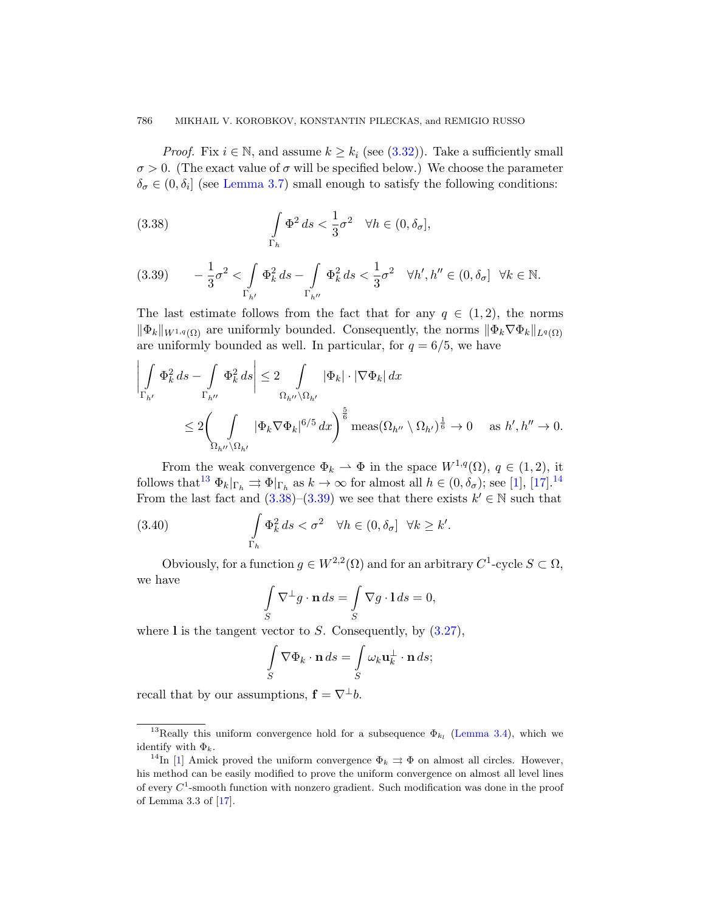#### <span id="page-17-0"></span>786 MIKHAIL V. KOROBKOV, KONSTANTIN PILECKAS, and REMIGIO RUSSO

<span id="page-17-1"></span>*Proof.* Fix  $i \in \mathbb{N}$ , and assume  $k \geq k_i$  (see (3.32)). Take a sufficiently small  $\sigma > 0$ . (The exact value of  $\sigma$  will be specified below.) We choose the parameter  $\delta_{\sigma} \in (0, \delta_i]$  (see Lemma 3.7) small enough to satisfy the following conditions:

(3.38) 
$$
\int_{\Gamma_h} \Phi^2 ds < \frac{1}{3} \sigma^2 \quad \forall h \in (0, \delta_\sigma],
$$

$$
(3.39) \qquad -\frac{1}{3}\sigma^2 < \int\limits_{\Gamma_{h'}} \Phi_k^2\, ds - \int\limits_{\Gamma_{h''}} \Phi_k^2\, ds < \frac{1}{3}\sigma^2 \quad \forall h', h'' \in (0,\delta_\sigma] \quad \forall k\in \mathbb{N}.
$$

The last estimate follows from the fact that for any  $q \in (1, 2)$ , the norms  $\|\Phi_k\|_{W^{1,q}(\Omega)}$  are uniformly bounded. Consequently, the norms  $\|\Phi_k\nabla\Phi_k\|_{L^q(\Omega)}$ are uniformly bounded as well. In particular, for  $q = 6/5$ , we have

$$
\left| \int\limits_{\Gamma_{h'}} \Phi_k^2 ds - \int\limits_{\Gamma_{h''}} \Phi_k^2 ds \right| \leq 2 \int\limits_{\Omega_{h''}\backslash\Omega_{h'}} |\Phi_k| \cdot |\nabla \Phi_k| dx
$$
  

$$
\leq 2 \left( \int\limits_{\Omega_{h''}\backslash\Omega_{h'}} |\Phi_k \nabla \Phi_k|^{6/5} dx \right)^{\frac{5}{6}} \text{meas} (\Omega_{h''} \setminus \Omega_{h'})^{\frac{1}{6}} \to 0 \quad \text{as } h', h'' \to 0.
$$

From the weak convergence  $\Phi_k \rightharpoonup \Phi$  in the space  $W^{1,q}(\Omega)$ ,  $q \in (1,2)$ , it follows that<sup>13</sup>  $\Phi_k|_{\Gamma_h} \rightrightarrows \Phi|_{\Gamma_h}$  as  $k \to \infty$  for almost all  $h \in (0, \delta_{\sigma})$ ; see [1], [17].<sup>14</sup> From the last fact and  $(3.38)$ – $(3.39)$  we see that there exists  $k' \in \mathbb{N}$  such that

(3.40) 
$$
\int_{\Gamma_h} \Phi_k^2 ds < \sigma^2 \quad \forall h \in (0, \delta_\sigma] \quad \forall k \geq k'.
$$

Obviously, for a function  $g \in W^{2,2}(\Omega)$  and for an arbitrary  $C^1$ -cycle  $S \subset \Omega$ , we have

$$
\int_{S} \nabla^{\perp} g \cdot \mathbf{n} \, ds = \int_{S} \nabla g \cdot 1 \, ds = 0,
$$

where I is the tangent vector to  $S$ . [Conseque](#page-10-2)ntly, by  $(3.27)$ ,

$$
\int_{S} \nabla \Phi_k \cdot \mathbf{n} \, ds = \int_{S} \omega_k \mathbf{u}_k^{\perp} \cdot \mathbf{n} \, ds;
$$

recall that by our assumptions,  $\mathbf{f} = \nabla^{\perp} b$ .

<sup>&</sup>lt;sup>13</sup>Really this uniform convergence hold for a subsequence  $\Phi_{k_l}$  (Lemma 3.4), which we identify with  $\Phi_k$ .

<sup>&</sup>lt;sup>14</sup>In [1] Amick proved the uniform convergence  $\Phi_k \rightrightarrows \Phi$  on almost all circles. However, his method can be easily modified to prove the uniform convergence on almost all level lines of every  $C^1$ -smooth function with nonzero gradient. Such modification was done in the proof of Lemma 3.3 of [17].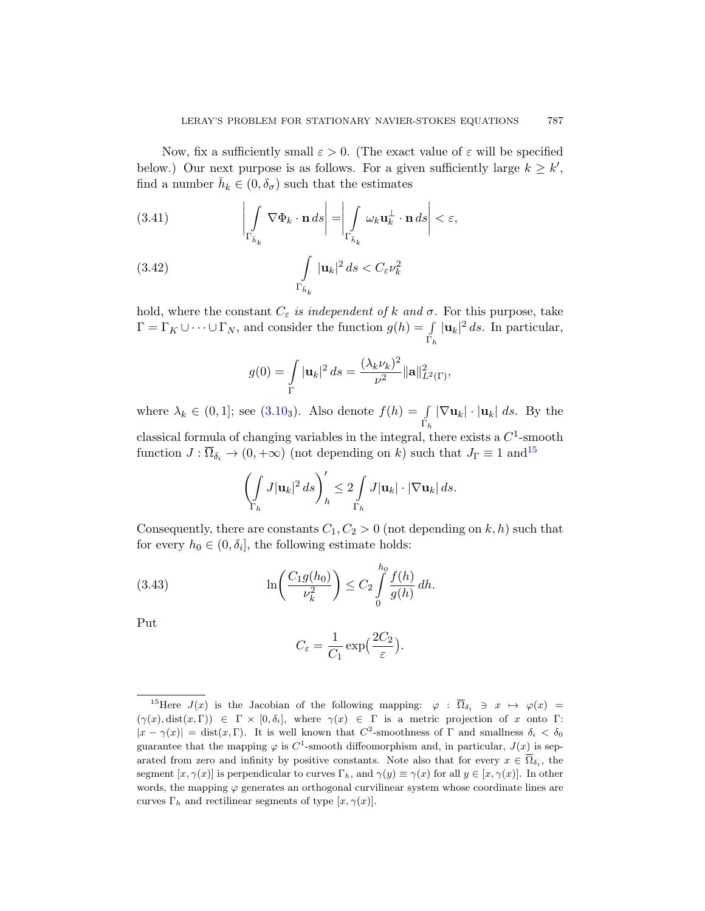<span id="page-18-2"></span><span id="page-18-1"></span>Now, fix a sufficiently small  $\varepsilon > 0$ . (The exact value of  $\varepsilon$  will be specified below.) Our next purpose is as follows. For a given sufficiently large  $k \geq k'$ , find a number  $\bar{h}_k \in (0, \delta_{\sigma})$  such that the estimates

(3.41) 
$$
\left| \int_{\Gamma_{\bar{h}_k}} \nabla \Phi_k \cdot \mathbf{n} \, ds \right| = \left| \int_{\Gamma_{\bar{h}_k}} \omega_k \mathbf{u}_k^{\perp} \cdot \mathbf{n} \, ds \right| < \varepsilon,
$$

(3.42) 
$$
\int_{\Gamma_{\bar{h}_k}} |\mathbf{u}_k|^2 ds < C_{\varepsilon} \nu_k^2
$$

[hold,](#page-7-1) where the constant  $C_{\varepsilon}$  is independent of k and  $\sigma$ . For this purpose, take  $\Gamma = \Gamma_K \cup \cdots \cup \Gamma_N$ , and consider the function  $g(h) = \int$  $\Gamma_h$  $|\mathbf{u}_k|^2 ds$ . In particular,

$$
g(0) = \int_{\Gamma} |\mathbf{u}_k|^2 ds = \frac{(\lambda_k \nu_k)^2}{\nu^2} ||\mathbf{a}||_{L^2(\Gamma)}^2,
$$

where  $\lambda_k \in (0,1]$ ; see  $(3.10_3)$ . Also denote  $f(h) = \int$  $\Gamma_h$  $|\nabla \mathbf{u}_k| \cdot |\mathbf{u}_k| \, ds.$  By the classical formula of changing variables in the integral, there exists a  $C^1$ -smooth function  $J : \overline{\Omega}_{\delta_i} \to (0, +\infty)$  (not depending on k) such that  $J_{\Gamma} \equiv 1$  and  $15$ 

$$
\left(\int\limits_{\Gamma_h} J|\mathbf{u}_k|^2 ds\right)_h' \leq 2 \int\limits_{\Gamma_h} J|\mathbf{u}_k|\cdot |\nabla \mathbf{u}_k| ds.
$$

<span id="page-18-3"></span>Consequently, there are constants  $C_1, C_2 > 0$  (not depending on k, h) such that for every  $h_0 \in (0, \delta_i]$ , the following estimate holds:

(3.43) 
$$
\ln\left(\frac{C_1 g(h_0)}{\nu_k^2}\right) \leq C_2 \int_0^{h_0} \frac{f(h)}{g(h)} dh.
$$

<span id="page-18-0"></span>Put

$$
C_{\varepsilon} = \frac{1}{C_1} \exp\left(\frac{2C_2}{\varepsilon}\right).
$$

<sup>&</sup>lt;sup>15</sup>Here  $J(x)$  is the Jacobian of the following mapping:  $\varphi : \overline{\Omega}_{\delta_i} \ni x \mapsto \varphi(x) =$  $(\gamma(x), \text{dist}(x, \Gamma)) \in \Gamma \times [0, \delta_i],$  where  $\gamma(x) \in \Gamma$  is a metric projection of x onto  $\Gamma$ :  $|x - \gamma(x)| = \text{dist}(x, \Gamma)$ . It is well known that  $C^2$ -smoothness of  $\Gamma$  and smallness  $\delta_i < \delta_0$ guarantee that the mapping  $\varphi$  is C<sup>1</sup>-smooth diffeomorphism and, in particular,  $J(x)$  is separated from zero and infinity by positive constants. Note also that for every  $x \in \overline{\Omega}_{\delta_i}$ , the segment  $[x, \gamma(x)]$  is perpendicular to curves  $\Gamma_h$ , and  $\gamma(y) \equiv \gamma(x)$  for all  $y \in [x, \gamma(x)]$ . In other words, the mapping  $\varphi$  generates an orthogonal curvilinear system whose coordinate lines are curves  $\Gamma_h$  and rectilinear segments of type  $[x, \gamma(x)].$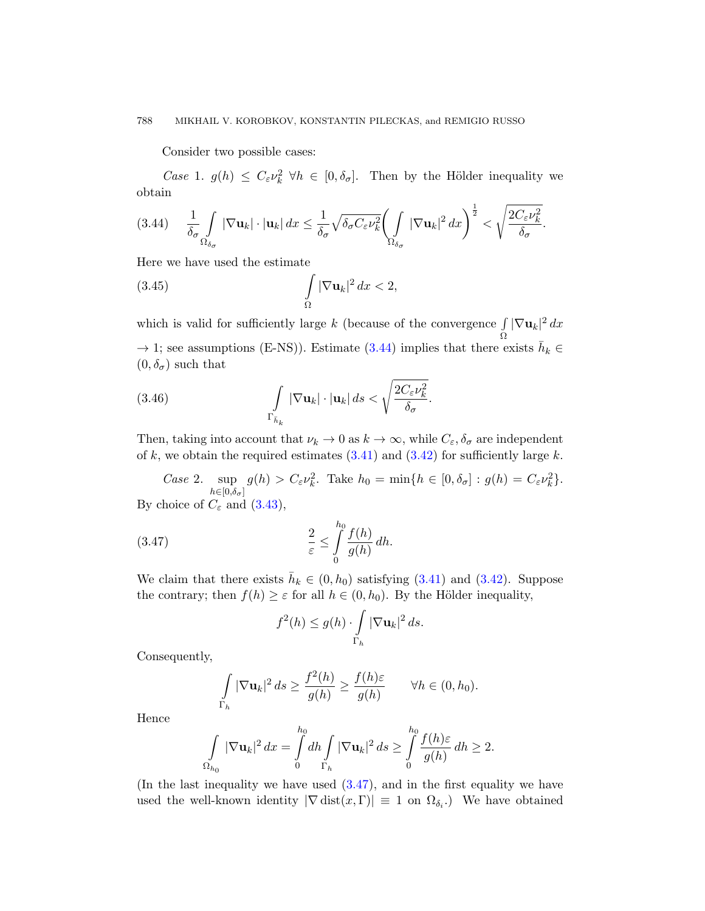Consider two possible cases:

<span id="page-19-0"></span>Case 1.  $g(h) \leq C_{\varepsilon} \nu_k^2 \ \forall h \in [0, \delta_{\sigma}]$ . Then by the Hölder inequality we obtain

$$
(3.44)\quad \frac{1}{\delta_{\sigma}}\int\limits_{\Omega_{\delta_{\sigma}}}\left|\nabla\mathbf{u}_{k}\right|\cdot\left|\mathbf{u}_{k}\right|dx\leq\frac{1}{\delta_{\sigma}}\sqrt{\delta_{\sigma}C_{\varepsilon}\nu_{k}^{2}}\left(\int\limits_{\Omega_{\delta_{\sigma}}}\left|\nabla\mathbf{u}_{k}\right|^{2}dx\right)^{\frac{1}{2}}<\sqrt{\frac{2C_{\varepsilon}\nu_{k}^{2}}{\delta_{\sigma}}}.
$$

Here we have used [the e](#page-19-0)stimate

(3.45) 
$$
\int_{\Omega} |\nabla \mathbf{u}_k|^2 dx < 2,
$$

which is valid for sufficiently large  $k$  (because of the convergence  $\int$ Ω  $|\nabla \mathbf{u}_k|^2 dx$  $\rightarrow$  1; see assum[ption](#page-18-1)s (E-[NS\)\).](#page-18-2) Estimate (3.44) implies that there exists  $\bar{h}_k \in$  $(0, \delta_{\sigma})$  such that

(3.46) 
$$
\int_{\Gamma_{\bar{h}_k}} |\nabla \mathbf{u}_k| \cdot |\mathbf{u}_k| ds < \sqrt{\frac{2C_{\varepsilon} \nu_k^2}{\delta_{\sigma}}}.
$$

<span id="page-19-1"></span>Then, taking into account that  $\nu_k \to 0$  as  $k \to \infty$ , while  $C_{\varepsilon}, \delta_{\sigma}$  are independent of k, we obtain the required estimates  $(3.41)$  and  $(3.42)$  for sufficiently large k.

Case 2. sup  $h \in [0, \delta_{\sigma}]$  $g(h) > C_{\varepsilon} \nu_k^2$  $g(h) > C_{\varepsilon} \nu_k^2$  $g(h) > C_{\varepsilon} \nu_k^2$ . Take  $h_0 = \min\{h \in [0, \delta_{\sigma}] : g(h) = C_{\varepsilon} \nu_k^2\}.$  $h_0 = \min\{h \in [0, \delta_{\sigma}] : g(h) = C_{\varepsilon} \nu_k^2\}.$ By choice of  $C_{\varepsilon}$  and  $(3.43)$ ,

(3.47) 
$$
\frac{2}{\varepsilon} \leq \int_{0}^{h_0} \frac{f(h)}{g(h)} dh.
$$

We claim that there exists  $\bar{h}_k \in (0, h_0)$  satisfying  $(3.41)$  and  $(3.42)$ . Suppose the contrary; then  $f(h) \geq \varepsilon$  for all  $h \in (0, h_0)$ . By the Hölder inequality,

$$
f^{2}(h) \le g(h) \cdot \int\limits_{\Gamma_h} |\nabla \mathbf{u}_k|^2 ds.
$$

Consequently,

$$
\int\limits_{\Gamma_h} |\nabla \mathbf{u}_k|^2 ds \ge \frac{f^2(h)}{g(h)} \ge \frac{f(h)\varepsilon}{g(h)} \qquad \forall h \in (0, h_0).
$$

Hence

$$
\int\limits_{\Omega_{h_0}} |\nabla \mathbf{u}_k|^2 dx = \int\limits_0^{h_0} dh \int\limits_{\Gamma_h} |\nabla \mathbf{u}_k|^2 ds \ge \int\limits_0^{h_0} \frac{f(h)\varepsilon}{g(h)} dh \ge 2.
$$

(In the last inequality we have used (3.47), and in the first equality we have used the well-known identity  $|\nabla \text{dist}(x, \Gamma)| \equiv 1$  on  $\Omega_{\delta_i}$ . We have obtained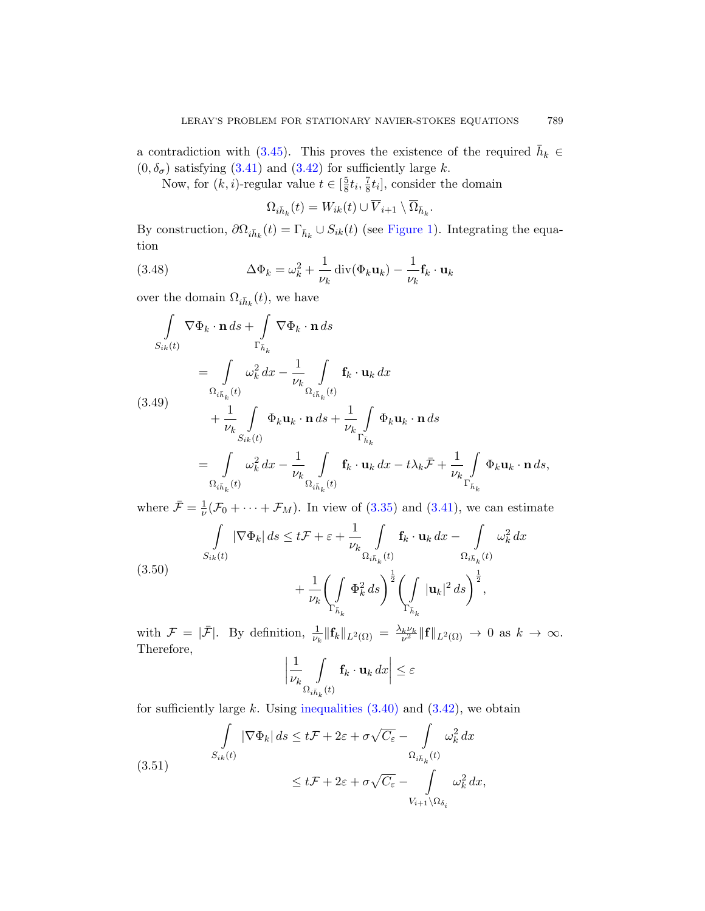<span id="page-20-0"></span>a contradiction with (3.45). This proves the existence of the required  $\bar{h}_k \in$  $(0, \delta_{\sigma})$  satisfying  $(3.41)$  and  $(3.42)$  for sufficiently large k.

Now, for  $(k, i)$ -regular value  $t \in \left[\frac{5}{8}\right]$  $\frac{5}{8}t_{i}, \frac{7}{8}$  $\frac{7}{8}t_i$ , consider the domain

$$
\Omega_{i\bar{h}_k}(t) = W_{ik}(t) \cup \overline{V}_{i+1} \setminus \overline{\Omega}_{\bar{h}_k}.
$$

By construction,  $\partial \Omega_{i\bar{h}_k}(t) = \Gamma_{\bar{h}_k} \cup S_{ik}(t)$  (see Figure 1). Integrating the equation

(3.48) 
$$
\Delta \Phi_k = \omega_k^2 + \frac{1}{\nu_k} \operatorname{div}(\Phi_k \mathbf{u}_k) - \frac{1}{\nu_k} \mathbf{f}_k \cdot \mathbf{u}_k
$$

over the domain  $\Omega_{i\bar{h}_k}(t)$ , we have

$$
\int_{S_{ik}(t)} \nabla \Phi_k \cdot \mathbf{n} \, ds + \int_{\Gamma_{\bar{h}_k}} \nabla \Phi_k \cdot \mathbf{n} \, ds
$$
\n
$$
= \int_{\Omega_{i\bar{h}_k}(t)} \omega_k^2 \, dx - \frac{1}{\nu_k} \int_{\Omega_{i\bar{h}_k}(t)} \mathbf{f}_k \cdot \mathbf{u}_k \, dx
$$
\n
$$
(3.49) \qquad \qquad + \frac{1}{\nu_k} \int_{S_{ik}(t)} \Phi_k \mathbf{u}_k \cdot \mathbf{n} \, ds + \frac{1}{\nu_k} \int_{\Gamma_{\bar{h}_k}} \Phi_k \mathbf{u}_k \cdot \mathbf{n} \, ds
$$
\n
$$
= \int_{\Omega_{i\bar{h}_k}(t)} \omega_k^2 \, dx - \frac{1}{\nu_k} \int_{\Omega_{i\bar{h}_k}(t)} \mathbf{f}_k \cdot \mathbf{u}_k \, dx - t \lambda_k \bar{\mathcal{F}} + \frac{1}{\nu_k} \int_{\Gamma_{\bar{h}_k}} \Phi_k \mathbf{u}_k \cdot \mathbf{n} \, ds,
$$

where  $\bar{\mathcal{F}} = \frac{1}{\nu}$  $\frac{1}{\nu}(\mathcal{F}_0 + \cdots + \mathcal{F}_M)$ . In view of  $(3.35)$  and  $(3.41)$ , we can estimate

$$
\int_{S_{ik}(t)} |\nabla \Phi_k| ds \le t \mathcal{F} + \varepsilon + \frac{1}{\nu_k} \int_{\Omega_{i\bar{h}_k}(t)} \mathbf{f}_k \cdot \mathbf{u}_k dx - \int_{\Omega_{i\bar{h}_k}(t)} \omega_k^2 dx
$$
\n
$$
+ \frac{1}{\nu_k} \left( \int_{\Gamma_{\bar{h}_k}} \Phi_k^2 ds \right)^{\frac{1}{2}} \left( \int_{\Gamma_{\bar{h}_k}} |\mathbf{u}_k|^2 ds \right)^{\frac{1}{2}},
$$

with  $\mathcal{F} = |\bar{\mathcal{F}}|$ . By definition,  $\frac{1}{\nu_k} \|\mathbf{f}_k\|_{L^2(\Omega)} = \frac{\lambda_k \nu_k}{\nu^2} \|\mathbf{f}\|_{L^2(\Omega)} \to 0$  as  $k \to \infty$ . Therefore,

$$
\left|\frac{1}{\nu_k} \int\limits_{\Omega_{i\bar{h}_k}(t)} \mathbf{f}_k \cdot \mathbf{u}_k \, dx\right| \leq \varepsilon
$$

for sufficiently large k. Using inequalities  $(3.40)$  and  $(3.42)$ , we obtain

(3.51) 
$$
\int_{S_{ik}(t)} |\nabla \Phi_k| ds \le t \mathcal{F} + 2\varepsilon + \sigma \sqrt{C_{\varepsilon}} - \int_{\Omega_{i\bar{h}_k}(t)} \omega_k^2 dx
$$

$$
\le t \mathcal{F} + 2\varepsilon + \sigma \sqrt{C_{\varepsilon}} - \int_{V_{i+1}\setminus\Omega_{\delta_i}} \omega_k^2 dx,
$$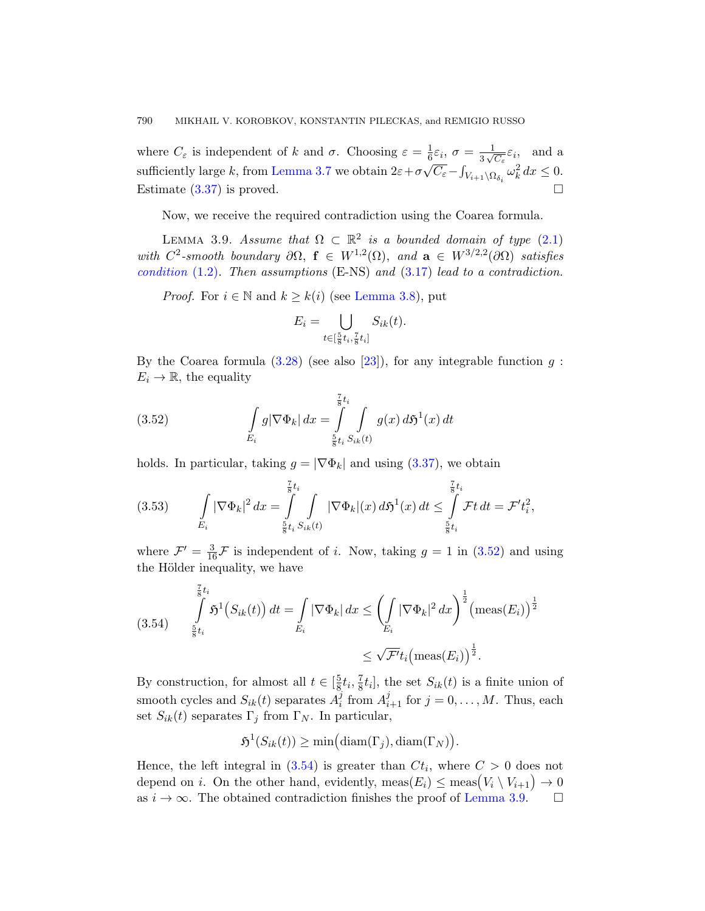<span id="page-21-0"></span>where  $C_{\varepsilon}$  is independent of k and  $\sigma$ . Choosing  $\varepsilon = \frac{1}{6}$  $\varepsilon = \frac{1}{6}$  $\varepsilon = \frac{1}{6}$  $\frac{1}{6}\varepsilon_i, \ \sigma = \frac{1}{3\sqrt{6}}$  $\frac{1}{6}\varepsilon_i$ ,  $\sigma = \frac{1}{3\sqrt{C_{\varepsilon}}}\varepsilon_i$ , and a sufficiently large k, from [Lemm](#page-10-3)a 3.7 we obtain  $2\varepsilon + \sigma \sqrt{C_{\varepsilon}} - \int_{V_{i+1}\setminus\Omega_{\delta_i}} \omega_k^2 dx \le 0$ . Estimate  $(3.37)$  [is proved.](#page-16-0)

Now, we receive the required contradiction using the Coarea formula.

LEMMA 3.9. Assume that  $\Omega \subset \mathbb{R}^2$  is a bounded domain of type (2.1) w[ith](#page-13-0)  $C^2$ -smooth b[oun](#page-37-8)dary  $\partial\Omega$ ,  $f \in W^{1,2}(\Omega)$ , and  $a \in W^{3/2,2}(\partial\Omega)$  satisfies condition  $(1.2)$ . Then assumptions  $(E-NS)$  and  $(3.17)$  lead to a contradiction.

<span id="page-21-1"></span>*Proof.* For  $i \in \mathbb{N}$  and  $k \geq k(i)$  (see Lemma 3.8), put

$$
E_i = \bigcup_{t \in [\frac{5}{8}t_i, \frac{7}{8}t_i]} S_{ik}(t).
$$

By the Coarea formula  $(3.28)$  (see also [23]), for any integrable function g:  $E_i \to \mathbb{R}$ , the equality

(3.52) 
$$
\int_{E_i} g |\nabla \Phi_k| \, dx = \int_{\frac{5}{8}t_i}^{\frac{7}{8}t_i} \int_{S_k(t)} g(x) \, d\mathfrak{H}^1(x) \, dt
$$

holds. In particular, taking  $g = |\nabla \Phi_k|$  [and](#page-21-1) using (3.37), we obtain

$$
(3.53) \qquad \int\limits_{E_i} |\nabla \Phi_k|^2 \, dx = \int\limits_{\frac{5}{8}t_i}^{\frac{7}{8}t_i} \int\limits_{S_{ik}(t)} |\nabla \Phi_k|(x) \, d\mathfrak{H}^1(x) \, dt \leq \int\limits_{\frac{5}{8}t_i}^{\frac{7}{8}t_i} \mathcal{F}t \, dt = \mathcal{F}' t_i^2,
$$

where  $\mathcal{F}' = \frac{3}{16}\mathcal{F}$  is independent of *i*. Now, taking  $g = 1$  in (3.52) and using the Hölder inequality, we have

(3.54) 
$$
\int_{\frac{5}{8}t_i}^{\frac{7}{8}t_i} \mathfrak{H}^1(S_{ik}(t)) dt = \int_{E_i} |\nabla \Phi_k| dx \leq \left(\int_{E_i} |\nabla \Phi_k|^2 dx\right)^{\frac{1}{2}} \left(\text{meas}(E_i)\right)^{\frac{1}{2}}
$$

$$
\leq \sqrt{\mathcal{F}'} t_i \left(\text{meas}(E_i)\right)^{\frac{1}{2}}.
$$

By construction, for almost all  $t \in \left[\frac{5}{8}\right]$  $\frac{5}{8}t_i, \frac{7}{8}$  $\frac{7}{8}t_i$ , the set  $S_{ik}(t)$  is a finite union of smooth cycles and  $S_{ik}(t)$  separates  $A_i^j$  $i$ <sup>i</sup> [from](#page-21-0)  $A_{i+1}^j$  for  $j = 0, ..., M$ . Thus, each set  $S_{ik}(t)$  separates  $\Gamma_j$  from  $\Gamma_N$ . In particular,

 $\mathfrak{H}^1(S_{ik}(t)) \ge \min\bigl(\text{diam}(\Gamma_j),\text{diam}(\Gamma_N)\bigr).$ 

Hence, the left integral in  $(3.54)$  is greater than  $C_t$ , where  $C > 0$  does not depend on *i*. On the other hand, evidently,  $\text{meas}(E_i) \leq \text{meas}(V_i \setminus V_{i+1}) \to 0$ as  $i \to \infty$ . The obtained contradiction finishes the proof of Lemma 3.9.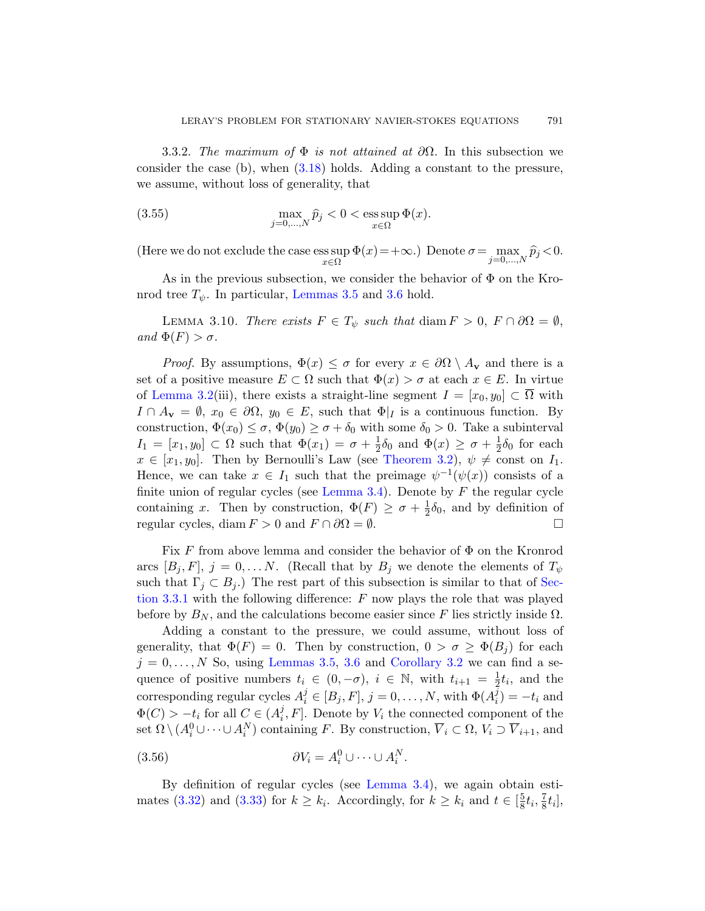3.3.2. The maximum of  $\Phi$  is not attained at  $\partial\Omega$ . In this subsection we consider the case (b), when (3.18) holds. Adding a constant to the pressure, we a[ssume, witho](#page-12-1)ut lo[ss o](#page-13-2)f generality, that

<span id="page-22-0"></span>(3.55) 
$$
\max_{j=0,\ldots,N} \widehat{p}_j < 0 < \operatorname{ess} \sup_{x \in \Omega} \Phi(x).
$$

(Here we do not exclude the case ess sup x∈Ω  $\Phi(x) = +\infty$ .) Denote  $\sigma = \max_{j=0,\dots,N} \widehat{p}_j < 0$ .

As in the previous subsection, we consider the behavior of  $\Phi$  on the Kronrod tree  $T_{\psi}$ . In particular, Lemmas 3.5 and 3.6 hold.

LEMMA 3.10. There exists  $F \in T_{\psi}$  such that diam  $F > 0$ ,  $F \cap \partial \Omega = \emptyset$ , and  $\Phi(F) > \sigma$ .

*Proof.* By assumptions,  $\Phi(x) \leq \sigma$  for every  $x \in \partial\Omega \setminus A_{\mathbf{v}}$  and there is a set of a positive measure  $E \subset \Omega$  such that  $\Phi(x) > \sigma$  at each  $x \in E$ . In virtue of Lemma [3.2\(iii\), the](#page-10-2)re exists a straight-line segment  $I = [x_0, y_0] \subset \overline{\Omega}$  with  $I \cap A_{\mathbf{v}} = \emptyset$ ,  $x_0 \in \partial \Omega$ ,  $y_0 \in E$ , such that  $\Phi|_I$  is a continuous function. By construction,  $\Phi(x_0) \leq \sigma$ ,  $\Phi(y_0) \geq \sigma + \delta_0$  with some  $\delta_0 > 0$ . Take a subinterval  $I_1 = [x_1, y_0] \subset \Omega$  such that  $\Phi(x_1) = \sigma + \frac{1}{2}$  $\frac{1}{2}\delta_0$  and  $\Phi(x) \geq \sigma + \frac{1}{2}$  $\frac{1}{2}\delta_0$  for each  $x \in [x_1, y_0]$ . Then by Bernoulli's Law (see Theorem 3.2),  $\psi \neq \text{const}$  on  $I_1$ . Hence, we can take  $x \in I_1$  such that the preimage  $\psi^{-1}(\psi(x))$  consists of a finite union of regular cycles (see Lemma 3.4). De[note](#page-11-1) by  $F$  the regular cycle containing x. Then by construction,  $\Phi(F) \geq \sigma + \frac{1}{2}$  $\frac{1}{2}\delta_0$ , and by definition of regular cycles, diam  $F > 0$  and  $F \cap \partial \Omega = \emptyset$ .

Fix F from above lemma and consider the behavior of  $\Phi$  on the Kronrod arcs  $[B_j, F], j = 0, \ldots N$  $[B_j, F], j = 0, \ldots N$  $[B_j, F], j = 0, \ldots N$ [. \(Recall th](#page-13-3)at by  $B_j$  we denote the elements of  $T_{\psi}$ such that  $\Gamma_i \subset B_i$ .) The rest part of this subsection is similar to that of Section 3.3.1 with the following difference:  $F$  now plays the role that was played before by  $B_N$ , and the calculations become easier since F lies strictly inside  $\Omega$ .

Adding a constant to the pressure, we could assume, without loss of generality, that  $\Phi(F) = 0$ . Then by construction,  $0 > \sigma \geq \Phi(B_i)$  for each  $j = 0, \ldots, N$  So, using Lemmas 3.5, 3.6 and Corollary 3.2 we can find a sequence of positive [numbers](#page-10-2)  $t_i \in (0, -\sigma)$ ,  $i \in \mathbb{N}$ , with  $t_{i+1} = \frac{1}{2}$  $\frac{1}{2}t_i$ , and the [c](#page-15-2)orresponding regular cycles  $A_i^j \in [B_j, F]$ ,  $j = 0, ..., N$ , with  $\Phi(A_i^j)$  $i_j$ ) =  $-t_i$  and  $\Phi(C) > -t_i$  for all  $C \in (A_i^j)$  $[i, F]$ . Denote by  $V_i$  the connected component of the set  $\Omega \setminus (A_i^0 \cup \cdots \cup A_i^N)$  containing F. By construction,  $\overline{V}_i \subset \Omega$ ,  $V_i \supset \overline{V}_{i+1}$ , and

$$
(3.56) \t\t \partial V_i = A_i^0 \cup \dots \cup A_i^N
$$

By definition of regular cycles (see Lemma 3.4), we again obtain estimates (3.32) and (3.33) for  $k \geq k_i$ . Accordingly, for  $k \geq k_i$  and  $t \in \left[\frac{5}{8}\right]$  $\frac{5}{8}t_{i}, \frac{7}{8}$  $\frac{7}{8}t_i],$ 

.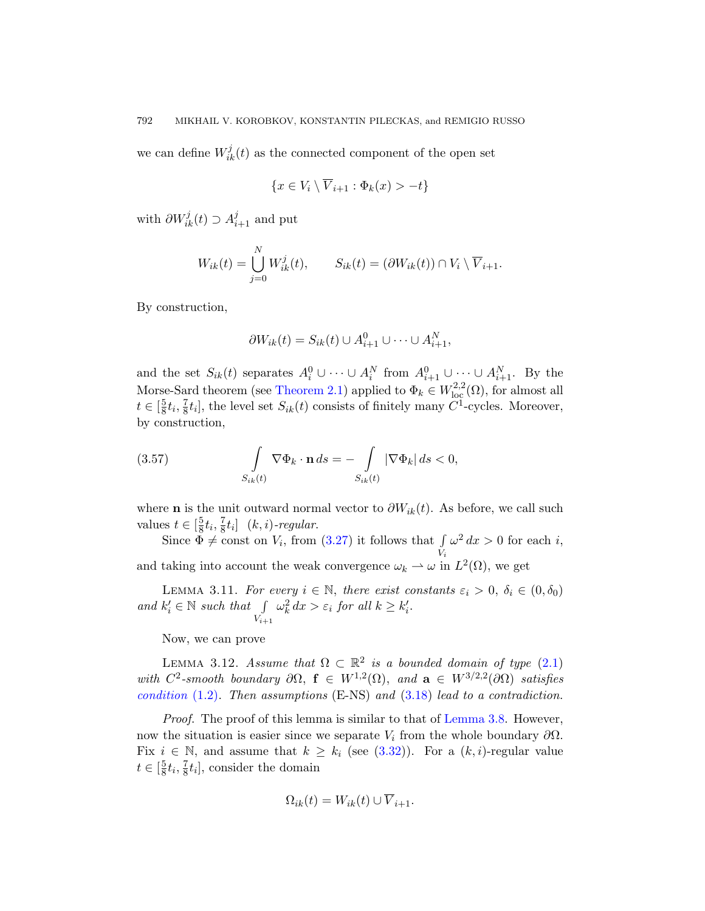we can define  $W_{ik}^j(t)$  as the connected component of the open set

$$
\{x \in V_i \setminus \overline{V}_{i+1} : \Phi_k(x) > -t\}
$$

with  $\partial W_{ik}^j(t) \supset A_{i+1}^j$  and put

$$
W_{ik}(t) = \bigcup_{j=0}^{N} W_{ik}^{j}(t), \qquad S_{ik}(t) = (\partial W_{ik}(t)) \cap V_i \setminus \overline{V}_{i+1}.
$$

By construction,

$$
\partial W_{ik}(t) = S_{ik}(t) \cup A_{i+1}^0 \cup \cdots \cup A_{i+1}^N,
$$

and the set  $S_{ik}(t)$  separates  $A_i^0 \cup \cdots \cup A_i^N$  from  $A_{i+1}^0 \cup \cdots \cup A_{i+1}^N$ . By the Morse-Sard theorem (see Theorem 2.1) applied to  $\Phi_k \in W^{2,2}_{loc}(\Omega)$ , for almost all  $t \in \left[\frac{5}{8}\right]$  $\frac{5}{8}t_i, \frac{7}{8}$  $\frac{7}{8}t_i$ , the level set  $S_{ik}(t)$  consists of finitely many  $C^1$ -cycles. Moreover, by construction,

(3.57) 
$$
\int_{S_{ik}(t)} \nabla \Phi_k \cdot \mathbf{n} \, ds = - \int_{S_{ik}(t)} |\nabla \Phi_k| \, ds < 0,
$$

<span id="page-23-0"></span>where **n** is the unit outward normal vector to  $\partial W_{ik}(t)$ . As before, we call such values  $t \in \left[\frac{5}{8}\right]$  $\frac{5}{8}t_{i}, \frac{7}{8}$  $\frac{7}{8}t_i$  (k, i)-regular.

<span id="page-23-1"></span>Since  $\Phi \neq \text{const}$  on  $V_i$ , from (3.27) it follows that  $\int$ Vi  $\omega^2 dx > 0$  for each i, and taking into account the weak convergence  $\omega_k \rightharpoonup \omega$  in  $L^2(\Omega)$ , we get

LEMMA 3.11. For e[very](#page-10-5)  $i \in \mathbb{N}$ , there exist constants  $\varepsilon_i > 0$ ,  $\delta_i \in (0, \delta_0)$ and  $k'_i \in \mathbb{N}$  such that  $\int_{V_{i+1}}$  $\omega_k^2 dx > \varepsilon_i$  $\omega_k^2 dx > \varepsilon_i$  $\omega_k^2 dx > \varepsilon_i$  for all  $k \geq k'_i$ .

Now, we can prove

LEMMA 3.12. [Assum](#page-15-3)e that  $\Omega \subset \mathbb{R}^2$  is a bounded domain of type (2.1) with  $C^2$ -smooth boundary  $\partial\Omega$ ,  $f \in W^{1,2}(\Omega)$ , and  $a \in W^{3/2,2}(\partial\Omega)$  satisfies condition  $(1.2)$ . Then assumptions  $(E-NS)$  and  $(3.18)$  lead to a contradiction.

Proof. The proof of this lemma is similar to that of Lemma 3.8. However, now the situation is easier since we separate  $V_i$  from the whole boundary  $\partial\Omega$ . Fix  $i \in \mathbb{N}$ , and assume that  $k \geq k_i$  (see (3.32)). For a  $(k, i)$ -regular value  $t \in \left[\frac{5}{8}\right]$  $\frac{5}{8}t_i, \frac{7}{8}$  $\frac{7}{8}t_i$ , consider the domain

$$
\Omega_{ik}(t) = W_{ik}(t) \cup \overline{V}_{i+1}.
$$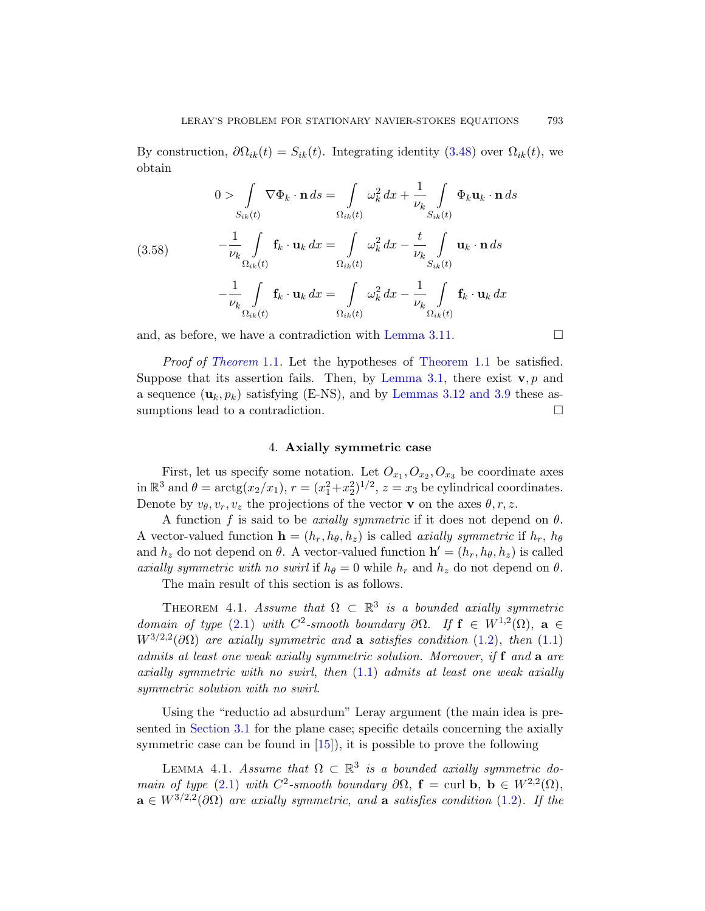By construction,  $\partial\Omega_{ik}(t) = S_{ik}(t)$ . Integrating identity (3.48) over  $\Omega_{ik}(t)$ , we obtain

(3.58) 
$$
\int_{S_{ik}(t)} \nabla \Phi_k \cdot \mathbf{n} ds = \int_{\Omega_{ik}(t)} \omega_k^2 dx + \frac{1}{\nu_k} \int_{S_{ik}(t)} \Phi_k \mathbf{u}_k \cdot \mathbf{n} ds
$$

$$
-\frac{1}{\nu_k} \int_{\Omega_{ik}(t)} \mathbf{f}_k \cdot \mathbf{u}_k dx = \int_{\Omega_{ik}(t)} \omega_k^2 dx - \frac{t}{\nu_k} \int_{S_{ik}(t)} \mathbf{u}_k \cdot \mathbf{n} ds
$$

$$
-\frac{1}{\nu_k} \int_{\Omega_{ik}(t)} \mathbf{f}_k \cdot \mathbf{u}_k dx = \int_{\Omega_{ik}(t)} \omega_k^2 dx - \frac{1}{\nu_k} \int_{\Omega_{ik}(t)} \mathbf{f}_k \cdot \mathbf{u}_k dx
$$

<span id="page-24-0"></span>and, as before, we have a contradiction with Lemma 3.11.  $\square$ 

Proof of Theorem 1.1. Let the hypotheses of Theorem 1.1 be satisfied. Suppose that its assertion fails. Then, by Lemma 3.1, there exist  $\mathbf{v}, p$  and a sequence  $(\mathbf{u}_k, p_k)$  satisfying (E-NS), and by Lemmas 3.12 and 3.9 these assumptions lead to a contradiction.  $\Box$ 

#### 4. Axially symmetric case

First, let us specify some notation. Let  $O_{x_1}, O_{x_2}, O_{x_3}$  be coordinate axes in  $\mathbb{R}^3$  and  $\theta = \arctg(x_2/x_1)$ ,  $r = (x_1^2 + x_2^2)^{1/2}$ ,  $z = x_3$  be cylindrical coordinates. Denote by  $v_{\theta}, v_r, v_z$  the projections of the vector **v** on the axes  $\theta, r, z$ .

<span id="page-24-1"></span>A function f is said to be *axially symmetric* if it does not depend on  $\theta$ . A vector-valued function  $\mathbf{h} = (h_r, h_\theta, h_z)$  is called *[axia](#page-0-0)lly symmetric* if  $h_r$ ,  $h_\theta$ and  $h_z$  do not depend on  $\theta$ . A vector-valued function  $\mathbf{h}' = (h_r, h_\theta, h_z)$  is called axially symmetri[c wi](#page-0-0)th no swirl if  $h_{\theta} = 0$  while  $h_r$  and  $h_z$  do not depend on  $\theta$ .

The main result of this section is as follows.

THEOREM 4.1. Assume that  $\Omega \subset \mathbb{R}^3$  is a bounded axially symmetric domain of type (2.1) with  $C^2$ -smooth boundary  $\partial\Omega$ . If  $f \in W^{1,2}(\Omega)$ ,  $a \in$  $W^{3/2,2}(\partial\Omega)$  are axially symmetric and **a** satisfies condition (1.2), then (1.1) admits at least one weak axially symmetric solution. Moreover, if f and a are axially symmetric with no swirl, then  $(1.1)$  admits at least one weak axially symmetric solution with no swirl.

<span id="page-24-2"></span>Using the "reductio ad absurdum" Ler[ay a](#page-0-1)rgument (the main idea is presented in Section 3.1 for the plane case; specific details concerning the axially symmetric case can be found in  $[15]$ , it is possible to prove the following

LEMMA 4.1. Assume that  $\Omega \subset \mathbb{R}^3$  is a bounded axially symmetric domain of type (2.1) with  $C^2$ -smooth boundary  $\partial\Omega$ ,  $\mathbf{f} = \text{curl } \mathbf{b}$ ,  $\mathbf{b} \in W^{2,2}(\Omega)$ ,  $\mathbf{a} \in W^{3/2,2}(\partial \Omega)$  are axially symmetric, and  $\mathbf{a}$  satisfies condition (1.2). If the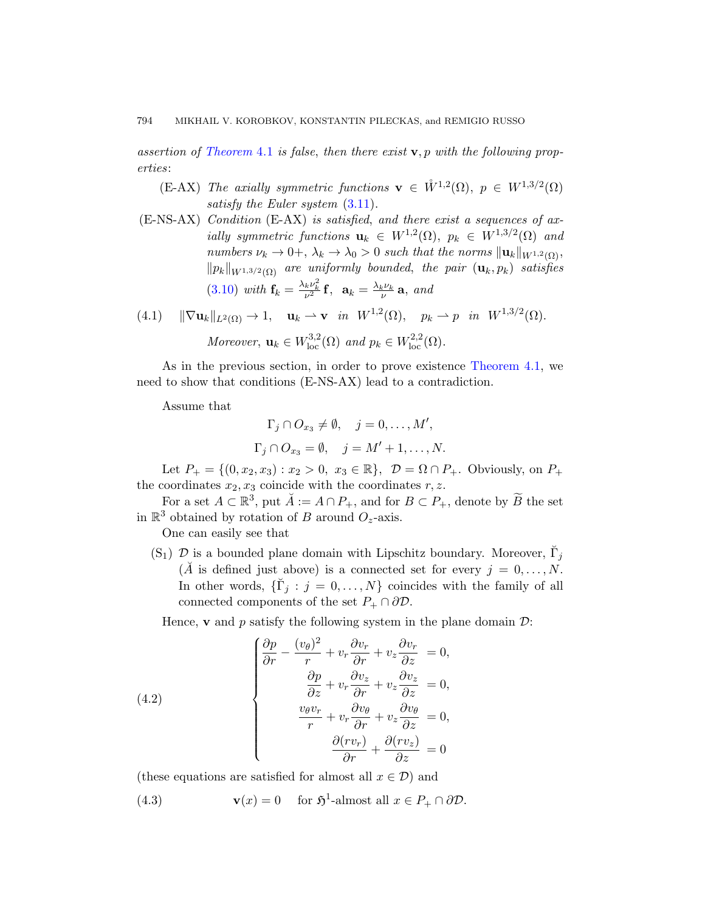assertion of Theorem 4.1 is false, then there exist  $v, p$  with the following properties:

- (E-AX) The axially symmetric functions  $\mathbf{v} \in \mathring{W}^{1,2}(\Omega)$ ,  $p \in W^{1,3/2}(\Omega)$ satisfy the Euler system  $(3.11)$ .
- (E-NS-AX) Condition (E-AX) is satisfied, and there exist a sequences of axially symmetric functions  $\mathbf{u}_k \in W^{1,2}(\Omega)$ ,  $p_k \in W^{1,3/2}(\Omega)$  and numbers  $\nu_k \to 0^+, \lambda_k \to \lambda_0 > 0$  such that the norms  $\|\mathbf{u}_k\|_{W^{1,2}(\Omega)}$ ,  $\|p_k\|_{W^{1,3/2}(\Omega)}$  are unifor[mly bounded](#page-24-1), the pair  $(\mathbf{u}_k, p_k)$  satisfies (3.10) with  $\mathbf{f}_k = \frac{\lambda_k \nu_k^2}{\nu^2} \mathbf{f}$ ,  $\mathbf{a}_k = \frac{\lambda_k \nu_k}{\nu} \mathbf{a}$ , and
- (4.1)  $\|\nabla \mathbf{u}_k\|_{L^2(\Omega)} \to 1$ ,  $\mathbf{u}_k \to \mathbf{v}$  in  $W^{1,2}(\Omega)$ ,  $p_k \to p$  in  $W^{1,3/2}(\Omega)$ . Moreover,  $\mathbf{u}_k \in W^{3,2}_{\text{loc}}(\Omega)$  and  $p_k \in W^{2,2}_{\text{loc}}(\Omega)$ .

As in the previous section, in order to prove existence Theorem 4.1, we need to show that conditions (E-NS-AX) lead to a contradiction.

Assume that

$$
\Gamma_j \cap O_{x_3} \neq \emptyset, \quad j = 0, \dots, M',
$$
  

$$
\Gamma_j \cap O_{x_3} = \emptyset, \quad j = M' + 1, \dots, N.
$$

Let  $P_+ = \{(0, x_2, x_3) : x_2 > 0, x_3 \in \mathbb{R}\}, \mathcal{D} = \Omega \cap P_+$ . Obviously, on  $P_+$ the coordinates  $x_2, x_3$  coincide with the coordinates  $r, z$ .

For a set  $A \subset \mathbb{R}^3$ , put  $\check{A} := A \cap P_+$ , and for  $B \subset P_+$ , denote by  $\widetilde{B}$  the set in  $\mathbb{R}^3$  obtained by rotation of B around  $O_z$ -axis.

One can easily see that

(S<sub>1</sub>)  $\mathcal{D}$  is a bounded plane domain with Lipschitz boundary. Moreover,  $\check{\Gamma}_j$  $(\check{A}$  is defined just above) is a connected set for every  $j = 0, \ldots, N$ . In other words,  $\{\breve{\Gamma}_j : j = 0, \ldots, N\}$  coincides with the family of all connected components of the set  $P_+ \cap \partial \mathcal{D}$ .

<span id="page-25-0"></span>Hence, **v** and p satisfy the following system in the plane domain  $\mathcal{D}$ :

(4.2)  
\n
$$
\begin{cases}\n\frac{\partial p}{\partial r} - \frac{(v_{\theta})^2}{r} + v_r \frac{\partial v_r}{\partial r} + v_z \frac{\partial v_r}{\partial z} = 0, \\
\frac{\partial p}{\partial z} + v_r \frac{\partial v_z}{\partial r} + v_z \frac{\partial v_z}{\partial z} = 0, \\
\frac{v_{\theta} v_r}{r} + v_r \frac{\partial v_{\theta}}{\partial r} + v_z \frac{\partial v_{\theta}}{\partial z} = 0, \\
\frac{\partial (r v_r)}{\partial r} + \frac{\partial (r v_z)}{\partial z} = 0\n\end{cases}
$$

(these equations are satisfied for almost all  $x \in \mathcal{D}$ ) and

(4.3) 
$$
\mathbf{v}(x) = 0 \quad \text{for } \mathfrak{H}^1\text{-almost all } x \in P_+ \cap \partial \mathcal{D}.
$$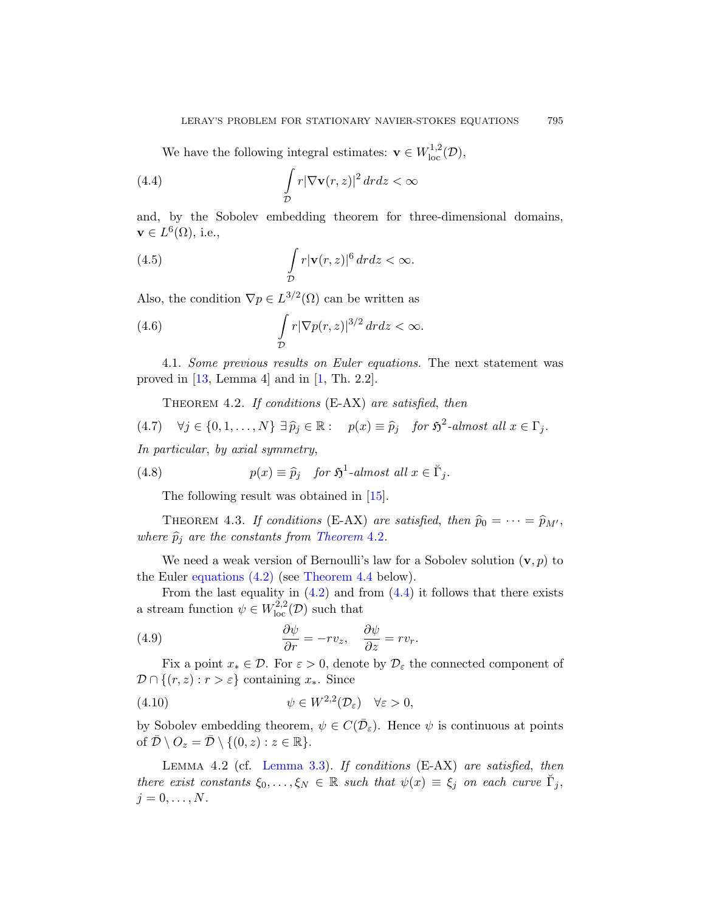<span id="page-26-1"></span>We have the following integral estimates:  $\mathbf{v} \in W^{1,2}_{loc}(\mathcal{D}),$ 

(4.4) 
$$
\int_{\mathcal{D}} r |\nabla \mathbf{v}(r,z)|^2 dr dz < \infty
$$

and, by the Sobolev embedding theorem for three-dimensional domains,  $\mathbf{v} \in L^6(\Omega)$ , i.e.,

(4.5) 
$$
\int_{\mathcal{D}} r|\mathbf{v}(r,z)|^6 dr dz < \infty.
$$

<span id="page-26-0"></span>Also, the condition  $\nabla p \in L^{3/2}(\Omega)$  can be written as

(4.6) 
$$
\int_{\mathcal{D}} r |\nabla p(r,z)|^{3/2} dr dz < \infty.
$$

4.1. Some previous results on Euler equations. The next statement was proved in  $[13, \text{Lemma } 4]$  and in  $[1, \text{Th. } 2.2]$ .

THEOREM 4[.](#page-36-5)2. If conditions  $(E-AX)$  are satisfied, then

<span id="page-26-2"></span>(4.7)  $\forall j \in \{0, 1, ..., N\} \exists \hat{p}_j \in \mathbb{R} : p(x) \equiv \hat{p}_j \text{ for } \mathfrak{H}^2\text{-almost all } x \in \Gamma_j.$ 

In particular, by axial symmetry,

(4.8) 
$$
p(x) \equiv \widehat{p}_j \quad \text{for } \mathfrak{H}^1\text{-almost all } x \in \breve{\Gamma}_j.
$$

Th[e fol](#page-25-0)lowing resu[lt w](#page-26-1)as obtained in [15].

THEOREM 4.3. If conditions (E-AX) are satisfied, then  $\hat{p}_0 = \cdots = \hat{p}_{M'}$ , where  $\widehat{p}_j$  are the constants from Theorem 4.2.

We need a weak version of Bernoulli's law for a Sobolev solution  $(v, p)$  to the Euler equations (4.2) (see Theorem 4.4 below).

From the last equality in  $(4.2)$  and from  $(4.4)$  it follows that there exists a stream function  $\psi \in W^{2,2}_{loc}(\mathcal{D})$  such that

(4.9) 
$$
\frac{\partial \psi}{\partial r} = -rv_z, \quad \frac{\partial \psi}{\partial z} = rv_r.
$$

<span id="page-26-3"></span>[Fix a p](#page-10-1)oint  $x_* \in \mathcal{D}$ . For  $\varepsilon > 0$ , denote by  $\mathcal{D}_{\varepsilon}$  the connected component of  $\mathcal{D} \cap \{(r, z) : r > \varepsilon\}$  containing  $x_*$ . Since

(4.10) 
$$
\psi \in W^{2,2}(\mathcal{D}_{\varepsilon}) \quad \forall \varepsilon > 0,
$$

by Sobolev embedding theorem,  $\psi \in C(\bar{\mathcal{D}}_{\varepsilon})$ . Hence  $\psi$  is continuous at points of  $\overline{\mathcal{D}} \setminus O_z = \overline{\mathcal{D}} \setminus \{(0, z) : z \in \mathbb{R}\}.$ 

Lemma 4.2 (cf. Lemma 3.3). If conditions (E-AX) are satisfied, then there exist constants  $\xi_0, \ldots, \xi_N \in \mathbb{R}$  such that  $\psi(x) \equiv \xi_j$  on each curve  $\check{\Gamma}_j$ ,  $j=0,\ldots,N$ .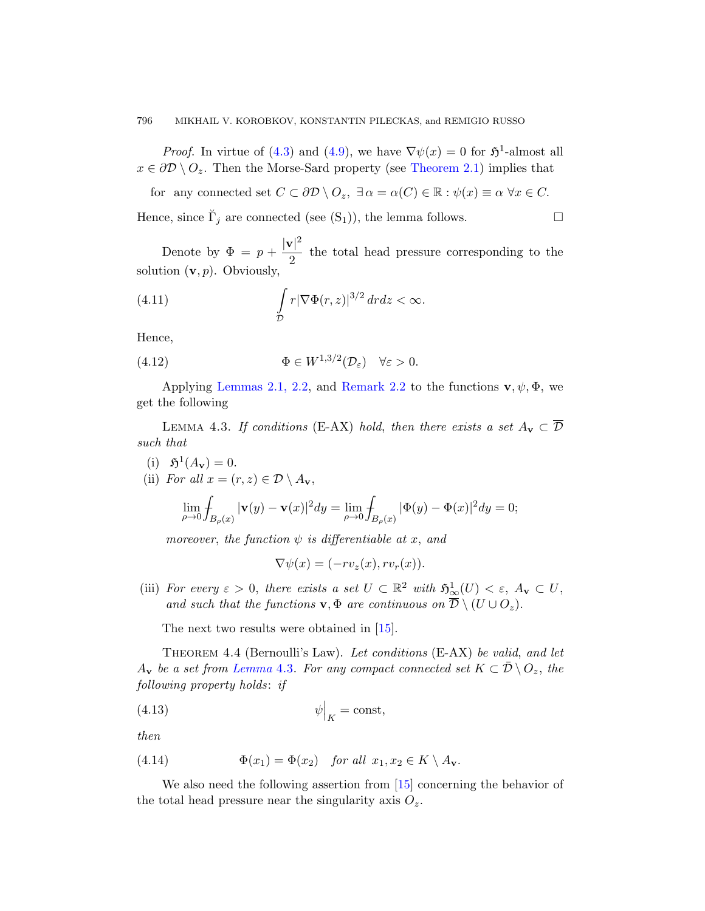#### 796 MIKHAIL V. KOROBKOV, KONSTANTIN PILECKAS, and REMIGIO RUSSO

*Proof.* In virtue of (4.3) and (4.9), we have  $\nabla \psi(x) = 0$  for  $\mathfrak{H}^1$ -almost all  $x \in \partial \mathcal{D} \setminus O_z$ . Then the Morse-Sard property (see Theorem 2.1) implies that

for any connected set  $C \subset \partial \mathcal{D} \setminus O_z$ ,  $\exists \alpha = \alpha(C) \in \mathbb{R} : \psi(x) \equiv \alpha \ \forall x \in C$ . Hence, since  $\check{\Gamma}_j$  are connected (see  $(S_1)$ ), the lemma follows.

Denote by  $\Phi = p + \frac{|\mathbf{v}|^2}{2}$  $\frac{1}{2}$  the total head pressure corresponding to the solution  $(v, p)$ . Obviously,

(4.11) 
$$
\int_{\mathcal{D}} r |\nabla \Phi(r, z)|^{3/2} dr dz < \infty.
$$

Hence,

(4.12) 
$$
\Phi \in W^{1,3/2}(\mathcal{D}_{\varepsilon}) \quad \forall \varepsilon > 0.
$$

Applying Lemmas 2.1, 2.2, and Remark 2.2 to the functions  $\mathbf{v}, \psi, \Phi$ , we get the following

LEMMA 4.3. If conditions (E-AX) hold, then there exists a set  $A_v \subset \overline{\mathcal{D}}$ such that

- (i)  $\mathfrak{H}^1(A_{\mathbf{v}}) = 0.$
- (ii) For all  $x = (r, z) \in \mathcal{D} \setminus A_{\mathbf{v}},$

$$
\lim_{\rho \to 0} \int_{B_{\rho}(x)} |\mathbf{v}(y) - \mathbf{v}(x)|^2 dy = \lim_{\rho \to 0} \int_{B_{\rho}(x)} |\Phi(y) - \Phi(x)|^2 dy = 0;
$$

moreover, the f[unc](#page-36-5)tion  $\psi$  is differentiable at x, and

$$
\nabla \psi(x) = (-rv_z(x), rv_r(x)).
$$

<span id="page-27-0"></span>(iii) For every  $\varepsilon > 0$ , there exists a set  $U \subset \mathbb{R}^2$  with  $\mathfrak{H}^1_{\infty}(U) < \varepsilon$ ,  $A_{\mathbf{v}} \subset U$ , and such that the functions  $\mathbf{v}, \Phi$  are continuous on  $\overline{\mathcal{D}} \setminus (U \cup O_z)$ .

The next two results were obtained in [15].

Theorem 4.4 (Bernoulli's Law). Let conditions (E-AX) be valid, and let  $A_{\mathbf{v}}$  be a set from Lemma 4.3. For any compact connected set  $K \subset \mathcal{D} \setminus O_z$ , the following property holds: [if](#page-36-5)

$$
\psi\Big|_K = \text{const},
$$

then

(4.14) 
$$
\Phi(x_1) = \Phi(x_2) \quad \text{for all } x_1, x_2 \in K \setminus A_{\mathbf{v}}.
$$

We also need the following assertion from [15] concerning the behavior of the total head pressure near the singularity axis  $O_z$ .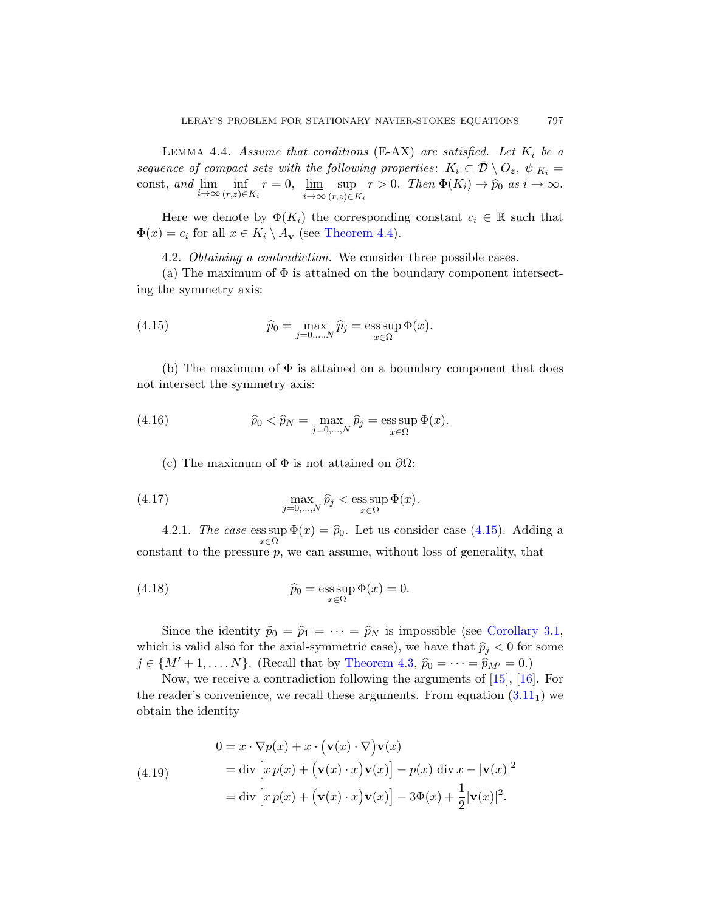<span id="page-28-2"></span>LEMMA 4.4. Assume that conditions  $(E-AX)$  are satisfied. Let  $K_i$  be a sequence of compact sets with the following properties:  $K_i \subset \overline{\mathcal{D}} \setminus O_z$ ,  $\psi|_{K_i} =$ const, and  $\lim_{i \to \infty} \inf_{(r,z) \in K_i} r = 0$ ,  $\lim_{i \to \infty}$ i→∞ sup  $\sup_{(r,z)\in K_i} r > 0$ . Then  $\Phi(K_i) \to \hat{p}_0$  as  $i \to \infty$ .

<span id="page-28-0"></span>Here we denote by  $\Phi(K_i)$  the corresponding constant  $c_i \in \mathbb{R}$  such that  $\Phi(x) = c_i$  for all  $x \in K_i \setminus A_{\mathbf{v}}$  (see Theorem 4.4).

4.2. Obtaining a contradiction. We consider three possible cases.

(a) The maximum of  $\Phi$  is attained on the boundary component intersecting the symmetry axis:

<span id="page-28-1"></span>(4.15) 
$$
\widehat{p}_0 = \max_{j=0,\dots,N} \widehat{p}_j = \operatorname*{ess\,sup}_{x \in \Omega} \Phi(x).
$$

(b) The maximum of  $\Phi$  is attained on a boundary component that does not intersect the symmetry axis:

<span id="page-28-3"></span>(4.16) 
$$
\widehat{p}_0 < \widehat{p}_N = \max_{j=0,\dots,N} \widehat{p}_j = \operatorname*{ess\,sup}_{x \in \Omega} \Phi(x).
$$

(c) The maximum of  $\Phi$  is not attained on  $\partial\Omega$ :

(4.17) 
$$
\max_{j=0,\ldots,N} \widehat{p}_j < \operatorname{ess} \sup_{x \in \Omega} \Phi(x).
$$

4.2.1. The case ess sup  $\Phi(x) = \hat{p}_0$ . [Let us conside](#page-9-2)r case (4.15). Adding a  $x \in \Omega$ constant to th[e pressure](#page-26-2)  $p$ , we can assume, without loss of generality, that

(4.18) 
$$
\widehat{p}_0 = \operatorname*{ess\,sup}_{x \in \Omega} \Phi(x) = 0.
$$

Since the identity  $\hat{p}_0 = \hat{p}_1 = \cdots = \hat{p}_N$  is impossible (see Corollary 3.1, which is valid also for the axial-symmetric case), we have that  $\hat{p}_j < 0$  for some  $j \in \{M'+1,\ldots,N\}$ . (Recall that by Theorem 4.3,  $\hat{p}_0 = \cdots = \hat{p}_{M'} = 0$ .)

Now, we receive a contradiction following the arguments of [15], [16]. For the reader's convenience, we recall these arguments. From equation  $(3.11<sub>1</sub>)$  we obtain the identity

(4.19)  
\n
$$
0 = x \cdot \nabla p(x) + x \cdot (\mathbf{v}(x) \cdot \nabla) \mathbf{v}(x)
$$
\n
$$
= \text{div} [x p(x) + (\mathbf{v}(x) \cdot x) \mathbf{v}(x)] - p(x) \text{ div } x - |\mathbf{v}(x)|^2
$$
\n
$$
= \text{div} [x p(x) + (\mathbf{v}(x) \cdot x) \mathbf{v}(x)] - 3\Phi(x) + \frac{1}{2} |\mathbf{v}(x)|^2.
$$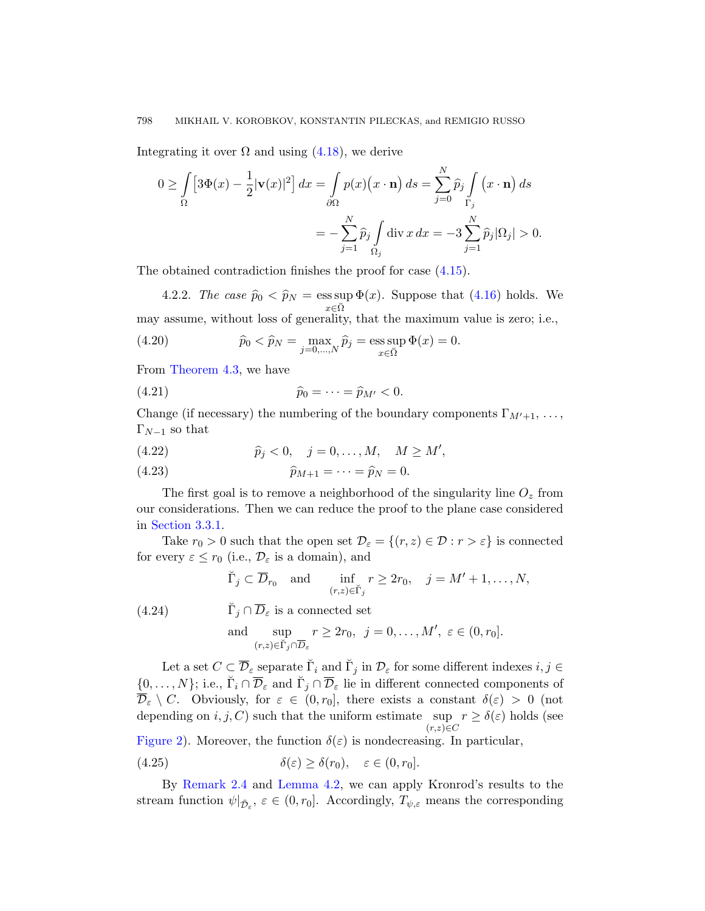<span id="page-29-1"></span>Integrating it over  $\Omega$  and using (4.18), we derive

$$
0 \ge \int_{\Omega} \left[ 3\Phi(x) - \frac{1}{2} |\mathbf{v}(x)|^2 \right] dx = \int_{\partial\Omega} p(x) \left( x \cdot \mathbf{n} \right) ds = \sum_{j=0}^{N} \widehat{p}_j \int_{\Gamma_j} \left( x \cdot \mathbf{n} \right) ds
$$

$$
= -\sum_{j=1}^{N} \widehat{p}_j \int_{\Omega_j} \text{div} \, x \, dx = -3 \sum_{j=1}^{N} \widehat{p}_j |\Omega_j| > 0.
$$

The obtained contradiction finishes the proof for case (4.15).

4.2.2. The case  $\hat{p}_0 < \hat{p}_N = \operatorname{ess} \sup_{x \in \overline{Q}} \Phi(x)$ . Suppose that (4.16) holds. We  $x\in\bar{\Omega}$ may assume, without loss of generality, that the maximum value is zero; i.e.,

(4.20) 
$$
\hat{p}_0 < \hat{p}_N = \max_{j=0,...,N} \hat{p}_j = \operatorname{ess} \sup_{x \in \bar{\Omega}} \Phi(x) = 0.
$$

From Theorem 4.3, we have

$$
\widehat{p}_0 = \cdots = \widehat{p}_{M'} < 0.
$$

Change (if necessary) the numbering of the boundary components  $\Gamma_{M'+1}, \ldots,$  $\Gamma_{N-1}$  so that

(4.22) 
$$
\hat{p}_j < 0, \quad j = 0, ..., M, \quad M \ge M',
$$

(4.23) 
$$
\widehat{p}_{M+1} = \cdots = \widehat{p}_N = 0.
$$

<span id="page-29-2"></span>The first goal is to remove a neighborhood of the singularity line  $O_z$  from our considerations. Then we can reduce the proof to the plane case considered in Section 3.3.1.

Take  $r_0 > 0$  such that the open set  $\mathcal{D}_{\varepsilon} = \{(r, z) \in \mathcal{D} : r > \varepsilon\}$  is connected for every  $\varepsilon \leq r_0$  (i.e.,  $\mathcal{D}_{\varepsilon}$  is a domain), and

$$
\breve{\Gamma}_j \subset \overline{D}_{r_0}
$$
 and  $\inf_{(r,z)\in \breve{\Gamma}_j} r \ge 2r_0$ ,  $j = M' + 1, ..., N$ ,

 $\breve{\Gamma}_j \cap \overline{D}_{\varepsilon}$  is a connected set and sup  $(r,z)$ ∈Ť $_j \cap \overline{D}_\varepsilon$  $r \ge 2r_0, \ \ j = 0, \ldots, M', \ \varepsilon \in (0, r_0].$ (4.24)

<span id="page-29-0"></span>Let a set  $C \subset \overline{\mathcal{D}}_{\varepsilon}$  separate  $\breve{\Gamma}_i$  and  $\breve{\Gamma}_j$  in  $\mathcal{D}_{\varepsilon}$  for some different indexes  $i, j \in$  $\{0,\ldots,N\};$  i.e.,  $\breve{\Gamma}_i \cap \overline{\mathcal{D}}_{\varepsilon}$  and  $\breve{\Gamma}_j \cap \overline{\mathcal{D}}_{\varepsilon}$  lie in different connected components of  $\overline{\mathcal{D}}_{\varepsilon} \setminus C$ . Obviously, for  $\varepsilon \in (0, r_0]$ , there exists a constant  $\delta(\varepsilon) > 0$  (not depending on  $i, j, C$ ) such that the uniform estimate sup  $r \geq \delta(\varepsilon)$  holds (see  $(r,z) \in C$ 

Figure 2). Moreover, the function  $\delta(\varepsilon)$  is nondecreasing. In particular,

(4.25) 
$$
\delta(\varepsilon) \ge \delta(r_0), \quad \varepsilon \in (0, r_0].
$$

By Remark 2.4 and Lemma 4.2, we can apply Kronrod's results to the stream function  $\psi|_{\bar{\mathcal{D}}_{\varepsilon}}, \varepsilon \in (0, r_0]$ . Accordingly,  $T_{\psi, \varepsilon}$  means the corresponding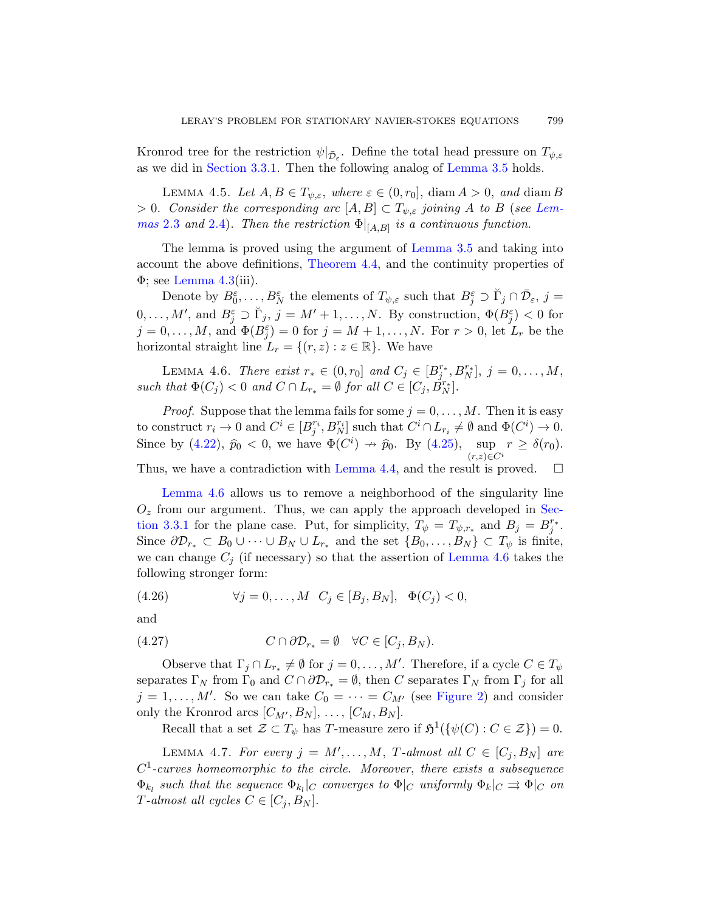Kronrod tree for the restr[iction](#page-12-1)  $\psi|_{\bar{\mathcal{D}}_{\varepsilon}}$ . Define the total head pressure on  $T_{\psi,\varepsilon}$ as we did in [Section 3](#page-27-0).3.1. Then the following analog of Lemma 3.5 holds.

LEMMA 4.5. Let  $A, B \in T_{\psi, \varepsilon}$ , where  $\varepsilon \in (0, r_0]$ , diam  $A > 0$ , and diam B  $> 0.$  Consider the corresponding arc  $[A, B] \subset T_{\psi, \varepsilon}$  joining A to B (see Lemmas 2.3 and 2.4). Then the restriction  $\Phi|_{[A,B]}$  is a continuous function.

<span id="page-30-0"></span>The lemma is proved using the argument of Lemma 3.5 and taking into account the above definitions, Theorem 4.4, and the continuity properties of  $\Phi$ ; see Lemma 4.3(iii).

Denote by  $B_0^{\varepsilon}, \ldots, B_N^{\varepsilon}$  the elements of  $T_{\psi, \varepsilon}$  such that  $B_j^{\varepsilon} \supset \check{\Gamma}_j \cap \bar{\mathcal{D}}_{\varepsilon}, j =$  $0,\ldots,M'$ , and  $B_j^{\varepsilon} \supset \check{\Gamma}_j$ ,  $j=M'+1,\ldots,N$ . By construction,  $\Phi(B_j^{\varepsilon})<0$  for  $j=0,\ldots,M$ , and  $\Phi(B_j^{\varepsilon})=0$  for  $j=M+1,\ldots,N$ . For  $r>0$ , let  $L_r$  be the horizontal straight line  $L_r = \{(r, z) : z \in \mathbb{R}\}$  $L_r = \{(r, z) : z \in \mathbb{R}\}$  $L_r = \{(r, z) : z \in \mathbb{R}\}$ . We have

LEMMA 4.6. [There](#page-28-2) exist  $r_* \in (0, r_0]$  and  $C_j \in [B_j^{r_*}, B_N^{r_*}], j = 0, ..., M$ , such that  $\Phi(C_j) < 0$  and  $C \cap L_{r_*} = \emptyset$  for all  $C \in [C_j, B_N^{r_*}]$ .

*Proof.* Suppose that the lemma fails for some  $j = 0, \ldots, M$  $j = 0, \ldots, M$  $j = 0, \ldots, M$ . Then it is easy to construct  $r_i \to 0$  and  $C^i \in [B_j^{r_i}, B_N^{r_i}]$  such that  $C^i \cap L_{r_i} \neq \emptyset$  and  $\Phi(C^i) \to 0$ . Since by (4.22),  $\widehat{p}_0 < 0$ , we have  $\Phi(C^i) \to \widehat{p}_0$ . By (4.25),  $\sup_{(r,\tau) \in C^i} r \geq \delta(r_0)$ .  $(r,z)\in C^i$ Thus, we have a contradiction with [Lemma 4](#page-30-0).4, and the result is proved.  $\square$ 

Lemma 4.6 allows us to remove a neighborhood of the singularity line  $O<sub>z</sub>$  from our argument. Thus, we can apply the approach developed in Section 3.3.1 for the plane case. Put, for simplicity,  $T_{\psi} = T_{\psi,r_*}$  and  $B_j = B_j^{r_*}$ . Since  $\partial \mathcal{D}_{r_*} \subset B_0 \cup \cdots \cup B_N \cup L_{r_*}$  and the set  $\{B_0, \ldots, B_N\} \subset T_{\psi}$  is finite, we can change  $C_j$  (if necessary) so that the assertion of Lemma 4.6 takes the following stronger form:

(4.26) 
$$
\forall j = 0,..., M \quad C_j \in [B_j, B_N], \quad \Phi(C_j) < 0,
$$

and

<span id="page-30-1"></span>(4.27) 
$$
C \cap \partial \mathcal{D}_{r_*} = \emptyset \quad \forall C \in [C_j, B_N).
$$

Observe that  $\Gamma_j \cap L_{r_*} \neq \emptyset$  for  $j = 0, \ldots, M'$ . Therefore, if a cycle  $C \in T_{\psi}$ separates  $\Gamma_N$  from  $\Gamma_0$  and  $C \cap \partial \mathcal{D}_{r_*} = \emptyset$ , then C separates  $\Gamma_N$  from  $\Gamma_j$  for all  $j = 1, \ldots, M'$ . So we can take  $C_0 = \cdots = C_{M'}$  (see Figure 2) and consider only the Kronrod arcs  $[C_{M'}, B_N], \ldots, [C_M, B_N].$ 

Recall that a set  $\mathcal{Z} \subset T_{\psi}$  has T-measure zero if  $\mathfrak{H}^1(\{\psi(C) : C \in \mathcal{Z}\}) = 0$ .

LEMMA 4.7. For every  $j = M', \ldots, M, T\text{-almost all } C \in [C_j, B_N]$  are  $C<sup>1</sup>$ -curves homeomorphic to the circle. Moreover, there exists a subsequence  $\Phi_{k_l}$  such that the sequence  $\Phi_{k_l}|_C$  converges to  $\Phi|_C$  uniformly  $\Phi_k|_C \rightrightarrows \Phi|_C$  on T-almost all cycles  $C \in [C_j, B_N]$ .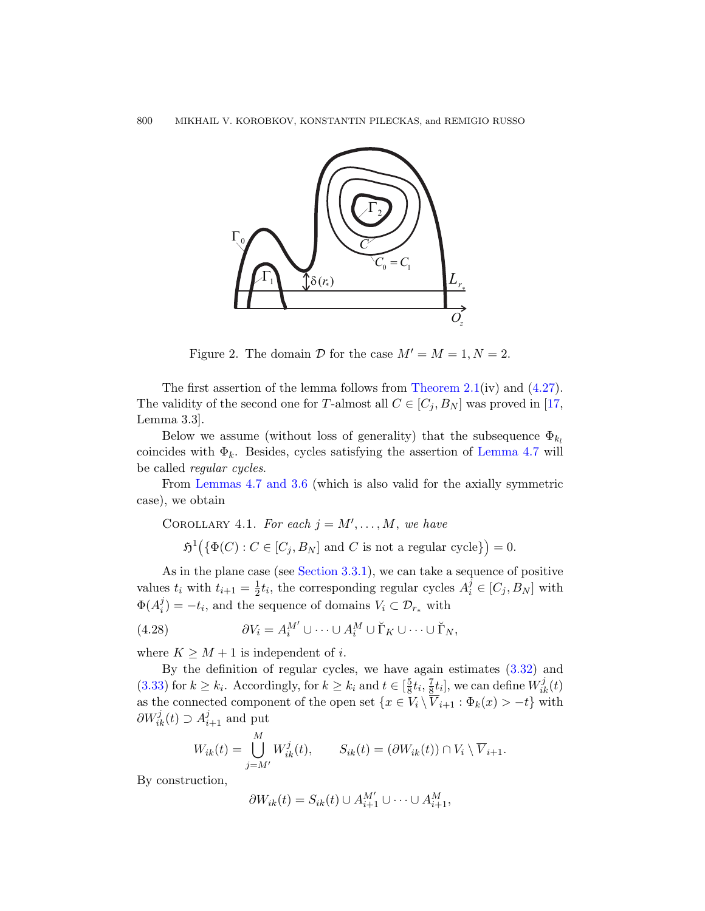

<span id="page-31-0"></span>Figure 2. The domain  $\mathcal D$  for [the case](#page-30-1)  $M'=M=1, N=2$ .

[The](#page-13-2) first assertion of the lemma follows from Theorem 2.1(iv) and (4.27). The validity of the second one for T-almost all  $C \in [C_j, B_N]$  was proved in [17, Lemma 3.3].

Below we assume (without loss of generality) that the subsequence  $\Phi_{k_l}$ coincides with  $\Phi_k$ . Besides, cycles satisfying the assertion of Lemma 4.7 will be called [regular cy](#page-11-1)cles.

From Lemmas 4.7 and 3.6 (which is also valid for the axially symmetric case), we obtain

COROLLARY 4.1. For each  $j = M', \ldots, M$ , we have

 $\mathfrak{H}^1(\{\Phi(C): C \in [C_j, B_N] \text{ and } C \text{ is not a regular cycle}\}\)=0.$ 

As in the plane case (see Section 3.3.1), [we ca](#page-15-3)n take a sequence of positive values  $t_i$  with  $t_{i+1} = \frac{1}{2}$  $\frac{1}{2}t_i$ , the corresponding regular cycles  $A_i^j \in [C_j, B_N]$  with  $\Phi(A_i^j)$  $\mathcal{U}_i^j$  =  $-t_i$ , and the sequence of domains  $V_i \subset \mathcal{D}_{r_*}$  with

(4.28) 
$$
\partial V_i = A_i^{M'} \cup \cdots \cup A_i^M \cup \breve{\Gamma}_K \cup \cdots \cup \breve{\Gamma}_N,
$$

where  $K \geq M + 1$  is independent of *i*.

By the definition of regular cycles, we have again estimates (3.32) and  $(3.33)$  for  $k \geq k_i$ . Accordingly, for  $k \geq k_i$  and  $t \in \left[\frac{5}{8}\right]$  $\frac{5}{8}t_i, \frac{7}{8}$  $\frac{7}{8}t_i$ , we can define  $W_{ik}^j(t)$ as the connected component of the open set  $\{x \in V_i \setminus \overline{V}_{i+1} : \Phi_k(x) > -t\}$  with  $\partial W_{ik}^j(t) \supset A_{i+1}^j$  and put

$$
W_{ik}(t) = \bigcup_{j=M'}^{M} W_{ik}^{j}(t), \qquad S_{ik}(t) = (\partial W_{ik}(t)) \cap V_i \setminus \overline{V}_{i+1}.
$$

By construction,

$$
\partial W_{ik}(t) = S_{ik}(t) \cup A_{i+1}^{M'} \cup \cdots \cup A_{i+1}^{M},
$$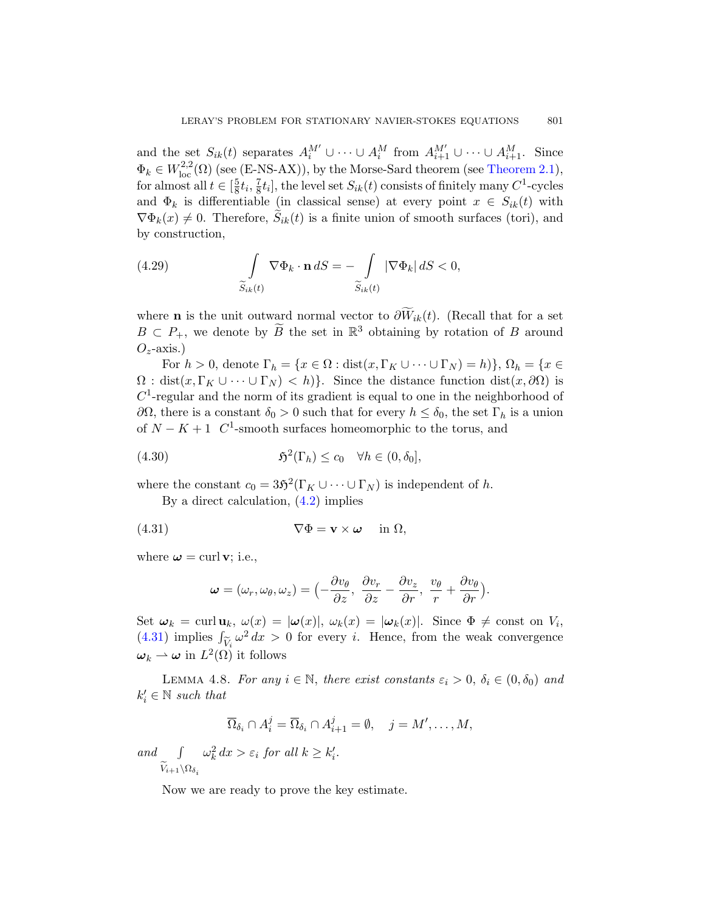and the set  $S_{ik}(t)$  separates  $A_i^{M'} \cup \cdots \cup A_i^M$  from  $A_{i+1}^{M'} \cup \cdots \cup A_{i+1}^M$ . Since  $\Phi_k \in W^{2,2}_{loc}(\Omega)$  (see (E-NS-AX)), by the Morse-Sard theorem (see Theorem 2.1), for almost all  $t \in \left[\frac{5}{8}\right]$  $\frac{5}{8}t_i, \frac{7}{8}$  $\frac{7}{8}t_i$ , the level set  $S_{ik}(t)$  consists of finitely many  $C^1$ -cycles and  $\Phi_k$  is differentiable (in classical sense) at every point  $x \in S_{ik}(t)$  with  $\nabla \Phi_k(x) \neq 0$ . Therefore,  $S_{ik}(t)$  is a finite union of smooth surfaces (tori), and by construction,

(4.29) 
$$
\int_{\widetilde{S}_{ik}(t)} \nabla \Phi_k \cdot \mathbf{n} \, dS = - \int_{\widetilde{S}_{ik}(t)} |\nabla \Phi_k| \, dS < 0,
$$

where **n** is the unit outward normal vector to  $\partial \widetilde{W}_{ik}(t)$ . (Recall that for a set  $B \subset P_+$ , we denote by  $\widetilde{B}$  the set in  $\mathbb{R}^3$  obtaining by rotation of B around  $O_z$ -axis.)

For  $h > 0$ , denote  $\Gamma_h = \{x \in \Omega : \text{dist}(x, \Gamma_K \cup \cdots \cup \Gamma_N) = h\}$ ,  $\Omega_h = \{x \in$  $\Omega$ : dist $(x, \Gamma_K \cup \cdots \cup \Gamma_N) < h$ . Since the distance function dist $(x, \partial \Omega)$  is  $C<sup>1</sup>$ -re[gular](#page-25-0) and the norm of its gradient is equal to one in the neighborhood of  $∂Ω$ , there is a constant  $δ₀ > 0$  such that for every  $h ≤ δ₀$ , the set Γ<sub>h</sub> is a union of  $N - K + 1$  C<sup>1</sup>-smooth surfaces homeomorphic to the torus, and

(4.30) 
$$
\mathfrak{H}^2(\Gamma_h) \leq c_0 \quad \forall h \in (0, \delta_0],
$$

where the constant  $c_0 = 35^2(\Gamma_K \cup \cdots \cup \Gamma_N)$  is independent of h.

By a direct calculation, (4.2) implies

(4.31) 
$$
\nabla \Phi = \mathbf{v} \times \boldsymbol{\omega} \quad \text{in } \Omega,
$$

<span id="page-32-0"></span>where  $\boldsymbol{\omega} = \text{curl } \mathbf{v}$ ; i.e.,

$$
\boldsymbol{\omega}=(\omega_r,\omega_\theta,\omega_z)=\bigl(-\frac{\partial v_\theta}{\partial z},\ \frac{\partial v_r}{\partial z}-\frac{\partial v_z}{\partial r},\ \frac{v_\theta}{r}+\frac{\partial v_\theta}{\partial r}\bigr).
$$

Set  $\omega_k = \text{curl } \mathbf{u}_k$ ,  $\omega(x) = |\omega(x)|$ ,  $\omega_k(x) = |\omega_k(x)|$ . Since  $\Phi \neq \text{const}$  on  $V_i$ , (4.31) implies  $\int_{\widetilde{V}} \omega^2 dx > 0$  for every *i*. Hence, from the weak convergence  $\omega_k \rightharpoonup \omega$  in  $L^2(\Omega)$  it follows

LEMMA 4.8. For any  $i \in \mathbb{N}$ , there exist constants  $\varepsilon_i > 0$ ,  $\delta_i \in (0, \delta_0)$  and  $k'_i \in \mathbb{N}$  such that

$$
\overline{\Omega}_{\delta_i} \cap A_i^j = \overline{\Omega}_{\delta_i} \cap A_{i+1}^j = \emptyset, \quad j = M', \dots, M,
$$

and  $\int$  $V_{i+1}\backslash\Omega_{\delta_i}$  $\omega_k^2 dx > \varepsilon_i$  for all  $k \geq k'_i$ .

Now we are ready to prove the key estimate.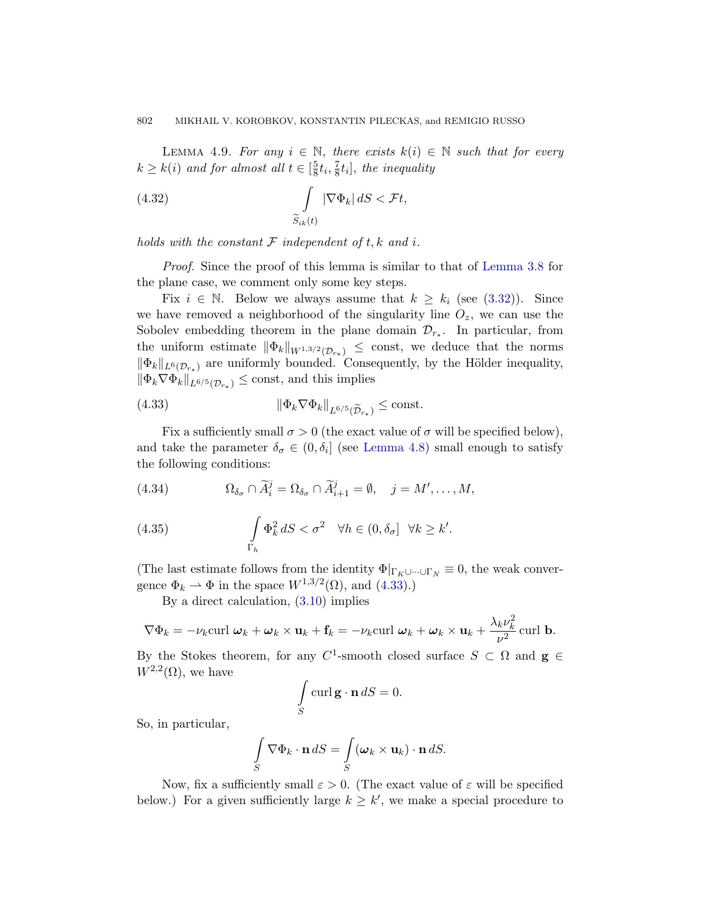LEMMA 4.9. For any  $i \in \mathbb{N}$ , there exists  $k(i) \in \mathbb{N}$  such that for every  $k \geq k(i)$  and for almost all  $t \in \left[\frac{5}{8}\right]$  $\frac{5}{8}t_{i}, \frac{7}{8}$  $\frac{7}{8}t_i$ , [the inequal](#page-16-0)ity

(4.32) 
$$
\int_{\widetilde{S}_{ik}(t)} |\nabla \Phi_k| \, dS < \mathcal{F}t,
$$

holds with the constant  $\mathcal F$  independent of t, k and i.

Proof. Since the proof of this lemma is similar to that of Lemma 3.8 for the plane case, we comment only some key steps.

<span id="page-33-0"></span>Fix  $i \in \mathbb{N}$ . Below we always assume that  $k \geq k_i$  (see (3.32)). Since we have removed a neighborhood of the singularity line  $O_z$ , we can use the Sobolev embedding theorem in the plane domain  $\mathcal{D}_{r_*}$ . In particular, from the uniform esti[mate](#page-32-0)  $\|\Phi_k\|_{W^{1,3/2}(\mathcal{D}_{r_*})} \leq \text{const},$  we deduce that the norms  $\|\Phi_k\|_{L^6(\mathcal{D}_{r_*})}$  are uniformly bounded. Consequently, by the Hölder inequality,  $\|\Phi_k \nabla \Phi_k\|_{L^{6/5}(\mathcal{D}_{r_*})} \leq \text{const}, \text{ and this implies}$ 

(4.33) 
$$
\|\Phi_k \nabla \Phi_k\|_{L^{6/5}(\widetilde{\mathcal{D}}_{r_*})} \leq \text{const.}
$$

Fix a sufficiently small  $\sigma > 0$  (the exact value of  $\sigma$  will be specified below), and take the parameter  $\delta_{\sigma} \in (0, \delta_i]$  (see Lemma 4.8) small enough to satisfy the following conditions:

(4.34) 
$$
\Omega_{\delta_{\sigma}} \cap \widetilde{A}_i^j = \Omega_{\delta_{\sigma}} \cap \widetilde{A}_{i+1}^j = \emptyset, \quad j = M', \dots, M,
$$

(4.35) 
$$
\int_{\Gamma_h} \Phi_k^2 dS < \sigma^2 \quad \forall h \in (0, \delta_\sigma] \quad \forall k \geq k'.
$$

(The last estimate follows from the identity  $\Phi|_{\Gamma_K\cup\dots\cup\Gamma_N}\equiv 0$ , the weak convergence  $\Phi_k \rightharpoonup \Phi$  in the space  $W^{1,3/2}(\Omega)$ , and  $(4.33).$ 

By a direct calculation, (3.10) implies

$$
\nabla \Phi_k = -\nu_k \text{curl } \boldsymbol{\omega}_k + \boldsymbol{\omega}_k \times \mathbf{u}_k + \mathbf{f}_k = -\nu_k \text{curl } \boldsymbol{\omega}_k + \boldsymbol{\omega}_k \times \mathbf{u}_k + \frac{\lambda_k \nu_k^2}{\nu^2} \text{curl } \mathbf{b}.
$$

By the Stokes theorem, for any C<sup>1</sup>-smooth closed surface  $S \subset \Omega$  and  $g \in$  $W^{2,2}(\Omega)$ , we have

$$
\int_{S} \operatorname{curl} \mathbf{g} \cdot \mathbf{n} \, dS = 0.
$$

So, in particular,

$$
\int_{S} \nabla \Phi_k \cdot \mathbf{n} \, dS = \int_{S} (\boldsymbol{\omega}_k \times \mathbf{u}_k) \cdot \mathbf{n} \, dS.
$$

Now, fix a sufficiently small  $\varepsilon > 0$ . (The exact value of  $\varepsilon$  will be specified below.) For a given sufficiently large  $k \geq k'$ , we make a special procedure to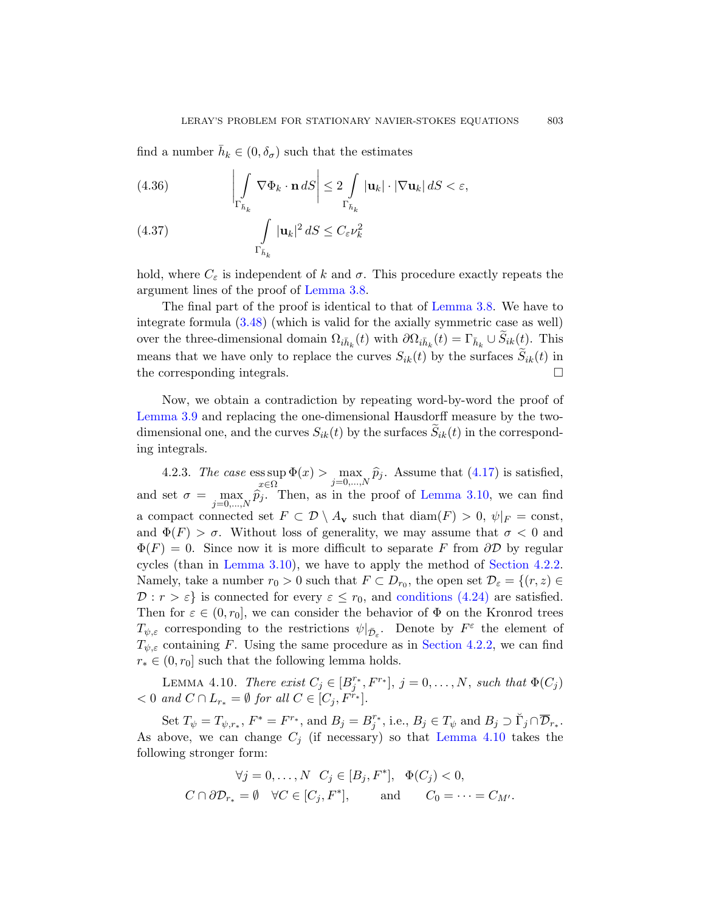find a number  $\bar{h}_k \in (0, \delta_{\sigma})$  such that the estimates

(4.36) 
$$
\left|\int\limits_{\Gamma_{\bar{h}_k}} \nabla \Phi_k \cdot \mathbf{n} \, dS\right| \leq 2 \int\limits_{\Gamma_{\bar{h}_k}} |\mathbf{u}_k| \cdot |\nabla \mathbf{u}_k| \, dS < \varepsilon,
$$

(4.37) 
$$
\int_{\Gamma_{\bar{h}_k}} |\mathbf{u}_k|^2 dS \leq C_{\varepsilon} \nu_k^2
$$

hold, where  $C_{\varepsilon}$  is independent of k and  $\sigma$ . This procedure exactly repeats the argument lines of the proof of Lemma 3.8.

The final part of the proof is identical to that of Lemma 3.8. We have to integrate formula (3.48) (which is valid for the axially symmetric case as well) over the three-dimensional domain  $\Omega_{i\bar{h}_k}(t)$  with  $\partial\Omega_{i\bar{h}_k}(t) = \Gamma_{\bar{h}_k} \cup S_{ik}(t)$ . This means that we have only to replace the curves  $S_{ik}(t)$  by the surfaces  $S_{ik}(t)$  in the corresponding integrals.

<span id="page-34-1"></span>Now, we obtain a cont[radiction by r](#page-22-0)epeating word-by-word the proof of Lemma 3.9 and replacing the one-dimensional Hausdorff measure by the twodimensional one, and the curves  $S_{ik}(t)$  by the surfaces  $S_{ik}(t)$  in the corresponding integrals.

<span id="page-34-0"></span>[4](#page-22-0).2.3. The case ess sup x∈Ω  $\Phi(x) > \max_{j=0,\dots,N} \hat{p}_j$ [. Assume](#page-29-1) that  $(4.17)$  is satisfied, and set  $\sigma = \max_{j=0,\dots,N} \hat{p}_j$ . [Then, as in the](#page-29-2) proof of Lemma 3.10, we can find a compact connected set  $F \subset \mathcal{D} \setminus A_{\mathbf{v}}$  such that  $\text{diam}(F) > 0$ ,  $\psi|_F = \text{const}$ , and  $\Phi(F) > \sigma$ . Without loss of generality, we may assume that  $\sigma < 0$  and  $\Phi(F) = 0$ . Since now it is [more difficult](#page-29-1) to separate F from  $\partial \mathcal{D}$  by regular cycles (than in Lemma 3.10), we have to apply the method of Section 4.2.2. Namely, take a number  $r_0 > 0$  such that  $F \subset D_{r_0}$ , the open set  $\mathcal{D}_{\varepsilon} = \{(r, z) \in$  $\mathcal{D}: r > \varepsilon$  is connected for every  $\varepsilon \leq r_0$ , and conditions (4.24) are satisfied. Then for  $\varepsilon \in (0, r_0]$ , we can consider the behavior of  $\Phi$  on the Kronrod trees  $T_{\psi,\varepsilon}$  corresponding to the restrictions  $\psi|_{\bar{\mathcal{D}}_{\varepsilon}}$ . Denote by  $F^{\varepsilon}$  the element of  $T_{\psi,\varepsilon}$ containing F. Using the s[ame procedur](#page-34-0)e as in Section 4.2.2, we can find  $r_* \in (0, r_0]$  such that the following lemma holds.

LEMMA 4.10. There exist  $C_j \in [B_j^{r_*}, F^{r_*}], j = 0, \ldots, N$ , such that  $\Phi(C_j)$  $< 0$  and  $C \cap L_{r_*} = \emptyset$  for all  $C \in [C_j, F^{\tilde{r}_*}].$ 

Set  $T_{\psi} = T_{\psi,r_*}, F^* = F^{r_*}, \text{ and } B_j = B_j^{r_*}, \text{ i.e., } B_j \in T_{\psi} \text{ and } B_j \supset \check{\Gamma}_j \cap \overline{\mathcal{D}}_{r_*}.$ As above, we can change  $C_j$  (if necessary) so that Lemma 4.10 takes the following stronger form:

$$
\forall j = 0, \dots, N \quad C_j \in [B_j, F^*], \quad \Phi(C_j) < 0,
$$
\n
$$
C \cap \partial \mathcal{D}_{r_*} = \emptyset \quad \forall C \in [C_j, F^*], \quad \text{and} \quad C_0 = \dots = C_{M'}.
$$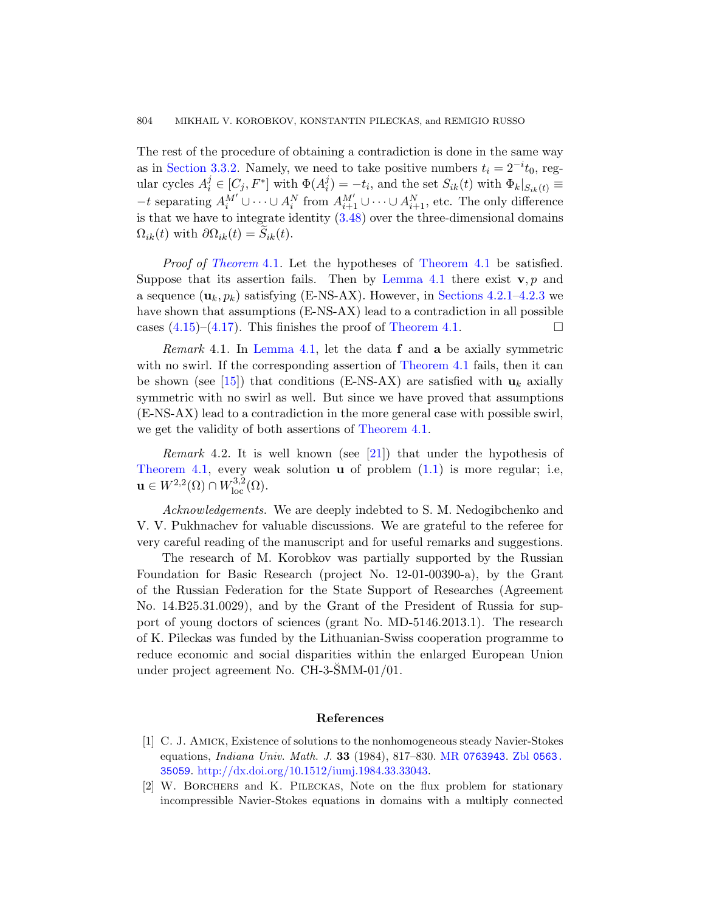The rest of the procedure of obtaining a contradiction is done in the same way [as i](#page-24-1)n Section 3.3.2. Namely, [we need to ta](#page-24-1)ke positive numbers  $t_i = 2^{-i}t_0$ , regular cycles  $A_i^j \in [C_j, F^*]$  with  $\Phi(A_i^j)$  $\mathcal{L}_i^j$ ) =  $-t_i$ , and the set  $S_{ik}(t)$  with  $\Phi_k|_{S_{ik}(t)} \equiv$  $-t$  separating  $A_i^{M'}$  $A_i^{M'}$  ∪  $\cdots$  ∪  $A_i^N$  from  $A_{i+1}^{M'}$  ∪  $\cdots$  ∪  $A_{i+1}^N$ , etc. The only difference is that we have to inte[grate identity](#page-24-1)  $(3.48)$  over the three-dimensional domains  $\Omega_{ik}(t)$  with  $\partial \Omega_{ik}(t) = S_{ik}(t)$ .

*Proof of Theorem* 4.1. [Let the hy](#page-24-1)potheses of Theorem 4.1 be satisfied. Suppose that its assertion fails. Then by Lemma 4.1 there exist  $\mathbf{v}, p$  and a sequence  $(\mathbf{u}_k, p_k)$  satisfying (E-NS-AX). However, in Sections 4.2.1–4.2.3 we have shown that assumptions (E-NS-AX) lead to a contradiction in all possible cases  $(4.15)-(4.17)$ . This finishes the proof of Theorem 4.1.

*Remark* 4.1. I[n](#page-37-5) Lemma 4.1, let the data  $f$  and  $a$  be axially symmetric with no swirl. If the corresp[ondi](#page-0-0)ng assertion of Theorem 4.1 fails, then it can be shown (see [15]) that conditions (E-NS-AX) are satisfied with  $\mathbf{u}_k$  axially symmetric with no swirl as well. But since we have proved that assumptions (E-NS-AX) lead to a contradiction in the more general case with possible swirl, we get the validity of both assertions of Theorem 4.1.

*Remark* 4.2. It is well known (see [21]) that under the hypothesis of Theorem 4.1, every weak solution  $\bf{u}$  of problem  $(1.1)$  is more regular; i.e,  $\mathbf{u} \in W^{2,2}(\Omega) \cap W^{3,2}_{\text{loc}}(\Omega).$ 

Acknowledgements. We are deeply indebted to S. M. Nedogibchenko and V. V. Pukhnachev for valuable discussions. We are grateful to the referee for very careful reading of the manuscript and for useful remarks and suggestions.

<span id="page-35-1"></span>The research of M. Korobkov was partially supported by the Russian Foundation for Basic Research (project No. 12-01-00390-a), by the Grant of the Russian Federation for the State Support of Researches (Agreement No. 14.B25.31.0029), and by the Grant of the President of Russia for support of young doctors of sciences (grant No. MD-5146.2013.1). The research of K. Pileckas was funded by the Lithuanian-Swiss cooperation programme to reduce economic and social dis[parities with](http://www.ams.org/mathscinet-getitem?mr=0763943)[in the enla](http://www.zentralblatt-math.org/zmath/en/search/?q=an:0563.35059)rged European Union [under project agreement No. C](http://dx.doi.org/10.1512/iumj.1984.33.33043)H-3- $\text{SMM-01}/01$ .

## References

- <span id="page-35-0"></span>[1] C. J. Amick, Existence of solutions to the nonhomogeneous steady Navier-Stokes equations, Indiana Univ. Math. J. 33 (1984), 817–830. MR 0763943. Zbl 0563. 35059. http://dx.doi.org/10.1512/iumj.1984.33.33043.
- [2] W. Borchers and K. Pileckas, Note on the flux problem for stationary incompressible Navier-Stokes equations in domains with a multiply connected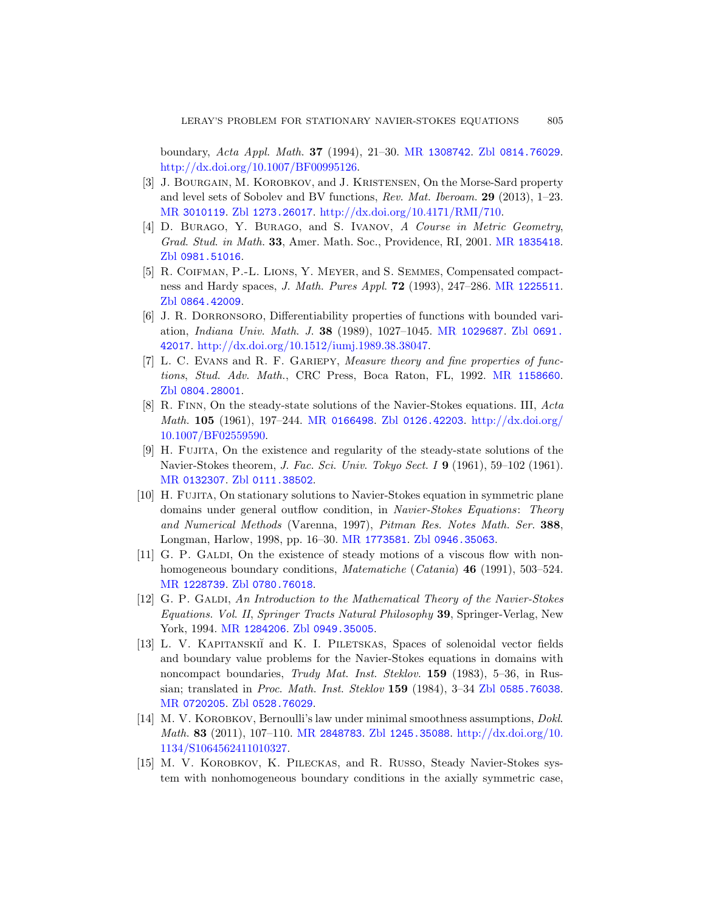<span id="page-36-7"></span>boundary, Acta Appl. Math. 37 (1994), [21–30.](http://www.ams.org/mathscinet-getitem?mr=1835418) MR 1308742. Zbl 0814.76029. http://dx.doi.org/10.1007/BF00995126.

- <span id="page-36-11"></span><span id="page-36-10"></span>[3] J. BOURGAIN, M. KOROBKOV, and J. KRISTENSEN, On the Morse-Sard property and level sets of Sobolev and BV functions, Rev. Mat. Iberoam. 29 (2013), 1–23. MR 3010119. Zbl 1273.26017. http://dx.doi.org/10.4171/RMI/710.
- [4] D. BURAGO, Y. BURAGO, and S. IVANOV, [A Cour](http://www.zentralblatt-math.org/zmath/en/search/?q=an:0691.42017)se in Metric Geometry, Grad. Stud. [in Math](http://dx.doi.org/10.1512/iumj.1989.38.38047). 33, Amer. Math. Soc., Providence, RI, 2001. MR 1835418. Zbl 0981.51016.
- <span id="page-36-8"></span>[5] R. Coifman, P.-L. Lions, Y. Meyer, and [S. Semmes](http://www.ams.org/mathscinet-getitem?mr=1158660), Compensated compactness and Hardy spaces, J. Math. Pures Appl. 72 (1993), 247–286. MR 1225511. Zbl 0864.42009.
- <span id="page-36-0"></span>[6] J. [R. Dorronso](http://www.ams.org/mathscinet-getitem?mr=0166498)ro[, Differentiabilit](http://www.zentralblatt-math.org/zmath/en/search/?q=an:0126.42203)[y properties of func](http://dx.doi.org/10.1007/BF02559590)tions with bounded variation, Indiana Univ. Math. J. 38 (1989), 1027–1045. MR 1029687. Zbl 0691. 42017. http://dx.doi.org/10.1512/iumj.1989.38.38047.
- <span id="page-36-1"></span>[7] L. C. EVANS and R. F. GARIEPY, Measure theory and fine properties of func[tions](http://www.zentralblatt-math.org/zmath/en/search/?q=an:0111.38502), Stud. Adv. Math., CRC Press, Boca Raton, FL, 1992. MR 1158660. Zbl 0804.28001.
- <span id="page-36-4"></span>[8] R. Finn, On the steady-state solutions of the Navier-Stokes equations. III, Acta Math. 105 (1961), 197–244. MR 0166498. Zbl 0126.42203. http://dx.doi.org/ 10.1007/B[F02559590.](http://www.ams.org/mathscinet-getitem?mr=1773581)
- <span id="page-36-2"></span>[9] H. Fujita, On the exist[ence and regulari](http://www.zentralblatt-math.org/zmath/en/search/?q=an:0946.35063)ty of the steady-state solutions of the Navier-Stokes theorem, *J. Fac. Sci. Univ. Tokyo Sect. I* **9** (1961), 59–102 (1961). [MR](http://www.zentralblatt-math.org/zmath/en/search/?q=an:0780.76018) 0132307. Zbl 0111.38502.
- <span id="page-36-3"></span>[10] H. Fujita, On stationary solutions to Navier-Stokes equation in symmetric plane domains under general outflow condition, in Navier-Stokes Equations: Theory [a](http://www.ams.org/mathscinet-getitem?mr=1284206)[nd Numerical M](http://www.zentralblatt-math.org/zmath/en/search/?q=an:0949.35005)ethods (Varenna, 1997), Pitman Res. Notes Math. Ser. 388, Longman, Harlow, 1998, pp. 16–30. MR 1773581. Zbl 0946.35063.
- <span id="page-36-9"></span>[11] G. P. GALDI, On the existence of steady motions of a viscous flow with nonhomogeneous boundary conditions, *Matematiche (Catania*) **46** (1991), 503–524. MR 1228739. Zbl 0780.76018.
- <span id="page-36-6"></span>[12] [G. P.](http://www.zentralblatt-math.org/zmath/en/search/?q=an:0528.76029) GALDI, An Introduction to the [Mathematical Th](http://www.zentralblatt-math.org/zmath/en/search/?q=an:0585.76038)eory of the Navier-Stokes Equations. Vol. II, Springer Tracts Natural Philosophy 39, Springer-Verlag, New Y[ork, 1994.](http://www.ams.org/mathscinet-getitem?mr=2848783) MR [1284206](http://www.zentralblatt-math.org/zmath/en/search/?q=an:1245.35088). Zbl 09[49.35005](http://dx.doi.org/10.1134/S1064562411010327).
- <span id="page-36-5"></span>[\[13\]](http://dx.doi.org/10.1134/S1064562411010327) L. V. KAPITANSKII and K. I. PILETSKAS, Spaces of solenoidal vector fields and boundary value problems for the Navier-Stokes equations in domains with noncompact boundaries, Trudy Mat. Inst. Steklov. 159 (1983), 5–36, in Russian; translated in Proc. Math. Inst. Steklov 159 (1984), 3–34 Zbl 0585.76038. MR 0720205. Zbl 0528.76029.
- [14] M. V. KOROBKOV, Bernoulli's law under minimal smoothness assumptions, *Dokl.* Math. 83 (2011), 107–110. MR 2848783. Zbl 1245.35088. http://dx.doi.org/10. 1134/S1064562411010327.
- [15] M. V. Korobkov, K. Pileckas, and R. Russo, Steady Navier-Stokes system with nonhomogeneous boundary conditions in the axially symmetric case,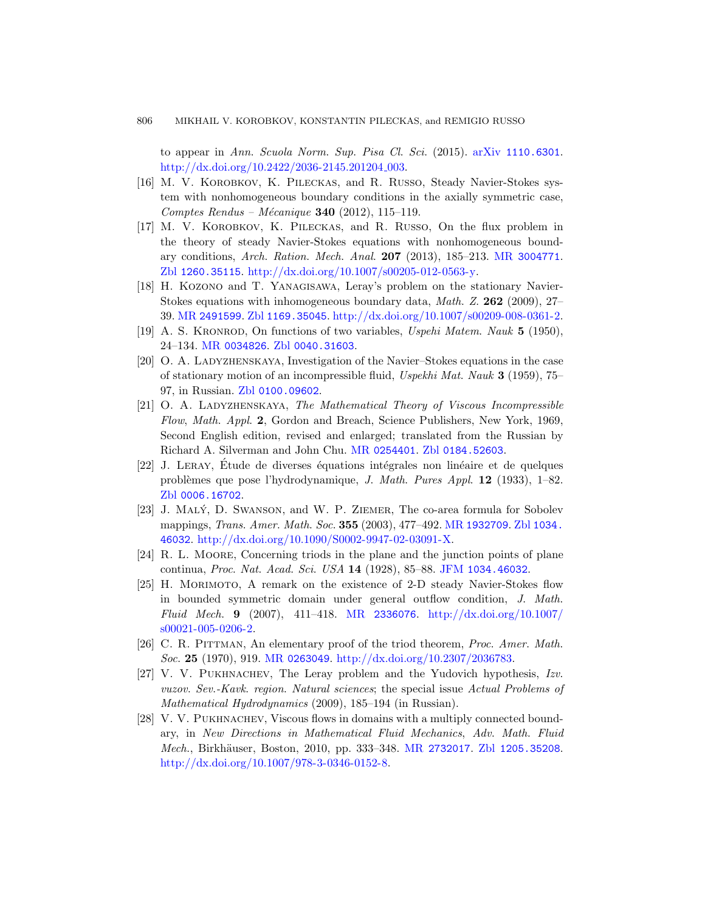to appear in Ann. Scuola Norm. Sup. [Pisa Cl](http://www.ams.org/mathscinet-getitem?mr=3004771). Sci. (2015). arXiv 1110.6301. [http://dx.doi.org/10.2422/2036-2145.2](http://dx.doi.org/10.1007/s00205-012-0563-y)01204<sub>-003</sub>.

- <span id="page-37-9"></span><span id="page-37-4"></span><span id="page-37-0"></span>[16] M. V. Korobkov, K. Pileckas, and R. Russo, Steady Navier-Stokes system with nonhomogeneous boundary conditions in the axially symmetric case, [Comptes](http://www.zentralblatt-math.org/zmath/en/search/?q=an:1169.35045) Rendus – Mécanique **340** (2012), 115–119.
- <span id="page-37-7"></span><span id="page-37-6"></span>[17] M. V. Korobkov, K. Pileckas, and R. Russo, On the flux problem in [the theory of](http://www.zentralblatt-math.org/zmath/en/search/?q=an:0040.31603) steady Navier-Stokes equations with nonhomogeneous boundary conditions, Arch. Ration. Mech. Anal. 207 (2013), 185–213. MR 3004771. Zbl 1260.35115. http://dx.doi.org/10.1007/s00205-012-0563-y.
- <span id="page-37-5"></span>[18] [H. Ko](http://www.zentralblatt-math.org/zmath/en/search/?q=an:0100.09602)zono and T. Yanagisawa, Leray's problem on the stationary Navier-Stokes equations with inhomogeneous boundary data, Math. Z. 262 (2009), 27– 39. MR 2491599. Zbl 1169.35045. http://dx.doi.org/10.1007/s00209-008-0361-2.
- [19] A. S. Kronrod, On functions of two variables, Uspehi Matem. Nauk 5 (1950), 24–134. MR [0034826](http://www.ams.org/mathscinet-getitem?mr=0254401). Zbl [0040.31603](http://www.zentralblatt-math.org/zmath/en/search/?q=an:0184.52603).
- [20] O. A. Ladyzhenskaya, Investigation of the Navier–Stokes equations in the case of stationary motion of an incompressible fluid, Uspekhi Mat. Nauk 3 (1959), 75– 97, in Russian. Zbl 0100.09602.
- <span id="page-37-8"></span>[21] O. A. LADYZHENSKAYA, The Mathematical Theory of Viscous Incompressible Flow, Math. Appl. 2, Gordon [and Breach, S](http://www.ams.org/mathscinet-getitem?mr=1932709)[cience Pub](http://www.zentralblatt-math.org/zmath/en/search/?q=an:1034.46032)lishers, New York, 1969, [Second English edition, revised](http://dx.doi.org/10.1090/S0002-9947-02-03091-X) and enlarged; translated from the Russian by Richard A. Silverman and John Chu. MR 0254401. Zbl 0184.52603.
- <span id="page-37-1"></span> $[22]$  J. LERAY, Etude de diverses équations intégrales non linéaire et de quelques problèmes que pose l'hydrodynamique, J. Math. Pures Appl. 12 (1933), 1–82. Zbl 0006.16702.
- [23] J. Maly´, [D. Swanson](http://www.ams.org/mathscinet-getitem?mr=2336076), and [W. P. Ziemer](http://dx.doi.org/10.1007/s00021-005-0206-2), The co-area formula for Sobolev mappings, Trans. Amer. Math. Soc. 355 (2003), 477–492. MR 1932709. Zbl 1034. 46032. http://dx.doi.org/10.1090/S0002-9947-02-03091-X.
- [24] [R. L. M](http://www.ams.org/mathscinet-getitem?mr=0263049)oore[, Concerning triods in the plan](http://dx.doi.org/10.2307/2036783)e and the junction points of plane continua, Proc. Nat. Acad. Sci. USA 14 (1928), 85–88. JFM 1034.46032.
- <span id="page-37-3"></span><span id="page-37-2"></span>[25] H. Morimoto, A remark on the existence of 2-D steady Navier-Stokes flow in bounded symmetric domain under general outflow condition, J. Math. Fluid Mech. 9 (2007), 411–418. MR 2336076. http://dx.doi.org/10.1007/ s00021-005-0206-2.
- [26] C. R. Pittman, Ane[lementary proo](http://www.ams.org/mathscinet-getitem?mr=2732017)[f of the triod the](http://www.zentralblatt-math.org/zmath/en/search/?q=an:1205.35208)orem, Proc. Amer. Math. Soc. 25 [\(1970\), 919.](http://dx.doi.org/10.1007/978-3-0346-0152-8) MR 0263049. http://dx.doi.org/10.2307/2036783.
- [27] V. V. Pukhnachev, The Leray problem and the Yudovich hypothesis, Izv. vuzov. Sev.-Kavk. region. Natural sciences; the special issue Actual Problems of Mathematical Hydrodynamics (2009), 185–194 (in Russian).
- [28] V. V. Pukhnachev, Viscous flows in domains with a multiply connected boundary, in New Directions in Mathematical Fluid Mechanics, Adv. Math. Fluid Mech., Birkhäuser, Boston, 2010, pp. 333–348. MR 2732017. Zbl 1205.35208. http://dx.doi.org/10.1007/978-3-0346-0152-8.